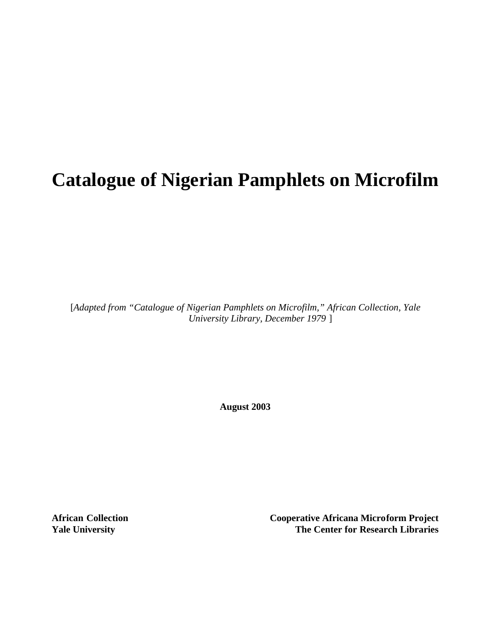# **Catalogue of Nigerian Pamphlets on Microfilm**

[*Adapted from "Catalogue of Nigerian Pamphlets on Microfilm," African Collection, Yale University Library, December 1979* ]

**August 2003**

**African Collection Cooperative Africana Microform Project Yale University The Center for Research Libraries**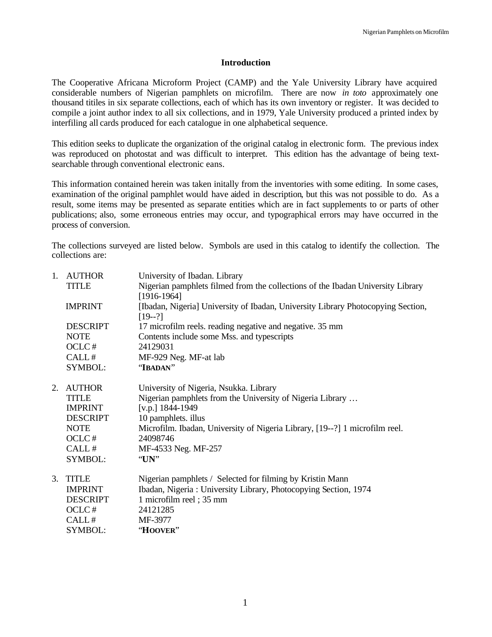### **Introduction**

The Cooperative Africana Microform Project (CAMP) and the Yale University Library have acquired considerable numbers of Nigerian pamphlets on microfilm. There are now *in toto* approximately one thousand titiles in six separate collections, each of which has its own inventory or register. It was decided to compile a joint author index to all six collections, and in 1979, Yale University produced a printed index by interfiling all cards produced for each catalogue in one alphabetical sequence.

This edition seeks to duplicate the organization of the original catalog in electronic form. The previous index was reproduced on photostat and was difficult to interpret. This edition has the advantage of being textsearchable through conventional electronic eans.

This information contained herein was taken initally from the inventories with some editing. In some cases, examination of the original pamphlet would have aided in description, but this was not possible to do. As a result, some items may be presented as separate entities which are in fact supplements to or parts of other publications; also, some erroneous entries may occur, and typographical errors may have occurred in the process of conversion.

The collections surveyed are listed below. Symbols are used in this catalog to identify the collection. The collections are:

| 1. | <b>AUTHOR</b>   | University of Ibadan. Library                                                                    |
|----|-----------------|--------------------------------------------------------------------------------------------------|
|    | <b>TITLE</b>    | Nigerian pamphlets filmed from the collections of the Ibadan University Library<br>$[1916-1964]$ |
|    | <b>IMPRINT</b>  | [Ibadan, Nigeria] University of Ibadan, University Library Photocopying Section,<br>$[19-2]$     |
|    | <b>DESCRIPT</b> | 17 microfilm reels. reading negative and negative. 35 mm                                         |
|    | <b>NOTE</b>     | Contents include some Mss. and typescripts                                                       |
|    | OCLC#           | 24129031                                                                                         |
|    | CALL#           | MF-929 Neg. MF-at lab                                                                            |
|    | SYMBOL:         | "IBADAN"                                                                                         |
| 2. | <b>AUTHOR</b>   | University of Nigeria, Nsukka. Library                                                           |
|    | <b>TITLE</b>    | Nigerian pamphlets from the University of Nigeria Library                                        |
|    | <b>IMPRINT</b>  | [v.p.] $1844 - 1949$                                                                             |
|    | <b>DESCRIPT</b> | 10 pamphlets. illus                                                                              |
|    | <b>NOTE</b>     | Microfilm. Ibadan, University of Nigeria Library, [19--?] 1 microfilm reel.                      |
|    | OCLC#           | 24098746                                                                                         |
|    | CALL#           | MF-4533 Neg. MF-257                                                                              |
|    | SYMBOL:         | "UN"                                                                                             |
| 3. | <b>TITLE</b>    | Nigerian pamphlets / Selected for filming by Kristin Mann                                        |
|    | <b>IMPRINT</b>  | Ibadan, Nigeria: University Library, Photocopying Section, 1974                                  |
|    | <b>DESCRIPT</b> | 1 microfilm reel; 35 mm                                                                          |
|    | OCLC#           | 24121285                                                                                         |
|    | CALL#           | MF-3977                                                                                          |
|    | SYMBOL:         | "HOOVER"                                                                                         |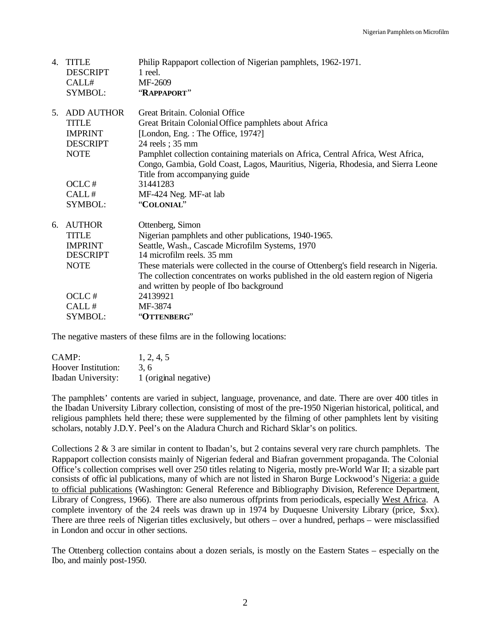| 4. | <b>TITLE</b>             | Philip Rappaport collection of Nigerian pamphlets, 1962-1971.                          |
|----|--------------------------|----------------------------------------------------------------------------------------|
|    | <b>DESCRIPT</b><br>CALL# | 1 reel.<br>MF-2609                                                                     |
|    | <b>SYMBOL:</b>           | "RAPPAPORT"                                                                            |
|    |                          |                                                                                        |
| 5. | <b>ADD AUTHOR</b>        | Great Britain, Colonial Office                                                         |
|    | <b>TITLE</b>             | Great Britain Colonial Office pamphlets about Africa                                   |
|    | <b>IMPRINT</b>           | [London, Eng.: The Office, 1974?]                                                      |
|    | <b>DESCRIPT</b>          | 24 reels; 35 mm                                                                        |
|    | <b>NOTE</b>              | Pamphlet collection containing materials on Africa, Central Africa, West Africa,       |
|    |                          | Congo, Gambia, Gold Coast, Lagos, Mauritius, Nigeria, Rhodesia, and Sierra Leone       |
|    |                          | Title from accompanying guide                                                          |
|    | OCLC#                    | 31441283                                                                               |
|    | CALL#                    | MF-424 Neg. MF-at lab                                                                  |
|    | SYMBOL:                  | "COLONIAL"                                                                             |
| 6. | <b>AUTHOR</b>            | Ottenberg, Simon                                                                       |
|    | <b>TITLE</b>             | Nigerian pamphlets and other publications, 1940-1965.                                  |
|    | <b>IMPRINT</b>           | Seattle, Wash., Cascade Microfilm Systems, 1970                                        |
|    | <b>DESCRIPT</b>          | 14 microfilm reels. 35 mm                                                              |
|    | <b>NOTE</b>              | These materials were collected in the course of Ottenberg's field research in Nigeria. |
|    |                          | The collection concentrates on works published in the old eastern region of Nigeria    |
|    |                          | and written by people of Ibo background                                                |
|    | OCLC#                    | 24139921                                                                               |
|    | CALL#                    | MF-3874                                                                                |
|    | SYMBOL:                  | "OTTENBERG"                                                                            |

The negative masters of these films are in the following locations:

| CAMP:                      | 1, 2, 4, 5            |
|----------------------------|-----------------------|
| <b>Hoover Institution:</b> | 3.6                   |
| <b>Ibadan University:</b>  | 1 (original negative) |

The pamphlets' contents are varied in subject, language, provenance, and date. There are over 400 titles in the Ibadan University Library collection, consisting of most of the pre-1950 Nigerian historical, political, and religious pamphlets held there; these were supplemented by the filming of other pamphlets lent by visiting scholars, notably J.D.Y. Peel's on the Aladura Church and Richard Sklar's on politics.

Collections 2  $\&$  3 are similar in content to Ibadan's, but 2 contains several very rare church pamphlets. The Rappaport collection consists mainly of Nigerian federal and Biafran government propaganda. The Colonial Office's collection comprises well over 250 titles relating to Nigeria, mostly pre-World War II; a sizable part consists of offic ial publications, many of which are not listed in Sharon Burge Lockwood's Nigeria: a guide to official publications (Washington: General Reference and Bibliography Division, Reference Department, Library of Congress, 1966). There are also numerous offprints from periodicals, especially West Africa. A complete inventory of the 24 reels was drawn up in 1974 by Duquesne University Library (price, \$xx). There are three reels of Nigerian titles exclusively, but others – over a hundred, perhaps – were misclassified in London and occur in other sections.

The Ottenberg collection contains about a dozen serials, is mostly on the Eastern States – especially on the Ibo, and mainly post-1950.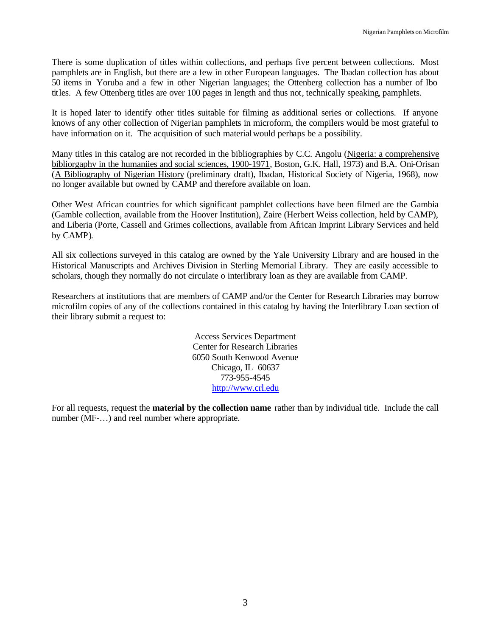There is some duplication of titles within collections, and perhaps five percent between collections. Most pamphlets are in English, but there are a few in other European languages. The Ibadan collection has about 50 items in Yoruba and a few in other Nigerian languages; the Ottenberg collection has a number of Ibo titles. A few Ottenberg titles are over 100 pages in length and thus not, technically speaking, pamphlets.

It is hoped later to identify other titles suitable for filming as additional series or collections. If anyone knows of any other collection of Nigerian pamphlets in microform, the compilers would be most grateful to have information on it. The acquisition of such materialwould perhaps be a possibility.

Many titles in this catalog are not recorded in the bibliographies by C.C. Angolu (Nigeria: a comprehensive bibliorgaphy in the humaniies and social sciences, 1900-1971, Boston, G.K. Hall, 1973) and B.A. Oni-Orisan (A Bibliography of Nigerian History (preliminary draft), Ibadan, Historical Society of Nigeria, 1968), now no longer available but owned by CAMP and therefore available on loan.

Other West African countries for which significant pamphlet collections have been filmed are the Gambia (Gamble collection, available from the Hoover Institution), Zaire (Herbert Weiss collection, held by CAMP), and Liberia (Porte, Cassell and Grimes collections, available from African Imprint Library Services and held by CAMP).

All six collections surveyed in this catalog are owned by the Yale University Library and are housed in the Historical Manuscripts and Archives Division in Sterling Memorial Library. They are easily accessible to scholars, though they normally do not circulate o interlibrary loan as they are available from CAMP.

Researchers at institutions that are members of CAMP and/or the Center for Research Libraries may borrow microfilm copies of any of the collections contained in this catalog by having the Interlibrary Loan section of their library submit a request to:

> Access Services Department Center for Research Libraries 6050 South Kenwood Avenue Chicago, IL 60637 773-955-4545 http://www.crl.edu

For all requests, request the **material by the collection name** rather than by individual title. Include the call number (MF-…) and reel number where appropriate.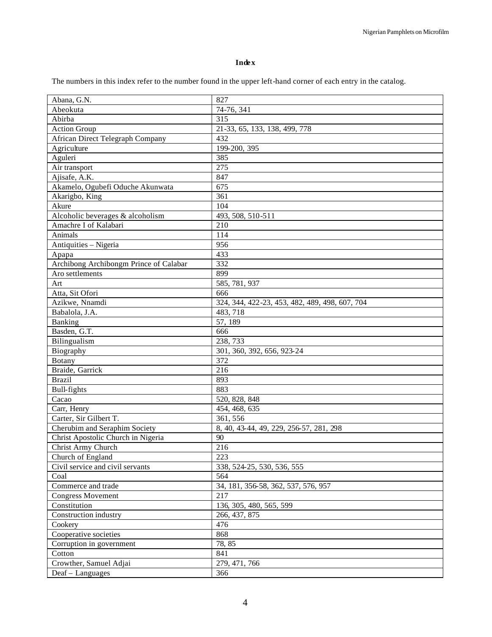## **Index**

The numbers in this index refer to the number found in the upper left-hand corner of each entry in the catalog.

| Abana, G.N.                            | 827                                            |
|----------------------------------------|------------------------------------------------|
| Abeokuta                               | 74-76, 341                                     |
| Abirba                                 | 315                                            |
| <b>Action Group</b>                    | 21-33, 65, 133, 138, 499, 778                  |
| African Direct Telegraph Company       | 432                                            |
| Agriculture                            | 199-200, 395                                   |
| Aguleri                                | 385                                            |
| Air transport                          | 275                                            |
| Ajisafe, A.K.                          | 847                                            |
| Akamelo, Ogubefi Oduche Akunwata       | 675                                            |
| Akarigbo, King                         | 361                                            |
| Akure                                  | 104                                            |
| Alcoholic beverages & alcoholism       | 493, 508, 510-511                              |
| Amachre I of Kalabari                  | 210                                            |
| Animals                                | 114                                            |
| Antiquities - Nigeria                  | 956                                            |
| Apapa                                  | 433                                            |
| Archibong Archibongm Prince of Calabar | 332                                            |
| Aro settlements                        | 899                                            |
| Art                                    | 585, 781, 937                                  |
| Atta, Sit Ofori                        | 666                                            |
| Azikwe, Nnamdi                         | 324, 344, 422-23, 453, 482, 489, 498, 607, 704 |
| Babalola, J.A.                         | 483, 718                                       |
| Banking                                | 57, 189                                        |
| Basden, G.T.                           | 666                                            |
| Bilingualism                           | 238, 733                                       |
| Biography                              | 301, 360, 392, 656, 923-24                     |
| Botany                                 | 372                                            |
| Braide, Garrick                        | 216                                            |
| <b>Brazil</b>                          | 893                                            |
| <b>Bull-fights</b>                     | 883                                            |
| Cacao                                  | 520, 828, 848                                  |
| Carr, Henry                            | 454, 468, 635                                  |
| Carter, Sir Gilbert T.                 | 361, 556                                       |
| Cherubim and Seraphim Society          | 8, 40, 43-44, 49, 229, 256-57, 281, 298        |
| Christ Apostolic Church in Nigeria     | 90                                             |
| Christ Army Church                     | 216                                            |
| Church of England                      | 223                                            |
| Civil service and civil servants       | 338, 524-25, 530, 536, 555                     |
| Coal                                   | 564                                            |
| Commerce and trade                     | 34, 181, 356-58, 362, 537, 576, 957            |
| <b>Congress Movement</b>               | 217                                            |
| Constitution                           | 136, 305, 480, 565, 599                        |
| Construction industry                  | 266, 437, 875                                  |
| Cookery                                | 476                                            |
| Cooperative societies                  | 868                                            |
| Corruption in government               | 78, 85                                         |
| Cotton                                 | 841                                            |
| Crowther, Samuel Adjai                 | 279, 471, 766                                  |
| Deaf - Languages                       | 366                                            |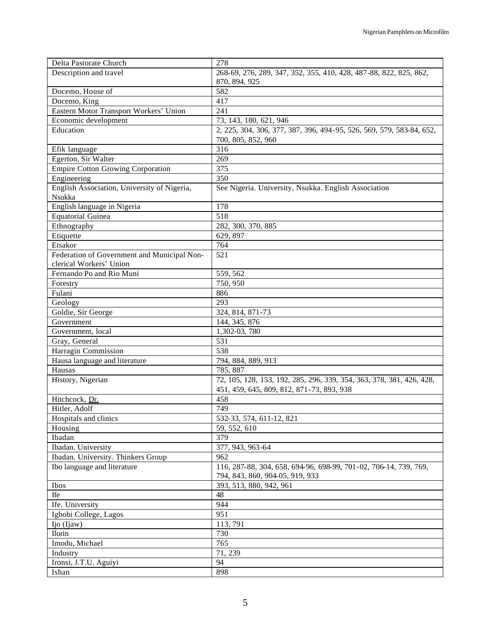| Delta Pastorate Church                      | 278                                                                  |
|---------------------------------------------|----------------------------------------------------------------------|
| Description and travel                      | 268-69, 276, 289, 347, 352, 355, 410, 428, 487-88, 822, 825, 862,    |
|                                             | 870, 894, 925                                                        |
| Docemo, House of                            | 582                                                                  |
| Docemo, King                                | 417                                                                  |
| Eastern Motor Transport Workers' Union      | 241                                                                  |
| Economic development                        | 73, 143, 180, 621, 946                                               |
| Education                                   | 2, 225, 304, 306, 377, 387, 396, 494-95, 526, 569, 579, 583-84, 652, |
|                                             | 700, 805, 852, 960                                                   |
| Efik language                               | 316                                                                  |
| Egerton, Sir Walter                         | 269                                                                  |
| <b>Empire Cotton Growing Corporation</b>    | 375                                                                  |
| Engineering                                 | 350                                                                  |
| English Association, University of Nigeria, | See Nigeria. University, Nsukka. English Association                 |
| Nsukka                                      |                                                                      |
| English language in Nigeria                 | 178                                                                  |
| <b>Equatorial Guinea</b>                    | 518                                                                  |
| Ethnography                                 | 282, 300, 370, 885                                                   |
| Etiquette                                   | 629, 897                                                             |
| Etsakor                                     | 764                                                                  |
| Federation of Government and Municipal Non- | 521                                                                  |
| clerical Workers' Union                     |                                                                      |
| Fernando Po and Rio Muni                    | 559, 562                                                             |
| Forestry                                    | 750, 950                                                             |
| Fulani                                      | 886                                                                  |
| Geology                                     | 293                                                                  |
| Goldie, Sir George                          | 324, 814, 871-73                                                     |
| Government                                  | 144, 345, 876                                                        |
| Government, local                           | 1,302-03, 780                                                        |
| Gray, General                               | 531                                                                  |
| Harragin Commission                         | 538                                                                  |
| Hausa language and literature               | 794, 884, 889, 913                                                   |
| Hausas                                      | 785, 887                                                             |
| History, Nigerian                           | 72, 105, 128, 153, 192, 285, 296, 339, 354, 363, 378, 381, 426, 428, |
|                                             | 451, 459, 645, 809, 812, 871-73, 893, 938                            |
| Hitchcock, Dr.<br>Hitler, Adolf             | 458<br>749                                                           |
| Hospitals and clinics                       |                                                                      |
|                                             | 532-33, 574, 611-12, 821<br>59, 552, 610                             |
| Housing<br>Ibadan                           | 379                                                                  |
| Ibadan. University                          | 377, 943, 963-64                                                     |
| Ibadan. University. Thinkers Group          | 962                                                                  |
| Ibo language and literature                 | 116, 287-88, 304, 658, 694-96, 698-99, 701-02, 706-14, 739, 769,     |
|                                             | 794, 843, 860, 904-05, 919, 933                                      |
| Ibos                                        | 393, 513, 880, 942, 961                                              |
| Ife                                         | 48                                                                   |
| Ife. University                             | 944                                                                  |
| Igbobi College, Lagos                       | 951                                                                  |
| Ijo (Ijaw)                                  | 113,791                                                              |
| Ilorin                                      | 730                                                                  |
| Imodu, Michael                              | 765                                                                  |
| Industry                                    | 71, 239                                                              |
| Ironsi, J.T.U. Aguiyi                       | 94                                                                   |
| Ishan                                       | 898                                                                  |
|                                             |                                                                      |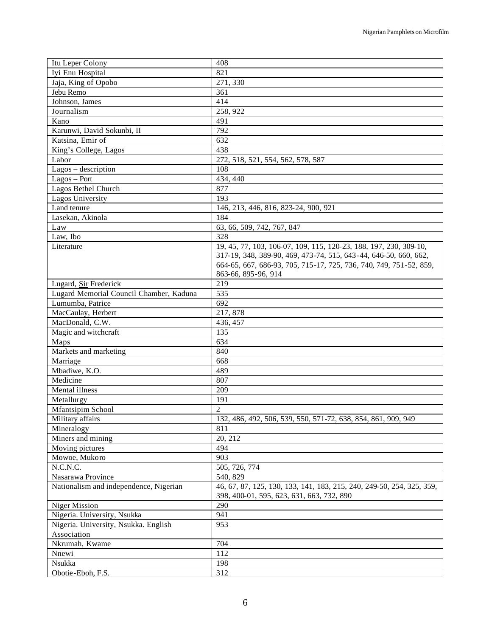| Itu Leper Colony                        | 408                                                                   |
|-----------------------------------------|-----------------------------------------------------------------------|
| Iyi Enu Hospital                        | 821                                                                   |
| Jaja, King of Opobo                     | 271,330                                                               |
| Jebu Remo                               | 361                                                                   |
| Johnson, James                          | 414                                                                   |
| Journalism                              | 258, 922                                                              |
| Kano                                    | 491                                                                   |
| Karunwi, David Sokunbi, II              | 792                                                                   |
| Katsina, Emir of                        | 632                                                                   |
| King's College, Lagos                   | 438                                                                   |
| Labor                                   | 272, 518, 521, 554, 562, 578, 587                                     |
| Lagos - description                     | 108                                                                   |
| $Lagos - Port$                          | 434, 440                                                              |
| Lagos Bethel Church                     | 877                                                                   |
| Lagos University                        | 193                                                                   |
| Land tenure                             | 146, 213, 446, 816, 823-24, 900, 921                                  |
| Lasekan, Akinola                        | 184                                                                   |
| Law                                     | 63, 66, 509, 742, 767, 847                                            |
| Law, Ibo                                | 328                                                                   |
| Literature                              | 19, 45, 77, 103, 106-07, 109, 115, 120-23, 188, 197, 230, 309-10,     |
|                                         | 317-19, 348, 389-90, 469, 473-74, 515, 643-44, 646-50, 660, 662,      |
|                                         | 664-65, 667, 686-93, 705, 715-17, 725, 736, 740, 749, 751-52, 859,    |
|                                         | 863-66, 895-96, 914                                                   |
| Lugard, Sir Frederick                   | 219                                                                   |
| Lugard Memorial Council Chamber, Kaduna | 535                                                                   |
| Lumumba, Patrice                        | 692                                                                   |
| MacCaulay, Herbert                      | 217,878                                                               |
| MacDonald, C.W.                         | 436, 457                                                              |
| Magic and witchcraft                    | 135                                                                   |
| Maps                                    | 634                                                                   |
| Markets and marketing                   | 840                                                                   |
| Marriage                                | 668                                                                   |
| Mbadiwe, K.O.                           | 489                                                                   |
| Medicine                                | 807                                                                   |
| Mental illness                          | 209                                                                   |
| Metallurgy                              | 191                                                                   |
| Mfantsipim School                       | $\overline{c}$                                                        |
| Military affairs                        | 132, 486, 492, 506, 539, 550, 571-72, 638, 854, 861, 909, 949         |
| Mineralogy                              | 811                                                                   |
| Miners and mining                       | 20, 212                                                               |
| Moving pictures                         | 494                                                                   |
| Mowoe, Mukoro                           | 903                                                                   |
| N.C.N.C.                                | 505, 726, 774                                                         |
| Nasarawa Province                       | 540, 829                                                              |
| Nationalism and independence, Nigerian  | 46, 67, 87, 125, 130, 133, 141, 183, 215, 240, 249-50, 254, 325, 359, |
|                                         | 398, 400-01, 595, 623, 631, 663, 732, 890                             |
| Niger Mission                           | 290                                                                   |
| Nigeria. University, Nsukka             | 941                                                                   |
| Nigeria. University, Nsukka. English    | 953                                                                   |
| Association                             |                                                                       |
| Nkrumah, Kwame                          | 704                                                                   |
| Nnewi                                   | 112                                                                   |
| Nsukka                                  | 198                                                                   |
| Obotie-Eboh, F.S.                       | 312                                                                   |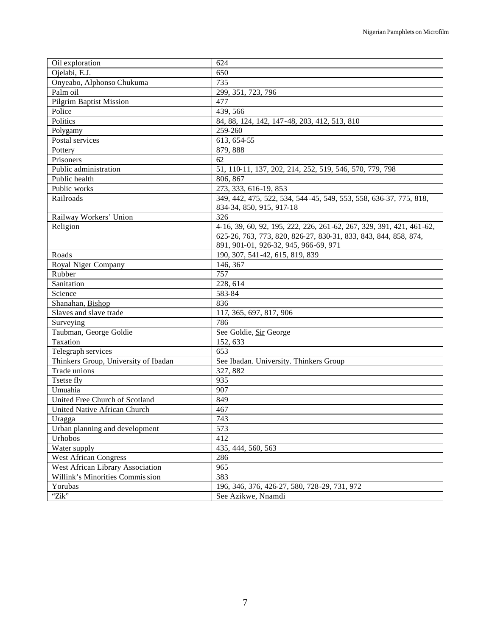| Oil exploration                      | 624                                                                  |
|--------------------------------------|----------------------------------------------------------------------|
| Ojelabi, E.J.                        | 650                                                                  |
| Onyeabo, Alphonso Chukuma            | 735                                                                  |
| Palm oil                             | 299, 351, 723, 796                                                   |
| <b>Pilgrim Baptist Mission</b>       | 477                                                                  |
| Police                               | 439, 566                                                             |
| Politics                             | 84, 88, 124, 142, 147-48, 203, 412, 513, 810                         |
| Polygamy                             | 259-260                                                              |
| Postal services                      | $\overline{6}$ 13, 654-55                                            |
| Pottery                              | 879, 888                                                             |
| Prisoners                            | 62                                                                   |
| Public administration                | 51, 110-11, 137, 202, 214, 252, 519, 546, 570, 779, 798              |
| Public health                        | 806, 867                                                             |
| Public works                         | 273, 333, 616-19, 853                                                |
| Railroads                            | 349, 442, 475, 522, 534, 544-45, 549, 553, 558, 636-37, 775, 818,    |
|                                      | 834-34, 850, 915, 917-18                                             |
| Railway Workers' Union               | 326                                                                  |
| Religion                             | 4-16, 39, 60, 92, 195, 222, 226, 261-62, 267, 329, 391, 421, 461-62, |
|                                      | 625-26, 763, 773, 820, 826-27, 830-31, 833, 843, 844, 858, 874,      |
|                                      | 891, 901-01, 926-32, 945, 966-69, 971                                |
| Roads                                | 190, 307, 541-42, 615, 819, 839                                      |
| Royal Niger Company                  | 146, 367                                                             |
| Rubber                               | 757                                                                  |
| Sanitation                           | 228, 614                                                             |
| Science                              | 583-84                                                               |
| Shanahan, Bishop                     | 836                                                                  |
| Slaves and slave trade               | 117, 365, 697, 817, 906                                              |
| Surveying                            | 786                                                                  |
| Taubman, George Goldie               | See Goldie, Sir George                                               |
| Taxation                             | 152, 633                                                             |
| Telegraph services                   | 653                                                                  |
| Thinkers Group, University of Ibadan | See Ibadan. University. Thinkers Group                               |
| Trade unions                         | 327, 882                                                             |
| Tsetse fly                           | 935                                                                  |
| Umuahia                              | 907                                                                  |
| United Free Church of Scotland       | 849                                                                  |
| United Native African Church         | 467                                                                  |
| Uragga                               | 743                                                                  |
| Urban planning and development       | 573                                                                  |
| Urhobos                              | 412                                                                  |
| Water supply                         | 435, 444, 560, 563                                                   |
| <b>West African Congress</b>         | 286                                                                  |
| West African Library Association     | 965                                                                  |
| Willink's Minorities Commission      | 383                                                                  |
| Yorubas                              | 196, 346, 376, 426-27, 580, 728-29, 731, 972                         |
| "Zik"                                | See Azikwe, Nnamdi                                                   |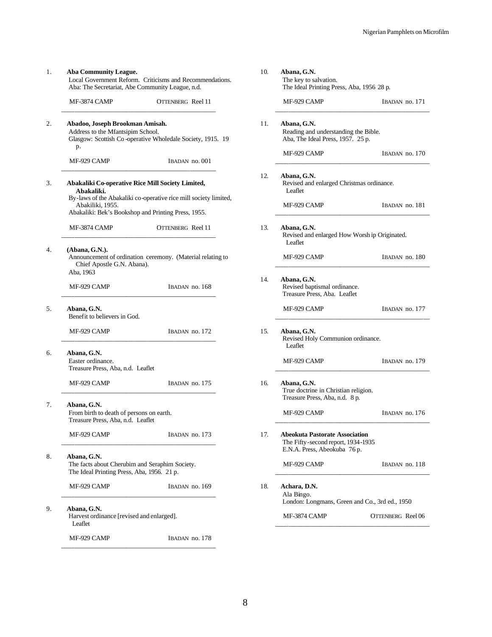| MF-3874 CAMP                                                                                                                       | OTTENBERG Reel 11                                                |  |  |  |  |
|------------------------------------------------------------------------------------------------------------------------------------|------------------------------------------------------------------|--|--|--|--|
|                                                                                                                                    |                                                                  |  |  |  |  |
| Abadoo, Joseph Brookman Amisah.<br>Address to the Mfantsipim School.<br>Glasgow: Scottish Co-operative Wholedale Society, 1915. 19 |                                                                  |  |  |  |  |
| p.                                                                                                                                 |                                                                  |  |  |  |  |
| MF-929 CAMP                                                                                                                        | IBADAN no. 001                                                   |  |  |  |  |
|                                                                                                                                    | Abakaliki Co-operative Rice Mill Society Limited,                |  |  |  |  |
| Abakaliki.<br>Abakiliki, 1955.                                                                                                     | By-laws of the Abakaliki co-operative rice mill society limited, |  |  |  |  |
|                                                                                                                                    | Abakaliki: Bek's Bookshop and Printing Press, 1955.              |  |  |  |  |
| MF-3874 CAMP                                                                                                                       | OTTENBERG Reel 11                                                |  |  |  |  |
| (Abana, G.N.).<br>Announcement of ordination ceremony. (Material relating to<br>Chief Apostle G.N. Abana).<br>Aba, 1963            |                                                                  |  |  |  |  |
| MF-929 CAMP                                                                                                                        | IBADAN no. 168                                                   |  |  |  |  |
| Abana, G.N.<br>Benefit to believers in God.                                                                                        |                                                                  |  |  |  |  |
| MF-929 CAMP                                                                                                                        | IBADAN no. 172                                                   |  |  |  |  |
| Abana, G.N.<br>Easter ordinance.<br>Treasure Press, Aba, n.d. Leaflet                                                              |                                                                  |  |  |  |  |
| MF-929 CAMP                                                                                                                        | IBADAN no. 175                                                   |  |  |  |  |
| Abana, G.N.<br>From birth to death of persons on earth.<br>Treasure Press, Aba, n.d. Leaflet                                       |                                                                  |  |  |  |  |
| MF-929 CAMP                                                                                                                        | IBADAN no. 173                                                   |  |  |  |  |
| Abana, G.N.<br>The facts about Cherubim and Seraphim Society.<br>The Ideal Printing Press, Aba, 1956. 21 p.                        |                                                                  |  |  |  |  |
| MF-929 CAMP                                                                                                                        | IBADAN no. 169                                                   |  |  |  |  |
| Abana, G.N.<br>Harvest ordinance [revised and enlarged].<br>Leaflet                                                                |                                                                  |  |  |  |  |
| MF-929 CAMP                                                                                                                        | IBADAN no. 178                                                   |  |  |  |  |
|                                                                                                                                    |                                                                  |  |  |  |  |

| 10. | Abana, G.N.<br>The key to salvation.<br>The Ideal Printing Press, Aba, 1956 28 p.                           |                   |
|-----|-------------------------------------------------------------------------------------------------------------|-------------------|
|     | MF-929 CAMP                                                                                                 | IBADAN no. 171    |
| 11. | Abana, G.N.<br>Reading and understanding the Bible.<br>Aba, The Ideal Press, 1957. 25 p.                    |                   |
|     | MF-929 CAMP                                                                                                 | IBADAN no. 170    |
| 12. | Abana, G.N.<br>Revised and enlarged Christmas ordinance.<br>Leaflet                                         |                   |
|     | MF-929 CAMP                                                                                                 | IBADAN no. 181    |
| 13. | Abana, G.N.<br>Revised and enlarged How Worsh ip Originated.<br>Leaflet                                     |                   |
|     | MF-929 CAMP                                                                                                 | IBADAN no. 180    |
| 14. | Abana, G.N.<br>Revised baptismal ordinance.<br>Treasure Press, Aba. Leaflet                                 |                   |
|     | MF-929 CAMP                                                                                                 | IBADAN no. 177    |
| 15. | Abana, G.N.<br>Revised Holy Communion ordinance.<br>Leaflet                                                 |                   |
|     | MF-929 CAMP                                                                                                 | IBADAN no. 179    |
| 16. | Abana, G.N.<br>True doctrine in Christian religion.<br>Treasure Press, Aba, n.d. 8 p.                       |                   |
|     | MF-929 CAMP                                                                                                 | IBADAN no. 176    |
| 17. | <b>Abeokuta Pastorate Association</b><br>The Fifty-second report, 1934-1935<br>E.N.A. Press, Abeokuba 76 p. |                   |
|     | MF-929 CAMP                                                                                                 | IBADAN no. 118    |
| 18. | Achara, D.N.<br>Ala Bingo.<br>London: Longmans, Green and Co., 3rd ed., 1950                                |                   |
|     | MF-3874 CAMP                                                                                                | OTTENBERG Reel 06 |
|     |                                                                                                             |                   |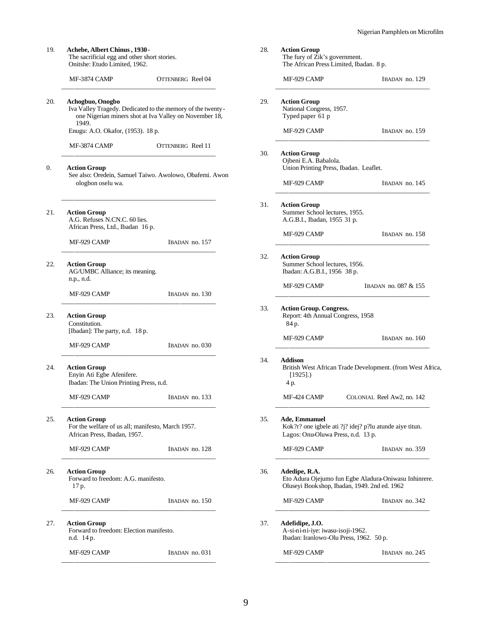| 19. | Achebe, Albert Chinus, 1930-<br>The sacrificial egg and other short stories.<br>Onitshe: Etudo Limited, 1962. |                                                                                                                                                                      | 28. | <b>Action Group</b><br>The fury of Zik's government.<br>The African Press Limited, Ibadan. 8 p.                |                                                            |
|-----|---------------------------------------------------------------------------------------------------------------|----------------------------------------------------------------------------------------------------------------------------------------------------------------------|-----|----------------------------------------------------------------------------------------------------------------|------------------------------------------------------------|
|     | MF-3874 CAMP                                                                                                  | OTTENBERG Reel 04                                                                                                                                                    |     | MF-929 CAMP                                                                                                    | IBADAN no. 129                                             |
| 20. | Achogbuo, Onogbo<br>1949.                                                                                     | Iva Valley Tragedy. Dedicated to the memory of the twenty-<br>one Nigerian miners shot at Iva Valley on November 18,                                                 | 29. | <b>Action Group</b><br>National Congress, 1957.<br>Typed paper 61 p                                            |                                                            |
|     | Enugu: A.O. Okafor, (1953). 18 p.                                                                             |                                                                                                                                                                      |     | MF-929 CAMP                                                                                                    | IBADAN no. 159                                             |
|     | MF-3874 CAMP                                                                                                  | OTTENBERG Reel 11                                                                                                                                                    | 30. | <b>Action Group</b>                                                                                            |                                                            |
| 0.  | <b>Action Group</b>                                                                                           | See also: Oredein, Samuel Taiwo. Awolowo, Obafemi. Awon                                                                                                              |     | Ojbeni E.A. Babalola.<br>Union Printing Press, Ibadan. Leaflet.                                                |                                                            |
|     | ologbon oselu wa.                                                                                             |                                                                                                                                                                      |     | MF-929 CAMP                                                                                                    | IBADAN no. 145                                             |
| 21. | <b>Action Group</b><br>A.G. Refuses N.CN.C. 60 lies.<br>African Press, Ltd., Ibadan 16 p.                     |                                                                                                                                                                      | 31. | <b>Action Group</b><br>Summer School lectures, 1955.<br>A.G.B.I., Ibadan, 1955 31 p.                           |                                                            |
|     | MF-929 CAMP                                                                                                   | IBADAN no. 157                                                                                                                                                       |     | MF-929 CAMP                                                                                                    | IBADAN no. 158                                             |
| 22. | <b>Action Group</b><br>AG/UMBC Alliance; its meaning.<br>n.p., n.d.                                           |                                                                                                                                                                      | 32. | <b>Action Group</b><br>Summer School lectures, 1956.<br>Ibadan: A.G.B.I., 1956 38 p.                           |                                                            |
|     | MF-929 CAMP                                                                                                   | IBADAN no. 130                                                                                                                                                       |     | MF-929 CAMP                                                                                                    | IBADAN no. 087 & 155                                       |
| 23. | <b>Action Group</b><br>Constitution.<br>[Ibadan]: The party, n.d. 18 p.                                       |                                                                                                                                                                      | 33. | <b>Action Group. Congress.</b><br>Report: 4th Annual Congress, 1958<br>84 p.                                   |                                                            |
|     | MF-929 CAMP                                                                                                   | IBADAN no. 030                                                                                                                                                       |     | MF-929 CAMP                                                                                                    | IBADAN no. 160                                             |
| 24. | <b>Action Group</b><br>Enyin Ati Egbe Afenifere.<br>Ibadan: The Union Printing Press, n.d.                    |                                                                                                                                                                      | 34. | <b>Addison</b><br>$[1925]$ .)<br>4 p.                                                                          | British West African Trade Development. (from West Africa, |
|     | MF-929 CAMP                                                                                                   | IBADAN no. 133                                                                                                                                                       |     | MF-424 CAMP                                                                                                    | COLONIAL Reel Aw2, no. 142                                 |
| 25. | <b>Action Group</b><br>For the welfare of us all; manifesto, March 1957.<br>African Press, Ibadan, 1957.      |                                                                                                                                                                      | 35. | Ade, Emmanuel<br>Kok?r? one igbele ati ?j? idej? p?lu atunde aiye titun.<br>Lagos: Onu-Oluwa Press, n.d. 13 p. |                                                            |
|     | MF-929 CAMP                                                                                                   | IBADAN no. 128                                                                                                                                                       |     | MF-929 CAMP                                                                                                    | IBADAN no. 359                                             |
| 26. | <b>Action Group</b><br>17 p.                                                                                  | 36.<br>Adedipe, R.A.<br>Forward to freedom: A.G. manifesto.<br>Eto Adura Ojejumo fun Egbe Aladura-Oniwasu Inhinrere.<br>Oluseyi Bookshop, Ibadan, 1949. 2nd ed. 1962 |     |                                                                                                                |                                                            |
|     | MF-929 CAMP                                                                                                   | IBADAN no. 150                                                                                                                                                       |     | MF-929 CAMP                                                                                                    | IBADAN no. 342                                             |
| 27. | <b>Action Group</b><br>Forward to freedom: Election manifesto.<br>n.d. 14 p.                                  |                                                                                                                                                                      | 37. | Adefidipe, J.O.<br>A-si-ni-ni-iye: iwasu-isoji-1962.<br>Ibadan: Iranlowo-Olu Press, 1962. 50 p.                |                                                            |
|     | MF-929 CAMP                                                                                                   | IBADAN no. 031                                                                                                                                                       |     | MF-929 CAMP                                                                                                    | IBADAN no. 245                                             |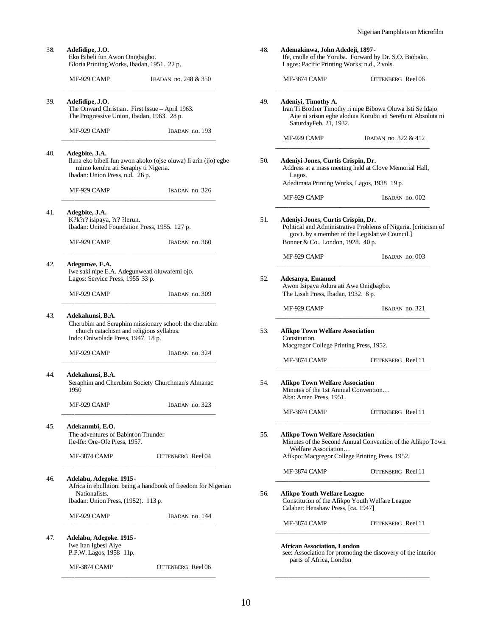| 38. | Adefidipe, J.O.<br>Eko Bibeli fun Awon Onigbagbo.<br>Gloria Printing Works, Ibadan, 1951. 22 p.                                                             | 48. | Ademakinwa, John Adedeji, 1897 -<br>Lagos: Pacific Printing Works; n.d., 2 vols.                                                                                                              | Ife, cradle of the Yoruba. Forward by Dr. S.O. Biobaku.                                                                    |
|-----|-------------------------------------------------------------------------------------------------------------------------------------------------------------|-----|-----------------------------------------------------------------------------------------------------------------------------------------------------------------------------------------------|----------------------------------------------------------------------------------------------------------------------------|
|     | MF-929 CAMP<br>IBADAN no. 248 & 350                                                                                                                         |     | MF-3874 CAMP                                                                                                                                                                                  | OTTENBERG Reel 06                                                                                                          |
| 39. | Adefidipe, J.O.<br>The Onward Christian. First Issue - April 1963.<br>The Progressive Union, Ibadan, 1963. 28 p.                                            | 49. | Adeniyi, Timothy A.<br>SaturdayFeb. 21, 1932.                                                                                                                                                 | Iran Ti Brother Timothy ri nipe Bibowa Oluwa Isti Se Idajo<br>Aije ni srisun egbe aloduia Korubu ati Serefu ni Absoluta ni |
|     | MF-929 CAMP<br>IBADAN no. 193                                                                                                                               |     | MF-929 CAMP                                                                                                                                                                                   | IBADAN no. 322 & 412                                                                                                       |
| 40. | Adegbite, J.A.<br>Ilana eko bibeli fun awon akoko (ojse oluwa) li arin (ijo) egbe<br>mimo kerubu ati Seraphy ti Nigeria.<br>Ibadan: Union Press, n.d. 26 p. | 50. | Adeniyi-Jones, Curtis Crispin, Dr.<br>Address at a mass meeting held at Clove Memorial Hall,<br>Lagos.<br>Adedimata Printing Works, Lagos, 1938 19 p.                                         |                                                                                                                            |
|     | MF-929 CAMP<br>IBADAN no. 326                                                                                                                               |     | MF-929 CAMP                                                                                                                                                                                   | IBADAN no. 002                                                                                                             |
| 41. | Adegbite, J.A.<br>K?k?r? isipaya, ?r? ?lerun.<br>51.<br>Ibadan: United Foundation Press, 1955. 127 p.                                                       |     | Adeniyi-Jones, Curtis Crispin, Dr.<br>Political and Administrative Problems of Nigeria. [criticism of<br>gov't. by a member of the Legislative Council.]<br>Bonner & Co., London, 1928. 40 p. |                                                                                                                            |
|     | MF-929 CAMP<br>IBADAN no. 360                                                                                                                               |     | MF-929 CAMP                                                                                                                                                                                   | IBADAN no. 003                                                                                                             |
| 42. | Adegunwe, E.A.<br>Iwe saki nipe E.A. Adegunweati oluwafemi ojo.<br>Lagos: Service Press, 1955 33 p.                                                         | 52. | Adesanya, Emanuel<br>Awon Isipaya Adura ati Awe Onigbagbo.                                                                                                                                    |                                                                                                                            |
|     | MF-929 CAMP<br>IBADAN no. 309                                                                                                                               |     | The Lisah Press, Ibadan, 1932. 8 p.                                                                                                                                                           |                                                                                                                            |
| 43. | Adekahunsi, B.A.<br>Cherubim and Seraphim missionary school: the cherubim<br>church catachism and religious syllabus.<br>Indo: Oniwolade Press, 1947. 18 p. | 53. | MF-929 CAMP<br>IBADAN no. 321<br><b>Afikpo Town Welfare Association</b><br>Constitution.<br>Macgregor College Printing Press, 1952.                                                           |                                                                                                                            |
|     | MF-929 CAMP<br>IBADAN no. 324                                                                                                                               |     | MF-3874 CAMP                                                                                                                                                                                  | OTTENBERG Reel 11                                                                                                          |
| 44. | Adekahunsi, B.A.<br>Seraphim and Cherubim Society Churchman's Almanac<br>1950                                                                               | 54. | <b>Afikpo Town Welfare Association</b><br>Minutes of the 1st Annual Convention<br>Aba: Amen Press, 1951.                                                                                      |                                                                                                                            |
|     | MF-929 CAMP<br>IBADAN no. 323                                                                                                                               |     | MF-3874 CAMP                                                                                                                                                                                  | <b>OTTENBERG</b> Reel 11                                                                                                   |
| 45. | Adekanmbi, E.O.<br>The adventures of Babinton Thunder<br>Ile-Ife: Ore-Ofe Press, 1957.                                                                      | 55. | <b>Afikpo Town Welfare Association</b><br>Welfare Association                                                                                                                                 | Minutes of the Second Annual Convention of the Afikpo Town                                                                 |
|     | MF-3874 CAMP<br><b>OTTENBERG</b> Reel 04                                                                                                                    |     | Afikpo: Macgregor College Printing Press, 1952.                                                                                                                                               |                                                                                                                            |
| 46. | Adelabu, Adegoke. 1915-<br>Africa in ebullition: being a handbook of freedom for Nigerian                                                                   |     | MF-3874 CAMP                                                                                                                                                                                  | <b>OTTENBERG</b> Reel 11                                                                                                   |
|     | Nationalists.<br>Ibadan: Union Press, (1952). 113 p.                                                                                                        | 56. | <b>Afikpo Youth Welfare League</b><br>Constitution of the Afikpo Youth Welfare League<br>Calaber: Henshaw Press, [ca. 1947]                                                                   |                                                                                                                            |
|     | MF-929 CAMP<br>IBADAN no. 144                                                                                                                               |     | MF-3874 CAMP                                                                                                                                                                                  | <b>OTTENBERG</b> Reel 11                                                                                                   |
| 47. | Adelabu, Adegoke. 1915 -<br>Iwe Itan Igbesi Aiye<br>P.P.W. Lagos, 1958 11p.                                                                                 |     | <b>African Association, London</b><br>parts of Africa, London                                                                                                                                 | see: Association for promoting the discovery of the interior                                                               |
|     | MF-3874 CAMP<br>OTTENBERG Reel 06                                                                                                                           |     |                                                                                                                                                                                               |                                                                                                                            |
|     |                                                                                                                                                             |     |                                                                                                                                                                                               |                                                                                                                            |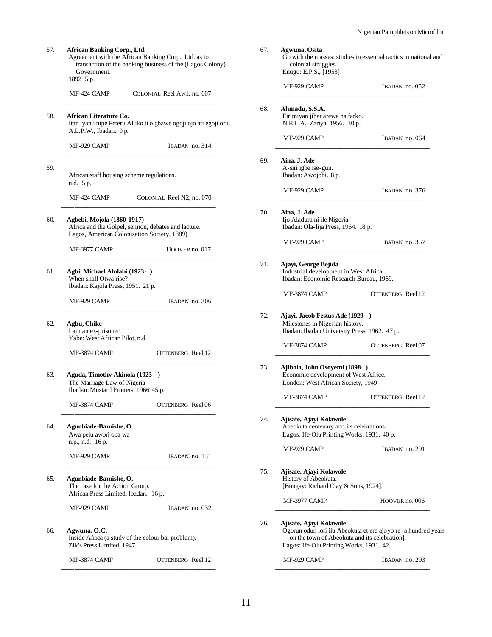Go with the masses: studies in essential tactics in national and

MF-929 CAMP IBADAN no. 052 \_\_\_\_\_\_\_\_\_\_\_\_\_\_\_\_\_\_\_\_\_\_\_\_\_\_\_\_\_\_\_\_\_\_\_\_\_\_\_\_\_\_\_\_\_\_\_\_

MF-929 CAMP IBADAN no. 064 \_\_\_\_\_\_\_\_\_\_\_\_\_\_\_\_\_\_\_\_\_\_\_\_\_\_\_\_\_\_\_\_\_\_\_\_\_\_\_\_\_\_\_\_\_\_\_\_

MF-929 CAMP IBADAN no. 376 \_\_\_\_\_\_\_\_\_\_\_\_\_\_\_\_\_\_\_\_\_\_\_\_\_\_\_\_\_\_\_\_\_\_\_\_\_\_\_\_\_\_\_\_\_\_\_\_

MF-929 CAMP IBADAN no. 357 \_\_\_\_\_\_\_\_\_\_\_\_\_\_\_\_\_\_\_\_\_\_\_\_\_\_\_\_\_\_\_\_\_\_\_\_\_\_\_\_\_\_\_\_\_\_\_\_

MF-3874 CAMP OTTENBERG Reel 12 \_\_\_\_\_\_\_\_\_\_\_\_\_\_\_\_\_\_\_\_\_\_\_\_\_\_\_\_\_\_\_\_\_\_\_\_\_\_\_\_\_\_\_\_\_\_\_\_

MF-3874 CAMP OTTENBERG Reel 07 \_\_\_\_\_\_\_\_\_\_\_\_\_\_\_\_\_\_\_\_\_\_\_\_\_\_\_\_\_\_\_\_\_\_\_\_\_\_\_\_\_\_\_\_\_\_\_\_

MF-3874 CAMP OTTENBERG Reel 12 \_\_\_\_\_\_\_\_\_\_\_\_\_\_\_\_\_\_\_\_\_\_\_\_\_\_\_\_\_\_\_\_\_\_\_\_\_\_\_\_\_\_\_\_\_\_\_\_

MF-929 CAMP IBADAN no. 291 \_\_\_\_\_\_\_\_\_\_\_\_\_\_\_\_\_\_\_\_\_\_\_\_\_\_\_\_\_\_\_\_\_\_\_\_\_\_\_\_\_\_\_\_\_\_\_\_

MF-3977 CAMP HOOVER no. 006 \_\_\_\_\_\_\_\_\_\_\_\_\_\_\_\_\_\_\_\_\_\_\_\_\_\_\_\_\_\_\_\_\_\_\_\_\_\_\_\_\_\_\_\_\_\_\_\_

on the town of Abeokuta and its celebration]. Lagos: Ife-Olu Printing Works, 1931. 42.

MF-929 CAMP IBADAN no. 293 \_\_\_\_\_\_\_\_\_\_\_\_\_\_\_\_\_\_\_\_\_\_\_\_\_\_\_\_\_\_\_\_\_\_\_\_\_\_\_\_\_\_\_\_\_\_\_\_

Ogorun odun lori ilu Abeokuta et ere ajoyo re [a hundred years

67. **Agwuna, Osita**

68. **Ahmadu, S.S.A.**

69. **Aina, J. Ade**

70. **Aina, J. Ade**

71. **Ajayi, George Bejida**

A-siri igbe ise-gun. Ibadan: Awojobi. 8 p.

Ijo Aladura ni ile Nigeria. Ibadan: Ola-lija Press, 1964. 18 p.

72. **Ajayi, Jacob Festus Ade (1929- )** Milestones in Nigerian history.

73. **Ajibola, John Osoyemi (1898- )**

74. **Ajisafe, Ajayi Kolawole**

75. **Ajisafe, Ajayi Kolawole** History of Abeokuta.

76. **Ajisafe, Ajayi Kolawole**

Industrial development in West Africa. Ibadan: Economic Research Bureau, 1969.

Ibadan: Ibadan University Press, 1962. 47 p.

Economic development of West Africe. London: West African Society, 1949

Abeokuta centenary and its celebrations. Lagos: Ife-Olu Printing Works, 1931. 40 p.

[Bungay: Richard Clay & Sons, 1924].

colonial struggles. Enugu: E.P.S., [1953]

Firimiyan jihar arewa na farko. N.R.L.A., Zariya, 1956. 30 p.

| 57. | Government.<br>1892 5 p.                                                                                                         | <b>African Banking Corp., Ltd.</b><br>Agreement with the African Banking Corp., Ltd. as to<br>transaction of the banking business of the (Lagos Colony) |  |  |  |
|-----|----------------------------------------------------------------------------------------------------------------------------------|---------------------------------------------------------------------------------------------------------------------------------------------------------|--|--|--|
|     | MF-424 CAMP                                                                                                                      | COLONIAL Reel Aw1, no. 007                                                                                                                              |  |  |  |
| 58. | African Literature Co.<br>A.L.P.W., Ibadan. 9 p.                                                                                 | Itan iyanu nipe Peteru Aluko ti o gbawe ogoji ojo ati egoji oru.                                                                                        |  |  |  |
|     | MF-929 CAMP                                                                                                                      | IBADAN no. 314                                                                                                                                          |  |  |  |
| 59. | African staff housing scheme regulations.<br>n.d. 5 p.                                                                           |                                                                                                                                                         |  |  |  |
|     | MF-424 CAMP                                                                                                                      | COLONIAL Reel N2, no. 070                                                                                                                               |  |  |  |
| 60. | Agbebi, Mojola (1860-1917)<br>Africa and the Golpel, sermon, debates and lacture.<br>Lagos, American Colonisation Society, 1889) |                                                                                                                                                         |  |  |  |
|     | MF-3977 CAMP                                                                                                                     | HOOVER no. 017                                                                                                                                          |  |  |  |
| 61. | Agbi, Michael Afolabi (1923- )<br>When shall Otwa rise?<br>Ibadan: Kajola Press, 1951. 21 p.                                     |                                                                                                                                                         |  |  |  |
|     | MF-929 CAMP                                                                                                                      | IBADAN no. 306                                                                                                                                          |  |  |  |
| 62. | Agbu, Chike<br>I am an ex-prisoner.<br>Yabe: West African Pilot, n.d.                                                            |                                                                                                                                                         |  |  |  |
|     | MF-3874 CAMP                                                                                                                     | OTTENBERG Reel 12                                                                                                                                       |  |  |  |
| 63. | Aguda, Timothy Akinola (1923-)<br>The Marriage Law of Nigeria<br>Ibadan: Mustard Printers, 1966 45 p.                            |                                                                                                                                                         |  |  |  |
|     | MF-3874 CAMP                                                                                                                     | <b>OTTENBERG</b> Reel 06                                                                                                                                |  |  |  |
| 64. | Agunbiade-Bamishe, O.<br>Awa pelu awori oba wa<br>n.p., n.d. 16 p.                                                               |                                                                                                                                                         |  |  |  |
|     | MF-929 CAMP                                                                                                                      | IBADAN no. 131                                                                                                                                          |  |  |  |
| 65. | Agunbiade-Bamishe, O.<br>The case for the Action Group.<br>African Press Limited, Ibadan. 16 p.                                  |                                                                                                                                                         |  |  |  |
|     | MF-929 CAMP                                                                                                                      | IBADAN no. 032                                                                                                                                          |  |  |  |
| 66. | Agwuna, O.C.<br>Zik's Press Limited, 1947.                                                                                       | Inside Africa (a study of the colour bar problem).                                                                                                      |  |  |  |
|     | MF-3874 CAMP                                                                                                                     | OTTENBERG Reel 12                                                                                                                                       |  |  |  |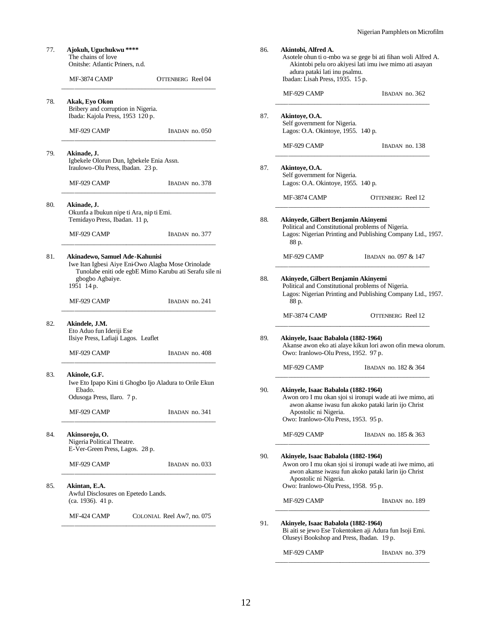| 77. | Ajokuh, Uguchukwu ****<br>The chains of love<br>Onitshe: Atlantic Priners, n.d.                                                                  | 86. | Akintobi, Alfred A.<br>adura pataki lati inu psalmu.                                                  | Asotele ohun ti o-mbo wa se gege bi ati fihan woli Alfred A.<br>Akintobi pelu oro akiyesi lati imu iwe mimo ati asayan |
|-----|--------------------------------------------------------------------------------------------------------------------------------------------------|-----|-------------------------------------------------------------------------------------------------------|------------------------------------------------------------------------------------------------------------------------|
|     | MF-3874 CAMP<br>OTTENBERG Reel 04                                                                                                                |     | Ibadan: Lisah Press, 1935. 15 p.                                                                      |                                                                                                                        |
| 78. | Akak, Eyo Okon                                                                                                                                   |     | MF-929 CAMP                                                                                           | IBADAN no. 362                                                                                                         |
|     | Bribery and corruption in Nigeria.<br>Ibada: Kajola Press, 1953 120 p.                                                                           | 87. | Akintoye, O.A.<br>Self government for Nigeria.                                                        |                                                                                                                        |
|     | MF-929 CAMP<br>IBADAN no. 050                                                                                                                    |     | Lagos: O.A. Okintoye, 1955. 140 p.                                                                    |                                                                                                                        |
| 79. | Akinade, J.<br>Igbekele Olorun Dun, Igbekele Enia Assn.<br>Iraulowo-Olu Press, Ibadan. 23 p.                                                     | 87. | MF-929 CAMP<br>Akintoye, O.A.<br>Self government for Nigeria.                                         | IBADAN no. 138                                                                                                         |
|     | MF-929 CAMP<br>IBADAN no. 378                                                                                                                    |     | Lagos: O.A. Okintoye, 1955. 140 p.                                                                    |                                                                                                                        |
|     |                                                                                                                                                  |     | MF-3874 CAMP                                                                                          | OTTENBERG Reel 12                                                                                                      |
| 80. | Akinade, J.<br>Okunfa a Ibukun nipe ti Ara, nip ti Emi.<br>Temidayo Press, Ibadan. 11 p,<br>MF-929 CAMP<br>IBADAN no. 377                        | 88. | Akinyede, Gilbert Benjamin Akinyemi<br>Political and Constitutional problems of Nigeria.<br>88 p.     | Lagos: Nigerian Printing and Publishing Company Ltd., 1957                                                             |
| 81. | Akinadewo, Samuel Ade-Kahunisi<br>Iwe Itan Igbesi Aiye Eni-Owo Alagba Mose Orinolade                                                             |     | MF-929 CAMP                                                                                           | IBADAN no. 097 & 147                                                                                                   |
|     | Tunolabe eniti ode egbE Mimo Karubu ati Serafu sile ni<br>gbogbo Agbaiye.<br>1951 14 p.<br>IBADAN no. 241<br>MF-929 CAMP                         | 88. | Akinyede, Gilbert Benjamin Akinyemi<br>Political and Constitutional problems of Nigeria.<br>88 p.     | Lagos: Nigerian Printing and Publishing Company Ltd., 1957                                                             |
|     |                                                                                                                                                  |     | MF-3874 CAMP                                                                                          | OTTENBERG Reel 12                                                                                                      |
| 82. | Akindele, J.M.<br>Eto Aduo fun Ideriji Ese<br>Ilsiye Press, Lafiaji Lagos. Leaflet<br>MF-929 CAMP<br>IBADAN no. 408                              | 89. | Akinyele, Isaac Babalola (1882-1964)<br>Owo: Iranlowo-Olu Press, 1952. 97 p.                          | Akanse awon eko ati alaye kikun lori awon ofin mewa olorur                                                             |
|     |                                                                                                                                                  |     | MF-929 CAMP                                                                                           | IBADAN no. 182 & 364                                                                                                   |
| 83. | Akinole, G.F.<br>Iwe Eto Ipapo Kini ti Ghogbo Ijo Aladura to Orile Ekun<br>Ebado.<br>Odusoga Press, Ilaro. 7 p.<br>MF-929 CAMP<br>IBADAN no. 341 | 90. | Akinyele, Isaac Babalola (1882-1964)<br>Apostolic ni Nigeria.<br>Owo: Iranlowo-Olu Press, 1953. 95 p. | Awon oro I mu okan sjoi si ironupi wade ati iwe mimo, ati<br>awon akanse iwasu fun akoko pataki larin ijo Christ       |
| 84. | Akinsoroju, O.<br>Nigeria Political Theatre.                                                                                                     |     | MF-929 CAMP                                                                                           | IBADAN no. 185 & 363                                                                                                   |
|     | E-Ver-Green Press, Lagos. 28 p.<br>MF-929 CAMP<br>IBADAN no. 033                                                                                 | 90. | Akinyele, Isaac Babalola (1882-1964)                                                                  | Awon oro I mu okan sjoi si ironupi wade ati iwe mimo, ati<br>awon akanse iwasu fun akoko pataki larin ijo Christ       |
| 85. | Akintan, E.A.<br>Awful Disclosures on Epetedo Lands.<br>(ca. 1936). 41 p.                                                                        |     | Apostolic ni Nigeria.<br>Owo: Iranlowo-Olu Press, 1958. 95 p.<br>MF-929 CAMP                          | IBADAN no. 189                                                                                                         |
|     | MF-424 CAMP<br>COLONIAL Reel Aw7, no. 075                                                                                                        | 91. | Akinyele, Isaac Babalola (1882-1964)<br>Oluseyi Bookshop and Press, Ibadan. 19 p.                     | Bi aiti se jewo Ese Tokentoken aji Adura fun Isoji Emi.                                                                |

|                                                                                                     | IBADAN no. 362                                                                                                   |  |  |
|-----------------------------------------------------------------------------------------------------|------------------------------------------------------------------------------------------------------------------|--|--|
|                                                                                                     |                                                                                                                  |  |  |
| Akintoye, O.A.<br>Self government for Nigeria.                                                      |                                                                                                                  |  |  |
| Lagos: O.A. Okintoye, 1955. 140 p.                                                                  |                                                                                                                  |  |  |
| MF-929 CAMP                                                                                         | IBADAN no. 138                                                                                                   |  |  |
| Akintoye, O.A.                                                                                      |                                                                                                                  |  |  |
| Self government for Nigeria.<br>Lagos: O.A. Okintoye, 1955. 140 p.                                  |                                                                                                                  |  |  |
| MF-3874 CAMP                                                                                        | OTTENBERG Reel 12                                                                                                |  |  |
| Akinyede, Gilbert Benjamin Akinyemi                                                                 |                                                                                                                  |  |  |
| Political and Constitutional problems of Nigeria.                                                   | Lagos: Nigerian Printing and Publishing Company Ltd., 1957.                                                      |  |  |
| 88 p.                                                                                               |                                                                                                                  |  |  |
| MF-929 CAMP                                                                                         | IBADAN no. 097 & 147                                                                                             |  |  |
| Akinyede, Gilbert Benjamin Akinyemi                                                                 |                                                                                                                  |  |  |
| Political and Constitutional problems of Nigeria.                                                   |                                                                                                                  |  |  |
| 88 p.                                                                                               | Lagos: Nigerian Printing and Publishing Company Ltd., 1957.                                                      |  |  |
| MF-3874 CAMP                                                                                        | OTTENBERG Reel 12                                                                                                |  |  |
| Akinyele, Isaac Babalola (1882-1964)                                                                |                                                                                                                  |  |  |
| Akanse awon eko ati alaye kikun lori awon ofin mewa olorum.<br>Owo: Iranlowo-Olu Press, 1952. 97 p. |                                                                                                                  |  |  |
| MF-929 CAMP                                                                                         | IBADAN no. 182 & 364                                                                                             |  |  |
|                                                                                                     |                                                                                                                  |  |  |
|                                                                                                     |                                                                                                                  |  |  |
| Akinyele, Isaac Babalola (1882-1964)                                                                |                                                                                                                  |  |  |
|                                                                                                     | Awon oro I mu okan sjoi si ironupi wade ati iwe mimo, ati<br>awon akanse iwasu fun akoko pataki larin ijo Christ |  |  |
| Apostolic ni Nigeria.                                                                               |                                                                                                                  |  |  |
| Owo: Iranlowo-Olu Press, 1953. 95 p.                                                                |                                                                                                                  |  |  |
| MF-929 CAMP                                                                                         | IBADAN no. 185 & 363                                                                                             |  |  |
| Akinyele, Isaac Babalola (1882-1964)                                                                |                                                                                                                  |  |  |
|                                                                                                     | Awon oro I mu okan sjoi si ironupi wade ati iwe mimo, ati                                                        |  |  |
| Apostolic ni Nigeria.                                                                               | awon akanse iwasu fun akoko pataki larin ijo Christ                                                              |  |  |
| Owo: Iranlowo-Olu Press, 1958. 95 p.                                                                |                                                                                                                  |  |  |
| MF-929 CAMP                                                                                         | IBADAN no. 189                                                                                                   |  |  |
| Akinyele, Isaac Babalola (1882-1964)                                                                |                                                                                                                  |  |  |

MF-929 CAMP IBADAN no. 379 \_\_\_\_\_\_\_\_\_\_\_\_\_\_\_\_\_\_\_\_\_\_\_\_\_\_\_\_\_\_\_\_\_\_\_\_\_\_\_\_\_\_\_\_\_\_\_\_

12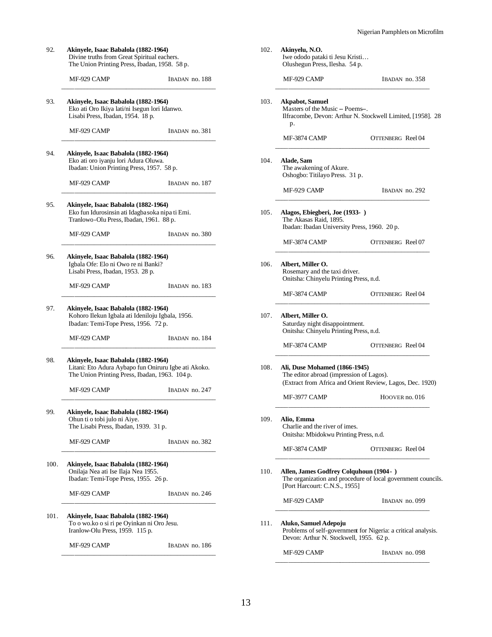| 92.<br>Akinyele, Isaac Babalola (1882-1964)<br>Divine truths from Great Spiritual eachers.<br>The Union Printing Press, Ibadan, 1958. 58 p. |                                                                                                                                                |                |  |  |
|---------------------------------------------------------------------------------------------------------------------------------------------|------------------------------------------------------------------------------------------------------------------------------------------------|----------------|--|--|
|                                                                                                                                             | MF-929 CAMP                                                                                                                                    | IBADAN no. 188 |  |  |
| 93.                                                                                                                                         | Akinyele, Isaac Babalola (1882-1964)<br>Eko ati Oro Ikiya lati/ni Isegun lori Idanwo.<br>Lisabi Press, Ibadan, 1954. 18 p.                     |                |  |  |
|                                                                                                                                             | MF-929 CAMP                                                                                                                                    | IBADAN no. 381 |  |  |
| 94.                                                                                                                                         | Akinyele, Isaac Babalola (1882-1964)<br>Eko ati oro iyanju lori Adura Oluwa.<br>Ibadan: Union Printing Press, 1957. 58 p.                      |                |  |  |
|                                                                                                                                             | MF-929 CAMP                                                                                                                                    | IBADAN no. 187 |  |  |
| 95.                                                                                                                                         | Akinyele, Isaac Babalola (1882-1964)<br>Eko fun Idurosinsin ati Idagbasoka nipa ti Emi.<br>Tranlowo-Olu Press, Ibadan, 1961. 88 p.             |                |  |  |
|                                                                                                                                             | MF-929 CAMP                                                                                                                                    | IBADAN no. 380 |  |  |
| 96.                                                                                                                                         | Akinyele, Isaac Babalola (1882-1964)<br>Igbala Ofe: Elo ni Owo re ni Banki?<br>Lisabi Press, Ibadan, 1953. 28 p.                               |                |  |  |
|                                                                                                                                             | MF-929 CAMP                                                                                                                                    | IBADAN no. 183 |  |  |
| 97.<br>Akinyele, Isaac Babalola (1882-1964)<br>Kohoro Ilekun Igbala ati Ideniloju Igbala, 1956.<br>Ibadan: Temi-Tope Press, 1956. 72 p.     |                                                                                                                                                |                |  |  |
|                                                                                                                                             | MF-929 CAMP                                                                                                                                    | IBADAN no. 184 |  |  |
| 98.                                                                                                                                         | Akinyele, Isaac Babalola (1882-1964)<br>Litani: Eto Adura Aybapo fun Oniruru Igbe ati Akoko.<br>The Union Printing Press, Ibadan, 1963. 104 p. |                |  |  |
|                                                                                                                                             | MF-929 CAMP                                                                                                                                    | IBADAN no. 247 |  |  |
| 99.<br>Akinyele, Isaac Babalola (1882-1964)<br>Ohun ti o tobi julo ni Aiye.<br>The Lisabi Press, Ibadan, 1939. 31 p.                        |                                                                                                                                                |                |  |  |
|                                                                                                                                             | MF-929 CAMP                                                                                                                                    | IBADAN no. 382 |  |  |
| 100.                                                                                                                                        | Akinyele, Isaac Babalola (1882-1964)<br>Onilaja Nea ati Ise Ilaja Nea 1955.<br>Ibadan: Temi-Tope Press, 1955. 26 p.                            |                |  |  |
|                                                                                                                                             | MF-929 CAMP                                                                                                                                    | IBADAN no. 246 |  |  |
| 101.                                                                                                                                        | Akinyele, Isaac Babalola (1882-1964)<br>To o wo.ko o si ri pe Oyinkan ni Oro Jesu.<br>Iranlow-Olu Press, 1959. 115 p.                          |                |  |  |

MF-929 CAMP IBADAN no. 186

| 102. | Akinyelu, N.O.<br>Iwe ododo pataki ti Jesu Kristi<br>Olushegun Press, Ilesha. 54 p.                                                       |                   |  |  |
|------|-------------------------------------------------------------------------------------------------------------------------------------------|-------------------|--|--|
|      | MF-929 CAMP                                                                                                                               | IBADAN no. 358    |  |  |
| 103. | Akpabot, Samuel<br>Masters of the Music – Poems-.<br>Ilfracombe, Devon: Arthur N. Stockwell Limited, [1958]. 28<br>p.                     |                   |  |  |
|      | MF-3874 CAMP                                                                                                                              | OTTENBERG Reel 04 |  |  |
| 104. | Alade, Sam<br>The awakening of Akure.<br>Oshogbo: Titilayo Press. 31 p.                                                                   |                   |  |  |
|      | MF-929 CAMP                                                                                                                               | IBADAN no. 292    |  |  |
| 105. | Alagos, Ebiegberi, Joe (1933-)<br>The Akasas Raid, 1895.<br>Ibadan: Ibadan University Press, 1960. 20 p.                                  |                   |  |  |
|      | MF-3874 CAMP                                                                                                                              | OTTENBERG Reel 07 |  |  |
| 106. | Albert, Miller O.<br>Rosemary and the taxi driver.<br>Onitsha: Chinyelu Printing Press, n.d.                                              |                   |  |  |
|      | MF-3874 CAMP                                                                                                                              | OTTENBERG Reel 04 |  |  |
| 107. | Albert, Miller O.<br>Saturday night disappointment.<br>Onitsha: Chinyelu Printing Press, n.d.                                             |                   |  |  |
|      | MF-3874 CAMP                                                                                                                              | OTTENBERG Reel 04 |  |  |
| 108. | Ali, Duse Mohamed (1866-1945)<br>The editor abroad (impression of Lagos).<br>(Extract from Africa and Orient Review, Lagos, Dec. 1920)    |                   |  |  |
|      | MF-3977 CAMP                                                                                                                              | HOOVER no. 016    |  |  |
| 109. | Alio, Emma<br>Charlie and the river of imes.<br>Onitsha: Mbidokwu Printing Press, n.d.                                                    |                   |  |  |
|      | MF-3874 CAMP                                                                                                                              | OTTENBERG Reel 04 |  |  |
| 110. | Allen, James Godfrey Colquhoun (1904 - )<br>The organization and procedure of local government councils.<br>[Port Harcourt: C.N.S., 1955] |                   |  |  |
|      | MF-929 CAMP                                                                                                                               | IBADAN no. 099    |  |  |
| 111. | Aluko, Samuel Adepoju<br>Problems of self-government for Nigeria: a critical analysis.<br>Devon: Arthur N. Stockwell, 1955. 62 p.         |                   |  |  |
|      | MF-929 CAMP                                                                                                                               | IBADAN no. 098    |  |  |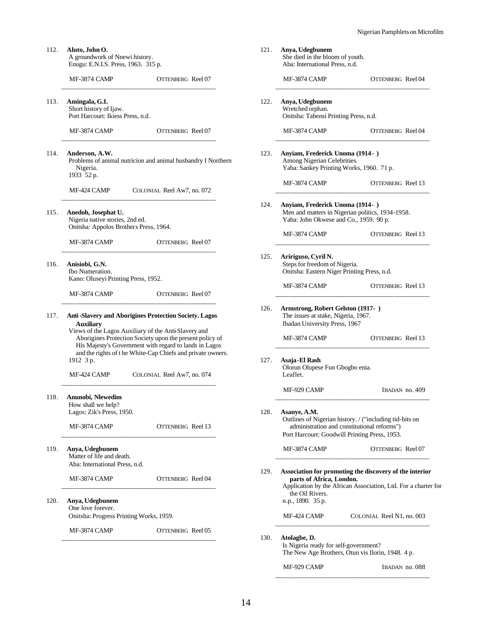| 112. | Aluto, John O.<br>A groundwork of Nnewi history.<br>Enugu: E.N.I.S. Press, 1963. 315 p.          |                                                                                                                                                                                  | 121. | Anya, Udegbunem<br>She died in the blo<br>Aba: International         |
|------|--------------------------------------------------------------------------------------------------|----------------------------------------------------------------------------------------------------------------------------------------------------------------------------------|------|----------------------------------------------------------------------|
|      | MF-3874 CAMP                                                                                     | OTTENBERG Reel 07                                                                                                                                                                |      | MF-3874 CAMP                                                         |
| 113. | Amingala, G.I.<br>Short history of Ijaw.<br>Port Harcourt: Ikiess Press, n.d.                    |                                                                                                                                                                                  | 122. | Anya, Udegbunem<br>Wretched orphan.<br>Onitsha: Tabensi P.           |
|      | MF-3874 CAMP                                                                                     | OTTENBERG Reel 07                                                                                                                                                                |      | MF-3874 CAMP                                                         |
| 114. | Anderson, A.W.<br>Nigeria.<br>1933 52 p.                                                         | Problems of animal nutricion and animal husbandry I Northern                                                                                                                     | 123. | Anyiam, Frederick<br>Among Nigerian C<br>Yaba: Sankey Prin           |
|      | MF-424 CAMP                                                                                      | COLONIAL Reel Aw7, no. 072                                                                                                                                                       |      | MF-3874 CAMP                                                         |
| 115. | Anedoh, Josephat U.<br>Nigeria native stories, 2nd ed.<br>Onitsha: Appolos Brothers Press, 1964. |                                                                                                                                                                                  | 124. | <b>Anyiam, Frederick</b><br>Men and matters in<br>Yaba: John Okwes   |
|      | MF-3874 CAMP                                                                                     | OTTENBERG Reel 07                                                                                                                                                                |      | MF-3874 CAMP                                                         |
| 116. | Anisiobi, G.N.<br>Ibo Numeration.<br>Kano: Oluseyi Printing Press, 1952.                         |                                                                                                                                                                                  | 125. | Aririguso, Cyril N<br>Steps for freedom o<br>Onitsha: Eastern N      |
|      | MF-3874 CAMP                                                                                     | OTTENBERG Reel 07                                                                                                                                                                |      | MF-3874 CAMP                                                         |
| 117. | Auxiliary<br>Views of the Lagos Auxiliary of the Anti-Slavery and                                | Anti-Slavery and Aborigines Protection Society. Lagos                                                                                                                            | 126. | <b>Armstrong, Rober</b><br>The issues at stake,<br>Ibadan University |
|      |                                                                                                  | Aborigines Protection Society upon the present policy of<br>His Majesty's Government with regard to lands in Lagos<br>and the rights of the White-Cap Chiefs and private owners. |      | MF-3874 CAMP                                                         |
|      | 1912 3 p.<br>MF-424 CAMP                                                                         | COLONIAL Reel Aw7, no. 074                                                                                                                                                       | 127. | Asaja-El Rash<br>Olorun Olupese Fu<br>Leaflet.                       |
| 118. | Anunobi, Nlewedim                                                                                |                                                                                                                                                                                  |      | MF-929 CAMP                                                          |
|      | How shall we help?<br>Lagos: Zik's Press, 1950.                                                  |                                                                                                                                                                                  | 128. | Asanye, A.M.                                                         |
|      | MF-3874 CAMP                                                                                     | OTTENBERG Reel 13                                                                                                                                                                |      | Outlines of Nigeria<br>administration a<br>Port Harcourt: Goo        |
|      | Anya, Udegbunem<br>Matter of life and death.<br>Aba: International Press, n.d.                   |                                                                                                                                                                                  |      | MF-3874 CAMP                                                         |
|      | MF-3874 CAMP                                                                                     | OTTENBERG Reel 04                                                                                                                                                                | 129. | <b>Association for pro</b><br>parts of Africa.<br>Application by the |
| 120. | Anya, Udegbunem<br>One love forever.                                                             |                                                                                                                                                                                  |      | the Oil Rivers.<br>n.p., 1890. 35 p.                                 |
|      | Onitsha: Progress Printing Works, 1959.                                                          |                                                                                                                                                                                  |      | MF-424 CAMP                                                          |
|      | MF-3874 CAMP                                                                                     | OTTENBERG Reel 05                                                                                                                                                                | 130. | Atolagbe, D.<br>Is Nigeria ready fo                                  |

|      | She died in the bloom of youth.<br>Aba: International Press, n.d.                                          |                                                                                                                                                         |  |
|------|------------------------------------------------------------------------------------------------------------|---------------------------------------------------------------------------------------------------------------------------------------------------------|--|
|      | MF-3874 CAMP                                                                                               | OTTENBERG Reel 04                                                                                                                                       |  |
| 122. | Anya, Udegbunem<br>Wretched orphan.<br>Onitsha: Tabensi Printing Press, n.d.                               |                                                                                                                                                         |  |
|      | MF-3874 CAMP                                                                                               | OTTENBERG Reel 04                                                                                                                                       |  |
| 123. | Anyiam, Frederick Unoma (1914-)<br>Among Nigerian Celebrities.<br>Yaba: Sankey Printing Works, 1960. 71 p. |                                                                                                                                                         |  |
|      | MF-3874 CAMP                                                                                               | OTTENBERG Reel 13                                                                                                                                       |  |
| 124. | Anyiam, Frederick Unoma (1914-)<br>Yaba: John Okwese and Co., 1959. 90 p.                                  | Men and matters in Nigerian politics, 1934-1958.                                                                                                        |  |
|      | MF-3874 CAMP                                                                                               | OTTENBERG Reel 13                                                                                                                                       |  |
| 125. | Aririguso, Cyril N.<br>Steps for freedom of Nigeria.<br>Onitsha: Eastern Niger Printing Press, n.d.        |                                                                                                                                                         |  |
|      | <b>MF-3874 CAMP</b>                                                                                        | OTTENBERG Reel 13                                                                                                                                       |  |
| 126. | Armstrong, Robert Gelston (1917-)<br>The issues at stake, Nigeria, 1967.<br>Ibadan University Press, 1967  |                                                                                                                                                         |  |
|      | MF-3874 CAMP                                                                                               | OTTENBERG Reel 13                                                                                                                                       |  |
| 127. | Asaja-El Rash<br>Olorun Olupese Fun Gbogbo enia.<br>Leaflet.                                               |                                                                                                                                                         |  |
|      | MF-929 CAMP                                                                                                | IBADAN no. 409                                                                                                                                          |  |
| 128. | Asanye, A.M.                                                                                               | Outlines of Nigerian history. / ("including tid-bits on<br>administration and constitutional reforms")<br>Port Harcourt: Goodwill Printing Press, 1953. |  |
|      | MF-3874 CAMP                                                                                               | OTTENBERG Reel 07                                                                                                                                       |  |
| 129. | parts of Africa, London.<br>the Oil Rivers.<br>n.p., 1890. 35 p.                                           | Association for promoting the discovery of the interior<br>Application by the African Association, Ltd. For a charter for                               |  |
|      | MF-424 CAMP                                                                                                | COLONIAL Reel N1, no. 003                                                                                                                               |  |
| 130. | Atolagbe, D.<br>Is Nigeria ready for self-government?                                                      | The New Age Brothers, Otun vis Ilorin, 1948. 4 p.                                                                                                       |  |
|      | MF-929 CAMP                                                                                                | IBADAN no. 088                                                                                                                                          |  |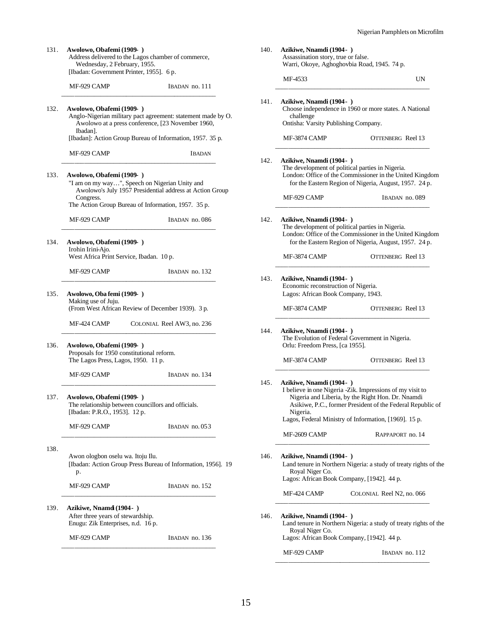| 131. | Awolowo, Obafemi (1909-)<br>Address delivered to the Lagos chamber of commerce,<br>Wednesday, 2 February, 1955.<br>[Ibadan: Government Printer, 1955]. 6 p. |                            | 140. | Azikiwe, Nnamdi (1904-)<br>Assassination story, true or false.<br>Warri, Okoye, Aghoghovbia Road, 1945. 74 p. |                                                                                                                                                                              |
|------|-------------------------------------------------------------------------------------------------------------------------------------------------------------|----------------------------|------|---------------------------------------------------------------------------------------------------------------|------------------------------------------------------------------------------------------------------------------------------------------------------------------------------|
|      | MF-929 CAMP                                                                                                                                                 | IBADAN no. 111             |      | MF-4533                                                                                                       | UN                                                                                                                                                                           |
| 132. | Awolowo, Obafemi (1909-)<br>Anglo-Nigerian military pact agreement: statement made by O.<br>Awolowo at a press conference, [23 November 1960,<br>Ibadan].   |                            | 141. | Azikiwe, Nnamdi (1904-)<br>challenge<br>Ontisha: Varsity Publishing Company.                                  | Choose independence in 1960 or more states. A National                                                                                                                       |
|      | [Ibadan]: Action Group Bureau of Information, 1957. 35 p.                                                                                                   |                            |      | MF-3874 CAMP                                                                                                  | OTTENBERG Reel 13                                                                                                                                                            |
|      | MF-929 CAMP                                                                                                                                                 | <b>IBADAN</b>              | 142. | Azikiwe, Nnamdi (1904-)                                                                                       |                                                                                                                                                                              |
| 133. | Awolowo, Obafemi (1909-)<br>"I am on my way", Speech on Nigerian Unity and<br>Awolowo's July 1957 Presidential address at Action Group                      |                            |      |                                                                                                               | The development of political parties in Nigeria.<br>London: Office of the Commissioner in the United Kingdom<br>for the Eastern Region of Nigeria, August, 1957. 24 p.       |
|      | Congress.<br>The Action Group Bureau of Information, 1957. 35 p.                                                                                            |                            |      | MF-929 CAMP                                                                                                   | IBADAN no. 089                                                                                                                                                               |
|      | MF-929 CAMP                                                                                                                                                 | IBADAN no. 086             | 142. | Azikiwe, Nnamdi (1904-)                                                                                       | The development of political parties in Nigeria.<br>London: Office of the Commissioner in the United Kingdom                                                                 |
| 134. | Awolowo, Obafemi (1909-)<br>Irohin Irini-Ajo.<br>West Africa Print Service, Ibadan. 10 p.                                                                   |                            |      | MF-3874 CAMP                                                                                                  | for the Eastern Region of Nigeria, August, 1957. 24 p.<br>OTTENBERG Reel 13                                                                                                  |
|      | MF-929 CAMP                                                                                                                                                 | IBADAN no. 132             |      |                                                                                                               |                                                                                                                                                                              |
| 135. | Awolowo, Oba femi (1909-)                                                                                                                                   |                            | 143. | Azikiwe, Nnamdi (1904-)<br>Economic reconstruction of Nigeria.<br>Lagos: African Book Company, 1943.          |                                                                                                                                                                              |
|      | Making use of Juju.<br>(From West African Review of December 1939). 3 p.                                                                                    |                            |      | MF-3874 CAMP                                                                                                  | OTTENBERG Reel 13                                                                                                                                                            |
|      | MF-424 CAMP                                                                                                                                                 | COLONIAL Reel AW3, no. 236 | 144. | Azikiwe, Nnamdi (1904-)                                                                                       |                                                                                                                                                                              |
| 136. | Awolowo, Obafemi (1909-)<br>Proposals for 1950 constitutional reform.<br>The Lagos Press, Lagos, 1950. 11 p.                                                |                            |      | Orlu: Freedom Press, [ca 1955].<br>MF-3874 CAMP                                                               | The Evolution of Federal Government in Nigeria.<br>OTTENBERG Reel 13                                                                                                         |
|      | MF-929 CAMP                                                                                                                                                 | IBADAN no. 134             |      |                                                                                                               |                                                                                                                                                                              |
| 137. | Awolowo, Obafemi (1909-)<br>The relationship between councillors and officials.<br>[Ibadan: P.R.O., 1953]. 12 p.                                            |                            | 145. | Azikiwe, Nnamdi (1904-)<br>Nigeria.                                                                           | I believe in one Nigeria -Zik. Impressions of my visit to<br>Nigeria and Liberia, by the Right Hon. Dr. Nnamdi<br>Asikiwe, P.C., former President of the Federal Republic of |
|      | MF-929 CAMP                                                                                                                                                 | IBADAN no. 053             |      | MF-2609 CAMP                                                                                                  | Lagos, Federal Ministry of Information, [1969]. 15 p.<br>RAPPAPORT no. 14                                                                                                    |
| 138. |                                                                                                                                                             |                            |      |                                                                                                               |                                                                                                                                                                              |
|      | Awon ologbon oselu wa. Itoju Ilu.<br>[Ibadan: Action Group Press Bureau of Information, 1956]. 19<br>p.                                                     |                            | 146. | Azikiwe, Nnamdi (1904-)<br>Royal Niger Co.<br>Lagos: African Book Company, [1942]. 44 p.                      | Land tenure in Northern Nigeria: a study of treaty rights of the                                                                                                             |
|      | MF-929 CAMP                                                                                                                                                 | IBADAN no. 152             |      | MF-424 CAMP                                                                                                   | COLONIAL Reel N2, no. 066                                                                                                                                                    |
| 139. | Azikiwe, Nnamd (1904-)<br>After three years of stewardship.<br>Enugu: Zik Enterprises, n.d. 16 p.                                                           |                            | 146. | Azikiwe, Nnamdi (1904-)                                                                                       | Land tenure in Northern Nigeria: a study of treaty rights of the                                                                                                             |
|      | MF-929 CAMP                                                                                                                                                 | IBADAN no. 136             |      | Royal Niger Co.<br>Lagos: African Book Company, [1942]. 44 p.                                                 |                                                                                                                                                                              |
|      |                                                                                                                                                             |                            |      | MF-929 CAMP                                                                                                   | IBADAN no. 112                                                                                                                                                               |

15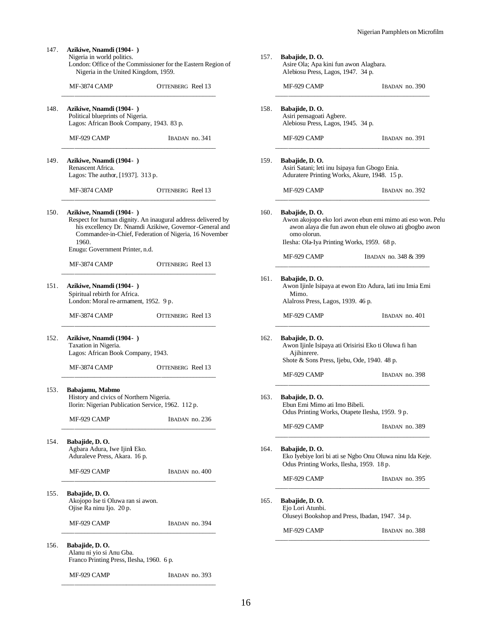147. **Azikiwe, Nnamdi (1904- )** Nigeria in world politics. London: Office of the Commissioner for the Eastern Region of Nigeria in the United Kingdom, 1959. MF-3874 CAMP OTTENBERG Reel 13 \_\_\_\_\_\_\_\_\_\_\_\_\_\_\_\_\_\_\_\_\_\_\_\_\_\_\_\_\_\_\_\_\_\_\_\_\_\_\_\_\_\_\_\_\_\_\_\_ 148. **Azikiwe, Nnamdi (1904- )** Political blueprints of Nigeria. Lagos: African Book Company, 1943. 83 p. MF-929 CAMP IBADAN no. 341 \_\_\_\_\_\_\_\_\_\_\_\_\_\_\_\_\_\_\_\_\_\_\_\_\_\_\_\_\_\_\_\_\_\_\_\_\_\_\_\_\_\_\_\_\_\_\_\_ 149. **Azikiwe, Nnamdi (1904- )** Renascent Africa. Lagos: The author, [1937]. 313 p. MF-3874 CAMP OTTENBERG Reel 13 \_\_\_\_\_\_\_\_\_\_\_\_\_\_\_\_\_\_\_\_\_\_\_\_\_\_\_\_\_\_\_\_\_\_\_\_\_\_\_\_\_\_\_\_\_\_\_\_ 150. **Azikiwe, Nnamdi (1904- )** Respect for human dignity. An inaugural address delivered by his excellency Dr. Nnamdi Azikiwe, Governor-General and Commander-in-Chief, Federation of Nigeria, 16 November 1960. Enugu: Government Printer, n.d. MF-3874 CAMP OTTENBERG Reel 13 \_\_\_\_\_\_\_\_\_\_\_\_\_\_\_\_\_\_\_\_\_\_\_\_\_\_\_\_\_\_\_\_\_\_\_\_\_\_\_\_\_\_\_\_\_\_\_\_ 151. **Azikiwe, Nnamdi (1904- )** Spiritual rebirth for Africa. London: Moral re-armament, 1952. 9 p. MF-3874 CAMP OTTENBERG Reel 13 \_\_\_\_\_\_\_\_\_\_\_\_\_\_\_\_\_\_\_\_\_\_\_\_\_\_\_\_\_\_\_\_\_\_\_\_\_\_\_\_\_\_\_\_\_\_\_\_ 152. **Azikiwe, Nnamdi (1904- )** Taxation in Nigeria. Lagos: African Book Company, 1943. MF-3874 CAMP OTTENBERG Reel 13 \_\_\_\_\_\_\_\_\_\_\_\_\_\_\_\_\_\_\_\_\_\_\_\_\_\_\_\_\_\_\_\_\_\_\_\_\_\_\_\_\_\_\_\_\_\_\_\_ 153. **Babajamu, Mabmo** History and civics of Northern Nigeria. Ilorin: Nigerian Publication Service, 1962. 112 p. MF-929 CAMP IBADAN no. 236 \_\_\_\_\_\_\_\_\_\_\_\_\_\_\_\_\_\_\_\_\_\_\_\_\_\_\_\_\_\_\_\_\_\_\_\_\_\_\_\_\_\_\_\_\_\_\_\_ 154. **Babajide, D. O.** Agbara Adura, Iwe Ijinli Eko. Aduraleve Press, Akara. 16 p. MF-929 CAMP IBADAN no. 400 \_\_\_\_\_\_\_\_\_\_\_\_\_\_\_\_\_\_\_\_\_\_\_\_\_\_\_\_\_\_\_\_\_\_\_\_\_\_\_\_\_\_\_\_\_\_\_\_ 155. **Babajide, D. O.** Akojopo Ise ti Oluwa ran si awon. Ojise Ra ninu Ijo. 20 p. MF-929 CAMP IBADAN no. 394 \_\_\_\_\_\_\_\_\_\_\_\_\_\_\_\_\_\_\_\_\_\_\_\_\_\_\_\_\_\_\_\_\_\_\_\_\_\_\_\_\_\_\_\_\_\_\_\_ 156. **Babajide, D. O.** Alanu ni yio si Anu Gba. Franco Printing Press, Ilesha, 1960. 6 p. 157. **Babajide, D. O.**

MF-929 CAMP IBADAN no. 393

\_\_\_\_\_\_\_\_\_\_\_\_\_\_\_\_\_\_\_\_\_\_\_\_\_\_\_\_\_\_\_\_\_\_\_\_\_\_\_\_\_\_\_\_\_\_\_\_

|      | MF-929 CAMP                                                                                                                            | IBADAN no. 390                                                                                                       |  |  |
|------|----------------------------------------------------------------------------------------------------------------------------------------|----------------------------------------------------------------------------------------------------------------------|--|--|
| 158. | Babajide, D. O.<br>Asiri pensagoati Agbere.<br>Alebiosu Press, Lagos, 1945. 34 p.                                                      |                                                                                                                      |  |  |
|      | MF-929 CAMP                                                                                                                            | IBADAN no. 391                                                                                                       |  |  |
| 159. | Babajide, D. O.<br>Asiri Satani; leti inu Isipaya fun Gbogo Enia.<br>Aduratere Printing Works, Akure, 1948. 15 p.                      |                                                                                                                      |  |  |
|      | MF-929 CAMP                                                                                                                            | IBADAN no. 392                                                                                                       |  |  |
|      | Babajide, D. O.<br>omo olorun.<br>Ilesha: Ola-Iya Printing Works, 1959. 68 p.                                                          | Awon akojopo eko lori awon ebun emi mimo ati eso won. Pelu<br>awon alaya die fun awon ehun ele oluwo ati gbogbo awon |  |  |
|      | MF-929 CAMP                                                                                                                            | IBADAN no. 348 & 399                                                                                                 |  |  |
|      | Babajide, D. O.<br>Awon Ijinle Isipaya at ewon Eto Adura, lati inu Imia Emi<br>Mimo.<br>Alalross Press, Lagos, 1939. 46 p.             |                                                                                                                      |  |  |
|      | MF-929 CAMP                                                                                                                            | IBADAN no. 401                                                                                                       |  |  |
|      | Babajide, D. O.<br>Awon Ijinle Isipaya ati Orisirisi Eko ti Oluwa fi han<br>Ajihinrere.<br>Shote & Sons Press, Ijebu, Ode, 1940. 48 p. |                                                                                                                      |  |  |
|      | MF-929 CAMP                                                                                                                            | IBADAN no. 398                                                                                                       |  |  |
|      | Babajide, D. O.<br>Ebun Emi Mimo ati Imo Bibeli.<br>Odus Printing Works, Otapete Ilesha, 1959. 9 p.                                    |                                                                                                                      |  |  |
|      | MF-929 CAMP                                                                                                                            | IBADAN no. 389                                                                                                       |  |  |
|      |                                                                                                                                        |                                                                                                                      |  |  |
|      | Babajide, D. O.<br>Odus Printing Works, Ilesha, 1959. 18 p.                                                                            |                                                                                                                      |  |  |
|      | MF-929 CAMP                                                                                                                            | IBADAN no. 395                                                                                                       |  |  |
|      | Babajide, D.O.<br>Ejo Lori Atunbi.<br>Oluseyi Bookshop and Press, Ibadan, 1947. 34 p.                                                  | Eko Iyebiye lori bi ati se Ngbo Onu Oluwa ninu Ida Keje.                                                             |  |  |

Asire Ola; Apa kini fun awon Alagbara. Alebiosu Press, Lagos, 1947. 34 p.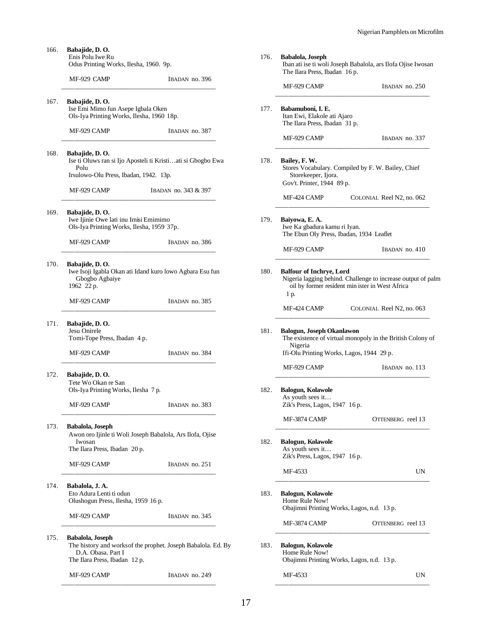| 166. | Babajide, D. O.<br>Enis Polu Iwe Ru<br>Odus Printing Works, Ilesha, 1960. 9p.                                                            |                      |  |
|------|------------------------------------------------------------------------------------------------------------------------------------------|----------------------|--|
|      | MF-929 CAMP                                                                                                                              | IBADAN no. 396       |  |
| 167. | Babajide, D. O.<br>Ise Emi Mimo fun Asepe Igbala Oken<br>Ols-Iya Printing Works, Ilesha, 1960 18p.                                       |                      |  |
|      | MF-929 CAMP                                                                                                                              | IBADAN no. 387       |  |
| 168. | Babajide, D. O.<br>Ise ti Oluws ran si Ijo Aposteli ti Kristiati si Gbogbo Ewa<br>Polu                                                   |                      |  |
|      | Irsulowo-Olu Press, Ibadan, 1942. 13p.                                                                                                   |                      |  |
|      | MF-929 CAMP                                                                                                                              | IBADAN no. 343 & 397 |  |
| 169. | Babajide, D. O.<br>Iwe Ijinie Owe lati inu Imisi Emimimo<br>Ols-Iya Printing Works, Ilesha, 1959 37p.                                    |                      |  |
|      | MF-929 CAMP                                                                                                                              | IBADAN no. 386       |  |
| 170. | Babajide, D.O.<br>Iwe Isoji Igabla Okan ati Idand kuro lowo Agbara Esu fun<br>Gbogbo Agbaiye<br>1962 22 p.                               |                      |  |
|      | MF-929 CAMP                                                                                                                              | IBADAN no. 385       |  |
| 171. | Babajide, D. O.<br>Jesu Onirele<br>Tomi-Tope Press, Ibadan 4 p.                                                                          |                      |  |
|      | MF-929 CAMP                                                                                                                              | IBADAN no. 384       |  |
| 172. | Babajide, D. O.<br>Tete Wo Okan re San<br>Ols-Iya Printing Works, Ilesha 7 p.                                                            |                      |  |
|      | MF-929 CAMP                                                                                                                              | IBADAN no. 383       |  |
| 173. | Babalola, Joseph<br>Awon oro Ijinle ti Woli Joseph Babalola, Ars Ilofa, Ojise<br>Iwosan<br>The Ilara Press, Ibadan 20 p.                 |                      |  |
|      | MF-929 CAMP                                                                                                                              | IBADAN no. 251       |  |
| 174. | Babalola, J. A.<br>Eto Adura Lenti ti odun<br>Olushogun Press, Ilesha, 1959 16 p.                                                        |                      |  |
|      | MF-929 CAMP                                                                                                                              | IBADAN no. 345       |  |
| 175. | Babalola, Joseph<br>The history and works of the prophet. Joseph Babalola. Ed. By<br>D.A. Obasa. Part I<br>The Ilara Press, Ibadan 12 p. |                      |  |

MF-929 CAMP IBADAN no. 249

| Babalola, Joseph<br>Iban ati ise ti woli Joseph Babalola, ars Ilofa Ojise Iwosan<br>The Ilara Press, Ibadan 16 p. |                                                                                                                 |  |
|-------------------------------------------------------------------------------------------------------------------|-----------------------------------------------------------------------------------------------------------------|--|
| MF-929 CAMP                                                                                                       | IBADAN no. 250                                                                                                  |  |
| Babamuboni, I. E.<br>Itan Ewi, Elakole ati Ajaro<br>The Ilara Press, Ibadan 31 p.                                 |                                                                                                                 |  |
| MF-929 CAMP                                                                                                       | IBADAN no. 337                                                                                                  |  |
| Bailey, F. W.<br>Storekeeper, Ijora.<br>Gov't. Printer, 1944 89 p.                                                | Stores Vocabulary. Compiled by F. W. Bailey, Chief                                                              |  |
| MF-424 CAMP                                                                                                       | COLONIAL Reel N2, no. 062                                                                                       |  |
| Baiyowa, E. A.<br>Iwe Ka gbadura kamu ri Iyan.                                                                    | The Ebun Oly Press, Ibadan, 1934 Leaflet                                                                        |  |
| MF-929 CAMP                                                                                                       | $IBADAN$ no. $410$                                                                                              |  |
| <b>Balfour of Inchrye, Lord</b><br>1 p.                                                                           | Nigeria lagging behind. Challenge to increase output of palm<br>oil by former resident min ister in West Africa |  |
| MF-424 CAMP                                                                                                       | COLONIAL Reel N2, no. 063                                                                                       |  |
|                                                                                                                   |                                                                                                                 |  |
| Nigeria                                                                                                           | Ifi-Olu Printing Works, Lagos, 1944 29 p.                                                                       |  |
| <b>Balogun, Joseph Okanlawon</b><br>MF-929 CAMP                                                                   | The existence of virtual monopoly in the British Colony of<br>IBADAN no. 113                                    |  |
| Balogun, Kolawole<br>As youth sees it<br>Zik's Press, Lagos, 1947 16 p.                                           |                                                                                                                 |  |
| MF-3874 CAMP                                                                                                      |                                                                                                                 |  |
| <b>Balogun, Kolawole</b><br>As youth sees it<br>Zik's Press, Lagos, 1947 16 p.                                    |                                                                                                                 |  |
| MF-4533                                                                                                           |                                                                                                                 |  |
| <b>Balogun, Kolawole</b><br>Home Rule Now!                                                                        | Obajimni Printing Works, Lagos, n.d. 13 p.                                                                      |  |
| MF-3874 CAMP                                                                                                      | OTTENBERG reel 13<br>UN<br>OTTENBERG reel 13                                                                    |  |
| <b>Balogun, Kolawole</b><br>Home Rule Now!                                                                        | Obajimni Printing Works, Lagos, n.d. 13 p.                                                                      |  |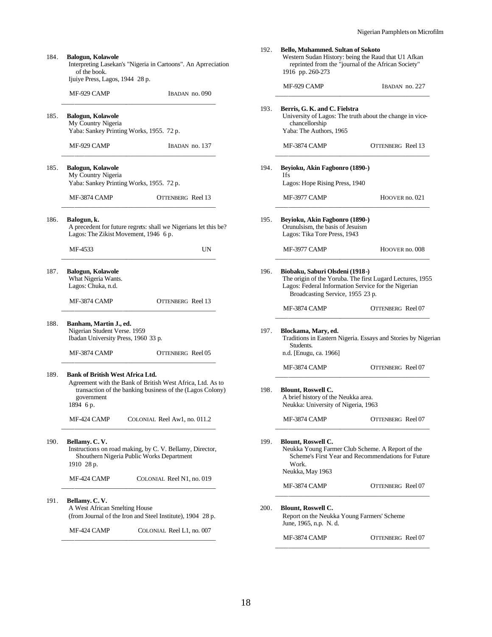| 184. | <b>Balogun, Kolawole</b><br>of the book.<br>Ijuiye Press, Lagos, 1944 28 p.                   | Interpreting Lasekan's "Nigeria in Cartoons". An Aprreciation                                                           |
|------|-----------------------------------------------------------------------------------------------|-------------------------------------------------------------------------------------------------------------------------|
|      | MF-929 CAMP                                                                                   | IBADAN no. 090                                                                                                          |
| 185. | <b>Balogun, Kolawole</b><br>My Country Nigeria                                                | Yaba: Sankey Printing Works, 1955. 72 p.                                                                                |
|      | MF-929 CAMP                                                                                   | IBADAN no. 137                                                                                                          |
| 185. | <b>Balogun, Kolawole</b><br>My Country Nigeria                                                | Yaba: Sankey Printing Works, 1955. 72 p.                                                                                |
|      | MF-3874 CAMP                                                                                  | OTTENBERG Reel 13                                                                                                       |
| 186. | Balogun, k.<br>Lagos: The Zikist Movement, 1946 6 p.                                          | A precedent for future regrets: shall we Nigerians let this be?                                                         |
|      | MF-4533                                                                                       | UN                                                                                                                      |
| 187. | <b>Balogun, Kolawole</b><br>What Nigeria Wants.<br>Lagos: Chuka, n.d.                         |                                                                                                                         |
|      | MF-3874 CAMP                                                                                  | OTTENBERG Reel 13                                                                                                       |
| 188. | Banham, Martin J., ed.<br>Nigerian Student Verse. 1959<br>Ibadan University Press, 1960 33 p. |                                                                                                                         |
|      | MF-3874 CAMP                                                                                  | OTTENBERG Reel 05                                                                                                       |
| 189. | <b>Bank of British West Africa Ltd.</b><br>government<br>1894 6 p.                            | Agreement with the Bank of British West Africa, Ltd. As to<br>transaction of the banking business of the (Lagos Colony) |
|      | MF-424 CAMP                                                                                   | COLONIAL Reel Aw1, no. 011.2                                                                                            |
| 190. | Bellamy. C.V.<br>1910 28 p.                                                                   | Instructions on road making, by C. V. Bellamy, Director,<br>Shouthern Nigeria Public Works Department                   |
|      | MF-424 CAMP                                                                                   | COLONIAL Reel N1, no. 019                                                                                               |
| 191. | Bellamy. C. V.<br>A West African Smelting House                                               | (from Journal of the Iron and Steel Institute), 1904 28 p.                                                              |
|      | MF-424 CAMP                                                                                   | COLONIAL Reel L1, no. 007                                                                                               |

| 192. | Bello, Muhammed. Sultan of Sokoto<br>Western Sudan History: being the Raud that U1 Afkan<br>reprinted from the "journal of the African Society"<br>1916 pp. 260-273                     |                                                    |  |  |
|------|-----------------------------------------------------------------------------------------------------------------------------------------------------------------------------------------|----------------------------------------------------|--|--|
|      | MF-929 CAMP                                                                                                                                                                             | IBADAN no. 227                                     |  |  |
| 193. | Berris, G. K. and C. Fielstra<br>University of Lagos: The truth about the change in vice-<br>chancellorship<br>Yaba: The Authors, 1965                                                  |                                                    |  |  |
|      | <b>MF-3874 CAMP</b>                                                                                                                                                                     | <b>OTTENBERG</b> Reel 13                           |  |  |
| 194. | Beyioku, Akin Fagbonro (1890-)<br><b>Ifs</b><br>Lagos: Hope Rising Press, 1940                                                                                                          |                                                    |  |  |
|      | MF-3977 CAMP                                                                                                                                                                            | HOOVER no. 021                                     |  |  |
| 195. | Beyioku, Akin Fagbonro (1890-)<br>Orunulsism, the basis of Jesuism<br>Lagos: Tika Tore Press, 1943                                                                                      |                                                    |  |  |
|      | MF-3977 CAMP                                                                                                                                                                            | HOOVER no. 008                                     |  |  |
| 196. | Biobaku, Saburi Olsdeni (1918-)<br>The origin of the Yoruba. The first Lugard Lectures, 1955<br>Lagos: Federal Information Service for the Nigerian<br>Broadcasting Service, 1955 23 p. |                                                    |  |  |
|      | MF-3874 CAMP                                                                                                                                                                            | OTTENBERG Reel 07                                  |  |  |
| 197. | Blockama, Mary, ed.<br>Traditions in Eastern Nigeria. Essays and Stories by Nigerian<br>Students.<br>n.d. [Enugu, ca. 1966]                                                             |                                                    |  |  |
|      | MF-3874 CAMP                                                                                                                                                                            | OTTENBERG Reel 07                                  |  |  |
| 198. | <b>Blount, Roswell C.</b><br>A brief history of the Neukka area.<br>Neukka: University of Nigeria, 1963                                                                                 |                                                    |  |  |
|      | MF-3874 CAMP                                                                                                                                                                            | OTTENBERG Reel 07                                  |  |  |
| 199. | <b>Blount, Roswell C.</b><br>Neukka Young Farmer Club Scheme. A Report of the<br>Work.<br>Neukka, May 1963                                                                              | Scheme's First Year and Recommendations for Future |  |  |
|      | MF-3874 CAMP                                                                                                                                                                            | OTTENBERG Reel 07                                  |  |  |
| 200. | <b>Blount, Roswell C.</b><br>Report on the Neukka Young Farmers' Scheme<br>June, 1965, n.p. N. d.                                                                                       |                                                    |  |  |
|      | MF-3874 CAMP                                                                                                                                                                            | OTTENBERG Reel 07                                  |  |  |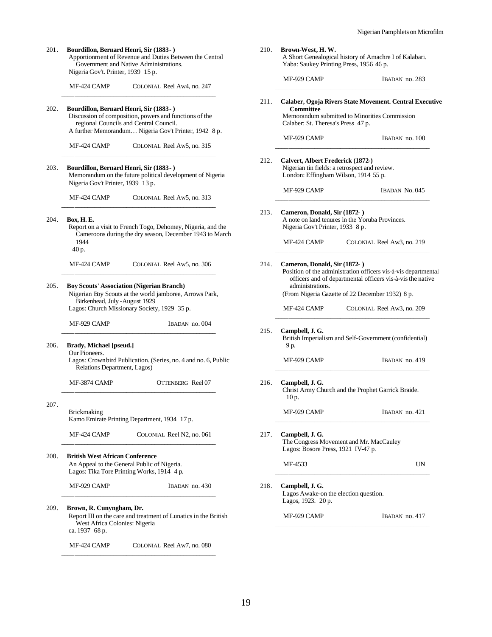|      | Bourdillon, Bernard Henri, Sir (1883-)<br>Apportionment of Revenue and Duties Between the Central<br>Government and Native Administrations.<br>Nigeria Gov't. Printer, 1939 15 p.                   | 210. | Brown-West, H.W.<br>Yaba: Saukey Printing Press, 1956 46 p.                                                                | A Short Genealogical history of Amachre I of Kalabari.                                                                                                                          |
|------|-----------------------------------------------------------------------------------------------------------------------------------------------------------------------------------------------------|------|----------------------------------------------------------------------------------------------------------------------------|---------------------------------------------------------------------------------------------------------------------------------------------------------------------------------|
|      | MF-424 CAMP<br>COLONIAL Reel Aw4, no. 247                                                                                                                                                           |      | MF-929 CAMP                                                                                                                | IBADAN no. 283                                                                                                                                                                  |
| 202. | Bourdillon, Bernard Henri, Sir (1883-)<br>Discussion of composition, powers and functions of the<br>regional Councils and Central Council.<br>A further Memorandum Nigeria Gov't Printer, 1942 8 p. | 211. | <b>Committee</b><br>Calaber: St. Theresa's Press 47 p.                                                                     | Calaber, Ogoja Rivers State Movement. Central Executive<br>Memorandum submitted to Minorities Commission                                                                        |
|      | MF-424 CAMP<br>COLONIAL Reel Aw5, no. 315                                                                                                                                                           |      | MF-929 CAMP                                                                                                                | IBADAN no. 100                                                                                                                                                                  |
| 203. | Bourdillon, Bernard Henri, Sir (1883-)<br>Memorandum on the future political development of Nigeria<br>Nigeria Gov't Printer, 1939 13 p.                                                            | 212. | Calvert, Albert Frederick (1872-)<br>Nigerian tin fields: a retrospect and review.<br>London: Effingham Wilson, 1914 55 p. |                                                                                                                                                                                 |
|      | MF-424 CAMP<br>COLONIAL Reel Aw5, no. 313                                                                                                                                                           |      | MF-929 CAMP                                                                                                                | IBADAN No. 045                                                                                                                                                                  |
| 204. | Box, H. E.<br>Report on a visit to French Togo, Dehomey, Nigeria, and the<br>Cameroons during the dry season, December 1943 to March                                                                | 213. | Cameron, Donald, Sir (1872-)<br>Nigeria Gov't Printer, 1933 8 p.                                                           | A note on land tenures in the Yoruba Provinces.                                                                                                                                 |
|      | 1944<br>40 p.                                                                                                                                                                                       |      | MF-424 CAMP                                                                                                                | COLONIAL Reel Aw3, no. 219                                                                                                                                                      |
| 205. | MF-424 CAMP<br>COLONIAL Reel Aw5, no. 306<br><b>Boy Scouts' Association (Nigerian Branch)</b><br>Nigerian Boy Scouts at the world jamboree, Arrows Park,                                            | 214. | Cameron, Donald, Sir (1872-)<br>administrations.                                                                           | Position of the administration officers vis-à-vis departmental<br>officers and of departmental officers vis-à-vis the native<br>(From Nigeria Gazette of 22 December 1932) 8 p. |
|      | Birkenhead, July - August 1929<br>Lagos: Church Missionary Society, 1929 35 p.                                                                                                                      |      | MF-424 CAMP                                                                                                                | COLONIAL Reel Aw3, no. 209                                                                                                                                                      |
|      | MF-929 CAMP<br>IBADAN no. 004                                                                                                                                                                       | 215. | Campbell, J. G.                                                                                                            | British Imperialism and Self-Government (confidential)                                                                                                                          |
| 206. | Brady, Michael [pseud.]<br>Our Pioneers.<br>Lagos: Crownbird Publication. (Series, no. 4 and no. 6, Public<br>Relations Department, Lagos)                                                          |      | 9 p.<br>MF-929 CAMP                                                                                                        | IBADAN no. 419                                                                                                                                                                  |
|      | MF-3874 CAMP<br>OTTENBERG Reel 07                                                                                                                                                                   | 216. | Campbell, J. G.<br>10 p.                                                                                                   | Christ Army Church and the Prophet Garrick Braide.                                                                                                                              |
| 207. | <b>Brickmaking</b><br>Kamo Emirate Printing Department, 1934 17 p.                                                                                                                                  |      | MF-929 CAMP                                                                                                                | IBADAN no. 421                                                                                                                                                                  |
|      | MF-424 CAMP<br>COLONIAL Reel N2, no. 061                                                                                                                                                            | 217. | Campbell, J. G.<br>Lagos: Bosore Press, 1921 IV-47 p.                                                                      | The Congress Movement and Mr. MacCauley                                                                                                                                         |
| 208. | <b>British West African Conference</b><br>An Appeal to the General Public of Nigeria.<br>Lagos: Tika Tore Printing Works, 1914 4 p.                                                                 |      | MF-4533                                                                                                                    | UN                                                                                                                                                                              |
|      | MF-929 CAMP<br>IBADAN no. 430                                                                                                                                                                       | 218. | Campbell, J. G.<br>Lagos Awake-on the election question.<br>Lagos, 1923. 20 p.                                             |                                                                                                                                                                                 |
| 209. | Brown, R. Cunyngham, Dr.<br>Report III on the care and treatment of Lunatics in the British<br>West Africa Colonies: Nigeria<br>ca. 1937 68 p.                                                      |      | MF-929 CAMP                                                                                                                | IBADAN no. 417                                                                                                                                                                  |

19

MF-424 CAMP COLONIAL Reel Aw7, no. 080 \_\_\_\_\_\_\_\_\_\_\_\_\_\_\_\_\_\_\_\_\_\_\_\_\_\_\_\_\_\_\_\_\_\_\_\_\_\_\_\_\_\_\_\_\_\_\_\_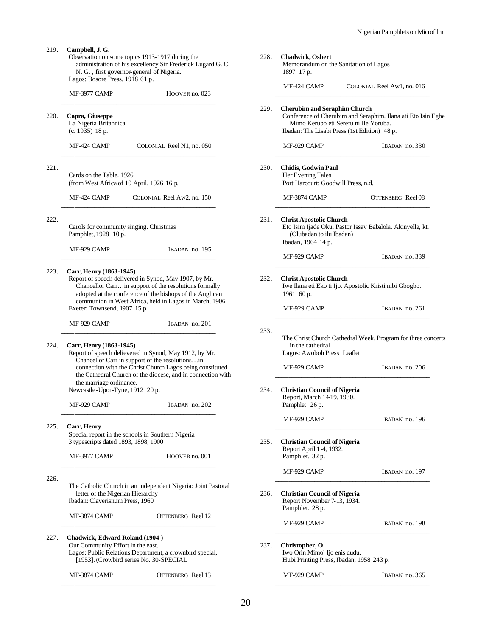- 219. **Campbell, J. G.** Observation on some topics 1913-1917 during the administration of his excellency Sir Frederick Lugard G. C. N. G. , first governor-general of Nigeria. Lagos: Bosore Press, 1918 61 p. MF-3977 CAMP HOOVER no. 023 \_\_\_\_\_\_\_\_\_\_\_\_\_\_\_\_\_\_\_\_\_\_\_\_\_\_\_\_\_\_\_\_\_\_\_\_\_\_\_\_\_\_\_\_\_\_\_\_ 220. **Capra, Giuseppe** La Nigeria Britannica (c. 1935) 18 p. MF-424 CAMP COLONIAL Reel N1, no. 050 \_\_\_\_\_\_\_\_\_\_\_\_\_\_\_\_\_\_\_\_\_\_\_\_\_\_\_\_\_\_\_\_\_\_\_\_\_\_\_\_\_\_\_\_\_\_\_\_ 221. Cards on the Table. 1926. (from West Africa of 10 April, 1926 16 p. MF-424 CAMP COLONIAL Reel Aw2, no. 150 \_\_\_\_\_\_\_\_\_\_\_\_\_\_\_\_\_\_\_\_\_\_\_\_\_\_\_\_\_\_\_\_\_\_\_\_\_\_\_\_\_\_\_\_\_\_\_\_ 222. Carols for community singing. Christmas Pamphlet, 1928 10 p. MF-929 CAMP IBADAN no. 195 \_\_\_\_\_\_\_\_\_\_\_\_\_\_\_\_\_\_\_\_\_\_\_\_\_\_\_\_\_\_\_\_\_\_\_\_\_\_\_\_\_\_\_\_\_\_\_\_ 223. **Carr, Henry (1863-1945)** Report of speech delivered in Synod, May 1907, by Mr. Chancellor Carr…in support of the resolutions formally adopted at the conference of the bishops of the Anglican communion in West Africa, held in Lagos in March, 1906 Exeter: Townsend, 1907 15 p. MF-929 CAMP IBADAN no. 201 \_\_\_\_\_\_\_\_\_\_\_\_\_\_\_\_\_\_\_\_\_\_\_\_\_\_\_\_\_\_\_\_\_\_\_\_\_\_\_\_\_\_\_\_\_\_\_\_ 224. **Carr, Henry (1863-1945)** Report of speech delievered in Synod, May 1912, by Mr. Chancellor Carr in support of the resolutions…in connection with the Christ Church Lagos being constituted the Cathedral Church of the diocese, and in connection with the marriage ordinance. Newcastle-Upon-Tyne, 1912 20 p. MF-929 CAMP IBADAN no. 202 \_\_\_\_\_\_\_\_\_\_\_\_\_\_\_\_\_\_\_\_\_\_\_\_\_\_\_\_\_\_\_\_\_\_\_\_\_\_\_\_\_\_\_\_\_\_\_\_ 225. **Carr, Henry** Special report in the schools in Southern Nigeria 3 typescripts dated 1893, 1898, 1900 MF-3977 CAMP HOOVER no. 001 \_\_\_\_\_\_\_\_\_\_\_\_\_\_\_\_\_\_\_\_\_\_\_\_\_\_\_\_\_\_\_\_\_\_\_\_\_\_\_\_\_\_\_\_\_\_\_\_ 226. The Catholic Church in an independent Nigeria: Joint Pastoral letter of the Nigerian Hierarchy Ibadan: Claverisnum Press, 1960 MF-3874 CAMP OTTENBERG Reel 12 \_\_\_\_\_\_\_\_\_\_\_\_\_\_\_\_\_\_\_\_\_\_\_\_\_\_\_\_\_\_\_\_\_\_\_\_\_\_\_\_\_\_\_\_\_\_\_\_ 227. **Chadwick, Edward Roland (1904-)** Our Community Effort in the east. Lagos: Public Relations Department, a crownbird special, [1953]. (Crowbird series No. 30-SPECIAL
- 

MF-3874 CAMP OTTENBERG Reel 13

\_\_\_\_\_\_\_\_\_\_\_\_\_\_\_\_\_\_\_\_\_\_\_\_\_\_\_\_\_\_\_\_\_\_\_\_\_\_\_\_\_\_\_\_\_\_\_\_

| Memorandum on the Sanitation of Lagos<br>1897 17 p.                                                                                                                                          |                            |
|----------------------------------------------------------------------------------------------------------------------------------------------------------------------------------------------|----------------------------|
| MF-424 CAMP                                                                                                                                                                                  | COLONIAL Reel Aw1, no. 016 |
| <b>Cherubim and Seraphim Church</b><br>Conference of Cherubim and Seraphim. Ilana ati Eto Isin Egbe<br>Mimo Kerubo eti Serefu ni Ile Yoruba.<br>Ibadan: The Lisabi Press (1st Edition) 48 p. |                            |
| MF-929 CAMP                                                                                                                                                                                  | IBADAN no. 330             |
| Chidis, Godwin Paul<br>Her Evening Tales<br>Port Harcourt: Goodwill Press, n.d.                                                                                                              |                            |
| MF-3874 CAMP                                                                                                                                                                                 | OTTENBERG Reel 08          |
| <b>Christ Apostolic Church</b><br>Eto Isim Ijade Oku. Pastor Issav Babalola. Akinyelle, kt.<br>(Olubadan to ilu Ibadan)<br>Ibadan, 1964 14 p.                                                |                            |
| MF-929 CAMP                                                                                                                                                                                  | IBADAN no. 339             |
| <b>Christ Apostolic Church</b><br>Iwe Ilana eti Eko ti Ijo. Apostolic Kristi nibi Gbogbo.<br>1961 60 p.                                                                                      |                            |
| MF-929 CAMP                                                                                                                                                                                  | IBADAN no. 261             |
| The Christ Church Cathedral Week. Program for three concerts<br>in the cathedral<br>Lagos: Awoboh Press Leaflet                                                                              |                            |
| MF-929 CAMP                                                                                                                                                                                  | IBADAN no. 206             |
| <b>Christian Council of Nigeria</b><br>Report, March 14-19, 1930.<br>Pamphlet 26 p.                                                                                                          |                            |
| MF-929 CAMP                                                                                                                                                                                  | IBADAN no. 196             |
| <b>Christian Council of Nigeria</b><br>Report April 1-4, 1932.<br>Pamphlet. 32 p.                                                                                                            |                            |
| MF-929 CAMP                                                                                                                                                                                  | IBADAN no. 197             |
| <b>Christian Council of Nigeria</b>                                                                                                                                                          |                            |
| Report November 7-13, 1934.<br>Pamphlet. 28 p.                                                                                                                                               |                            |

MF-929 CAMP IBADAN no. 365 \_\_\_\_\_\_\_\_\_\_\_\_\_\_\_\_\_\_\_\_\_\_\_\_\_\_\_\_\_\_\_\_\_\_\_\_\_\_\_\_\_\_\_\_\_\_\_\_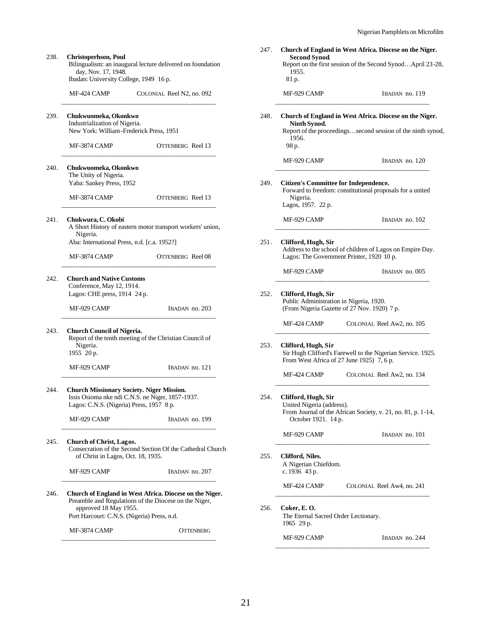| Christoperhson, Poul<br>Bilingualism: an inaugural lecture delivered on foundation<br>day, Nov. 17, 1948.<br>Ibadan: University College, 1949 16 p. |                   | 247. | <b>Second Synod</b><br>1955.<br>81 p.                            | Church of England in West Africa. Diocese on the Niger.<br>Report on the first session of the Second SynodApril 23-28, |
|-----------------------------------------------------------------------------------------------------------------------------------------------------|-------------------|------|------------------------------------------------------------------|------------------------------------------------------------------------------------------------------------------------|
| MF-424 CAMP<br>COLONIAL Reel N2, no. 092                                                                                                            |                   |      | MF-929 CAMP                                                      | IBADAN no. 119                                                                                                         |
| Chukwuomeka, Okonkwo<br>Industrialization of Nigeria.<br>New York: William-Frederick Press, 1951                                                    |                   | 248. | Ninth Synod.<br>1956.                                            | Church of England in West Africa. Diocese on the Niger.<br>Report of the proceedingssecond session of the ninth synod, |
| MF-3874 CAMP                                                                                                                                        | OTTENBERG Reel 13 |      | 98 p.                                                            |                                                                                                                        |
| Chukwuomeka, Okonkwo<br>The Unity of Nigeria.<br>Yaba: Sankey Press, 1952                                                                           |                   | 249. | MF-929 CAMP<br><b>Citizen's Committee for Independence.</b>      | IBADAN no. 120                                                                                                         |
| MF-3874 CAMP                                                                                                                                        | OTTENBERG Reel 13 |      | Nigeria.<br>Lagos, 1957. 22 p.                                   | Forward to freedom: constitutional proposals for a united                                                              |
| Chukwura, C. Okobi<br>A Short History of eastern motor transport workers' union,<br>Nigeria.                                                        |                   |      | MF-929 CAMP                                                      | IBADAN no. 102                                                                                                         |
| Aba: International Press, n.d. [c.a. 1952?]<br>MF-3874 CAMP                                                                                         | OTTENBERG Reel 08 | 251. | Clifford, Hugh, Sir<br>Lagos: The Government Printer, 1920 10 p. | Address to the school of children of Lagos on Empire Day.                                                              |
|                                                                                                                                                     |                   |      | MF-929 CAMP                                                      | IBADAN no. 005                                                                                                         |
| <b>Church and Native Customs</b><br>Conference, May 12, 1914.<br>Lagos: CHE press, 1914 24 p.<br>MF-929 CAMP                                        | IBADAN no. 203    | 252. | Clifford, Hugh, Sir<br>Public Administration in Nigeria, 1920.   | (From Nigeria Gazette of 27 Nov. 1920) 7 p.                                                                            |
|                                                                                                                                                     |                   |      | MF-424 CAMP                                                      | COLONIAL Reel Aw2, no. 105                                                                                             |
| <b>Church Council of Nigeria.</b><br>Report of the tenth meeting of the Christian Council of<br>Nigeria.<br>1955 20 p.                              |                   | 253. | Clifford, Hugh, Sir<br>From West Africa of 27 June 1925) 7, 6 p. | Sir Hugh Clifford's Farewell to the Nigerian Service. 1925.                                                            |
| MF-929 CAMP                                                                                                                                         | IBADAN no. 121    |      | MF-424 CAMP                                                      | COLONIAL Reel Aw2, no. 134                                                                                             |
| <b>Church Missionary Society. Niger Mission.</b><br>Issis Osioma nke ndi C.N.S. ne Niger, 1857-1937.<br>Lagos: C.N.S. (Nigeria) Press, 1957 8 p.    |                   | 254. | Clifford, Hugh, Sir<br>United Nigeria (address).                 | From Journal of the African Society, v. 21, no. 81, p. 1-14,                                                           |
| MF-929 CAMP                                                                                                                                         | IBADAN no. 199    |      | October 1921. 14 p.<br>MF-929 CAMP                               | IBADAN no. 101                                                                                                         |
| Church of Christ, Lagos.<br>Consecration of the Second Section Of the Cathedral Church<br>of Christ in Lagos, Oct. 18, 1935.                        |                   | 255. | Clifford, Niles.                                                 |                                                                                                                        |
| MF-929 CAMP                                                                                                                                         | IBADAN no. 207    |      | A Nigerian Chiefdom.<br>c. 1936 43 p.                            |                                                                                                                        |
| Church of England in West Africa. Diocese on the Niger.<br>Preamble and Regulations of the Diocese on the Niger,<br>approved 18 May 1955.           |                   | 256. | MF-424 CAMP<br>Coker, E.O.                                       | COLONIAL Reel Aw4, no. 241                                                                                             |
| Port Harcourt: C.N.S. (Nigeria) Press, n.d.                                                                                                         |                   |      | The Eternal Sacred Order Lectionary.<br>1965 29 p.               |                                                                                                                        |
| MF-3874 CAMP                                                                                                                                        | <b>OTTENBERG</b>  |      | MF-929 CAMP                                                      | IBADAN no. 244                                                                                                         |

Bilingualism: an inaugural lecture delivered on day, Nov. 17, 1948. Ibadan: University College, 1949 16 p. MF-424 CAMP COLONIAL Reel N2 \_\_\_\_\_\_\_\_\_\_\_\_\_\_\_\_\_\_\_\_\_\_\_\_\_\_\_\_\_\_\_\_\_\_\_\_\_\_\_\_\_\_\_\_\_\_\_\_ 239. **Chukwuomeka, Okonkwo** Industrialization of Nigeria. New York: William-Frederick Press, 1951 MF-3874 CAMP OTTENBERG \_\_\_\_\_\_\_\_\_\_\_\_\_\_\_\_\_\_\_\_\_\_\_\_\_\_\_\_\_\_\_\_\_\_\_\_\_\_\_\_\_\_\_\_\_\_\_\_ 240. **Chukwuomeka, Okonkwo** The Unity of Nigeria. Yaba: Sankey Press, 1952 MF-3874 CAMP OTTENBERG \_\_\_\_\_\_\_\_\_\_\_\_\_\_\_\_\_\_\_\_\_\_\_\_\_\_\_\_\_\_\_\_\_\_\_\_\_\_\_\_\_\_\_\_\_\_\_\_ 241. **Chukwura, C. Okobi** A Short History of eastern motor transport work Nigeria. Aba: International Press, n.d. [c.a. 1952?] MF-3874 CAMP OTTENBERG \_\_\_\_\_\_\_\_\_\_\_\_\_\_\_\_\_\_\_\_\_\_\_\_\_\_\_\_\_\_\_\_\_\_\_\_\_\_\_\_\_\_\_\_\_\_\_\_ 242. **Church and Native Customs** Conference, May 12, 1914. Lagos: CHE press, 1914 24 p. MF-929 CAMP IBADAN \_\_\_\_\_\_\_\_\_\_\_\_\_\_\_\_\_\_\_\_\_\_\_\_\_\_\_\_\_\_\_\_\_\_\_\_\_\_\_\_\_\_\_\_\_\_\_\_ 243. **Church Council of Nigeria.** Report of the tenth meeting of the Christian Council Nigeria. 1955 20 p. MF-929 CAMP IBADAN \_\_\_\_\_\_\_\_\_\_\_\_\_\_\_\_\_\_\_\_\_\_\_\_\_\_\_\_\_\_\_\_\_\_\_\_\_\_\_\_\_\_\_\_\_\_\_\_ 244. **Church Missionary Society. Niger Mission.** Issis Osioma nke ndi C.N.S. ne Niger, 1857-19 Lagos: C.N.S. (Nigeria) Press, 1957 8 p. MF-929 CAMP IBADAN \_\_\_\_\_\_\_\_\_\_\_\_\_\_\_\_\_\_\_\_\_\_\_\_\_\_\_\_\_\_\_\_\_\_\_\_\_\_\_\_\_\_\_\_\_\_\_\_ 245. **Church of Christ, Lagos.** Consecration of the Second Section Of the Cat of Christ in Lagos, Oct. 18, 1935. MF-929 CAMP IBADAN \_\_\_\_\_\_\_\_\_\_\_\_\_\_\_\_\_\_\_\_\_\_\_\_\_\_\_\_\_\_\_\_\_\_\_\_\_\_\_\_\_\_\_\_\_\_\_\_ 246. **Church of England in West Africa. Diocese on** Preamble and Regulations of the Diocese on the approved 18 May 1955. Port Harcourt: C.N.S. (Nigeria) Press, n.d.  $MF-3874$  CAMP  $OT$ 

238. **Christoperhson, Poul**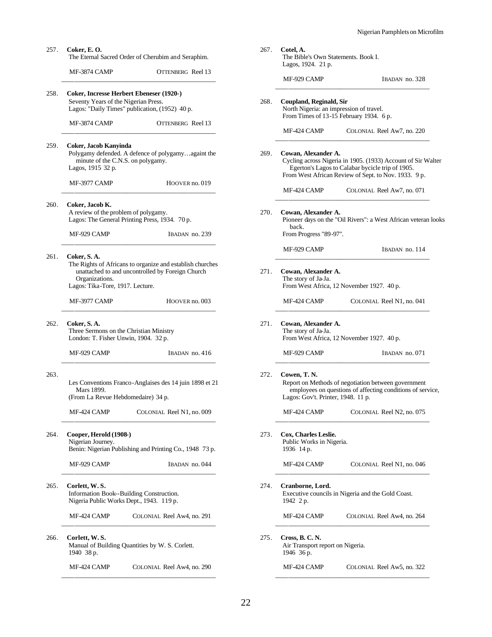| 267. | Cotel, A.<br>The Bible's Own Statements. Book I.<br>Lagos, 1924. 21 p. |                                                                                                                                                                          |
|------|------------------------------------------------------------------------|--------------------------------------------------------------------------------------------------------------------------------------------------------------------------|
|      | MF-929 CAMP                                                            | IBADAN no. 328                                                                                                                                                           |
| 268. | Coupland, Reginald, Sir<br>North Nigeria: an impression of travel.     | From Times of 13-15 February 1934. 6 p.                                                                                                                                  |
|      | MF-424 CAMP                                                            | COLONIAL Reel Aw7, no. 220                                                                                                                                               |
| 269. | Cowan, Alexander A.                                                    | Cycling across Nigeria in 1905. (1933) Account of Sir Walter<br>Egerton's Lagos to Calabar bycicle trip of 1905.<br>From West African Review of Sept. to Nov. 1933. 9 p. |
|      | MF-424 CAMP                                                            | COLONIAL Reel Aw7, no. 071                                                                                                                                               |
| 270. | Cowan, Alexander A.<br>back.<br>From Progress "89-97".                 | Pioneer days on the "Oil Rivers": a West African veteran looks                                                                                                           |
|      | MF-929 CAMP                                                            | IBADAN no. 114                                                                                                                                                           |
| 271. | Cowan, Alexander A.<br>The story of Ja-Ja.                             | From West Africa, 12 November 1927. 40 p.                                                                                                                                |
|      | MF-424 CAMP                                                            | COLONIAL Reel N1, no. 041                                                                                                                                                |
| 271. | Cowan, Alexander A.<br>The story of Ja-Ja.                             | From West Africa, 12 November 1927. 40 p.                                                                                                                                |
|      | MF-929 CAMP                                                            | IBADAN no. 071                                                                                                                                                           |
| 272. | Cowen, T. N.<br>Lagos: Gov't. Printer, 1948. 11 p.                     | Report on Methods of negotiation between government<br>employees on questions of affecting conditions of service,                                                        |
|      | MF-424 CAMP                                                            | COLONIAL Reel N2, no. 075                                                                                                                                                |
| 273. | Cox, Charles Leslie.<br>Public Works in Nigeria.<br>1936 14 p.         |                                                                                                                                                                          |
|      | MF-424 CAMP                                                            | COLONIAL Reel N1, no. 046                                                                                                                                                |
| 274. | Cranborne, Lord.<br>1942 2 p.                                          | Executive councils in Nigeria and the Gold Coast.                                                                                                                        |
|      | MF-424 CAMP                                                            | COLONIAL Reel Aw4, no. 264                                                                                                                                               |
| 275. | Cross, B. C. N.<br>Air Transport report on Nigeria.<br>1946 36 p.      |                                                                                                                                                                          |
|      | MF-424 CAMP                                                            | COLONIAL Reel Aw5, no. 322                                                                                                                                               |

258. **Coker, Incresse Herbert Ebeneser (1920-)** Seventy Years of the Nigerian Press. Lagos: "Daily Times" publication, (1952) 40 p. MF-3874 CAMP OTTENBERG Reel 13 \_\_\_\_\_\_\_\_\_\_\_\_\_\_\_\_\_\_\_\_\_\_\_\_\_\_\_\_\_\_\_\_\_\_\_\_\_\_\_\_\_\_\_\_\_\_\_\_ 259. **Coker, Jacob Kanyinda** Polygamy defended. A defence of polygamy…againt the minute of the C.N.S. on polygamy. Lagos, 1915 32 p. MF-3977 CAMP HOOVER no. 019 \_\_\_\_\_\_\_\_\_\_\_\_\_\_\_\_\_\_\_\_\_\_\_\_\_\_\_\_\_\_\_\_\_\_\_\_\_\_\_\_\_\_\_\_\_\_\_\_ 260. **Coker, Jacob K.** A review of the problem of polygamy. Lagos: The General Printing Press, 1934. 70 p. MF-929 CAMP IBADAN no. 239 \_\_\_\_\_\_\_\_\_\_\_\_\_\_\_\_\_\_\_\_\_\_\_\_\_\_\_\_\_\_\_\_\_\_\_\_\_\_\_\_\_\_\_\_\_\_\_\_ 261. **Coker, S. A.** The Rights of Africans to organize and establish churches unattached to and uncontrolled by Foreign Church Organizations. Lagos: Tika-Tore, 1917. Lecture. MF-3977 CAMP HOOVER no. 003 \_\_\_\_\_\_\_\_\_\_\_\_\_\_\_\_\_\_\_\_\_\_\_\_\_\_\_\_\_\_\_\_\_\_\_\_\_\_\_\_\_\_\_\_\_\_\_\_ 262. **Coker, S. A.** Three Sermons on the Christian Ministry London: T. Fisher Unwin, 1904. 32 p. MF-929 CAMP IBADAN no. 416 \_\_\_\_\_\_\_\_\_\_\_\_\_\_\_\_\_\_\_\_\_\_\_\_\_\_\_\_\_\_\_\_\_\_\_\_\_\_\_\_\_\_\_\_\_\_\_\_ 263. Les Conventions Franco-Anglaises des 14 juin 1898 et 21 Mars 1899. (From La Revue Hebdomedaire) 34 p. MF-424 CAMP COLONIAL Reel N1, no. 009 \_\_\_\_\_\_\_\_\_\_\_\_\_\_\_\_\_\_\_\_\_\_\_\_\_\_\_\_\_\_\_\_\_\_\_\_\_\_\_\_\_\_\_\_\_\_\_\_ 264. **Cooper, Herold (1908-)** Nigerian Journey. Benin: Nigerian Publishing and Printing Co., 1948 73 p. MF-929 CAMP IBADAN no. 044 \_\_\_\_\_\_\_\_\_\_\_\_\_\_\_\_\_\_\_\_\_\_\_\_\_\_\_\_\_\_\_\_\_\_\_\_\_\_\_\_\_\_\_\_\_\_\_\_ 265. **Corlett, W. S.** Information Book--Building Construction. Nigeria Public Works Dept., 1943. 119 p. MF-424 CAMP COLONIAL Reel Aw4, no. 291 \_\_\_\_\_\_\_\_\_\_\_\_\_\_\_\_\_\_\_\_\_\_\_\_\_\_\_\_\_\_\_\_\_\_\_\_\_\_\_\_\_\_\_\_\_\_\_\_ 266. **Corlett, W. S.** Manual of Building Quantities by W. S. Corlett. 1940 38 p.

257. **Coker, E. O.**

The Eternal Sacred Order of Cherubim and Seraphim. MF-3874 CAMP OTTENBERG Reel 13 \_\_\_\_\_\_\_\_\_\_\_\_\_\_\_\_\_\_\_\_\_\_\_\_\_\_\_\_\_\_\_\_\_\_\_\_\_\_\_\_\_\_\_\_\_\_\_\_

MF-424 CAMP COLONIAL Reel Aw4, no. 290 \_\_\_\_\_\_\_\_\_\_\_\_\_\_\_\_\_\_\_\_\_\_\_\_\_\_\_\_\_\_\_\_\_\_\_\_\_\_\_\_\_\_\_\_\_\_\_\_

22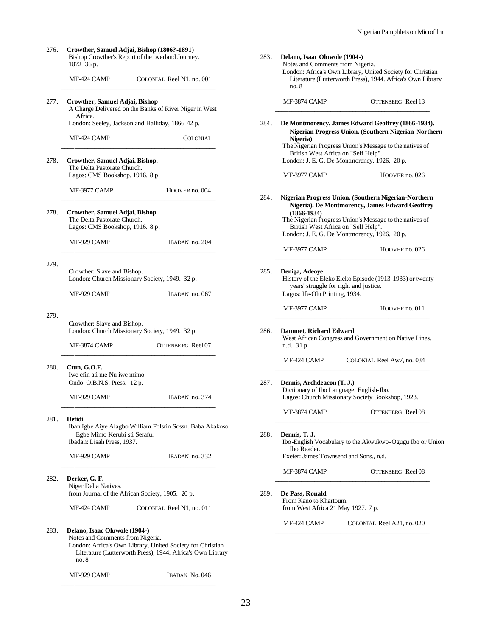| 276. | Crowther, Samuel Adjai, Bishop (1806?-1891)<br>1872 36 p.                                               | Bishop Crowther's Report of the overland Journey.                                                                        | 283. | Delano, Isaac Oluwole (1904-)<br>Notes and Comments from Nigeria.               |                                                                                                                                                                                                   |
|------|---------------------------------------------------------------------------------------------------------|--------------------------------------------------------------------------------------------------------------------------|------|---------------------------------------------------------------------------------|---------------------------------------------------------------------------------------------------------------------------------------------------------------------------------------------------|
|      | MF-424 CAMP                                                                                             | COLONIAL Reel N1, no. 001                                                                                                |      | no.8                                                                            | London: Africa's Own Library, United Society for Christian<br>Literature (Lutterworth Press), 1944. Africa's Own Library                                                                          |
| 277. | Crowther, Samuel Adjai, Bishop<br>Africa.                                                               | A Charge Delivered on the Banks of River Niger in West                                                                   |      | MF-3874 CAMP                                                                    | OTTENBERG Reel 13                                                                                                                                                                                 |
|      |                                                                                                         | London: Seeley, Jackson and Halliday, 1866 42 p.                                                                         | 284. |                                                                                 | De Montmorency, James Edward Geoffrey (1866-1934).<br>Nigerian Progress Union. (Southern Nigerian-Northern)                                                                                       |
|      | MF-424 CAMP                                                                                             | <b>COLONIAL</b>                                                                                                          |      | Nigeria)<br>British West Africa on "Self Help".                                 | The Nigerian Progress Union's Message to the natives of                                                                                                                                           |
| 278. | Crowther, Samuel Adjai, Bishop.<br>The Delta Pastorate Church.<br>Lagos: CMS Bookshop, 1916. 8 p.       |                                                                                                                          |      | MF-3977 CAMP                                                                    | London: J. E. G. De Montmorency, 1926. 20 p.<br>HOOVER no. 026                                                                                                                                    |
|      | MF-3977 CAMP                                                                                            | HOOVER no. 004                                                                                                           | 284. |                                                                                 | Nigerian Progress Union. (Southern Nigerian-Northern                                                                                                                                              |
| 278. | Crowther, Samuel Adjai, Bishop.<br>The Delta Pastorate Church.<br>Lagos: CMS Bookshop, 1916. 8 p.       |                                                                                                                          |      | $(1866 - 1934)$                                                                 | Nigeria). De Montmorency, James Edward Geoffrey<br>The Nigerian Progress Union's Message to the natives of<br>British West Africa on "Self Help".<br>London: J. E. G. De Montmorency, 1926. 20 p. |
|      | MF-929 CAMP                                                                                             | IBADAN no. 204                                                                                                           |      | MF-3977 CAMP                                                                    | HOOVER no. 026                                                                                                                                                                                    |
| 279. | Crowther: Slave and Bishop.                                                                             | London: Church Missionary Society, 1949. 32 p.                                                                           | 285. | Deniga, Adeoye<br>years' struggle for right and justice.                        | History of the Eleko Eleko Episode (1913-1933) or twenty                                                                                                                                          |
|      | MF-929 CAMP                                                                                             | IBADAN no. 067                                                                                                           |      | Lagos: Ife-Olu Printing, 1934.<br>MF-3977 CAMP                                  | HOOVER no. 011                                                                                                                                                                                    |
| 279. | Crowther: Slave and Bishop.                                                                             | London: Church Missionary Society, 1949. 32 p.                                                                           | 286. | <b>Dammet, Richard Edward</b>                                                   |                                                                                                                                                                                                   |
|      | MF-3874 CAMP                                                                                            | OTTENBE RG Reel 07                                                                                                       |      | n.d. 31 p.                                                                      | West African Congress and Government on Native Lines.                                                                                                                                             |
| 280. | Ctun, G.O.F.<br>Iwe efin ati me Nu iwe mimo.<br>Ondo: O.B.N.S. Press. 12 p.                             |                                                                                                                          | 287. | MF-424 CAMP<br>Dennis, Archdeacon (T. J.)                                       | COLONIAL Reel Aw7, no. 034                                                                                                                                                                        |
|      | MF-929 CAMP                                                                                             | IBADAN no. 374                                                                                                           |      |                                                                                 | Dictionary of Ibo Language. English-Ibo.<br>Lagos: Church Missionary Society Bookshop, 1923.                                                                                                      |
| 281. | Defidi                                                                                                  | Iban Igbe Aiye Alagbo William Folsrin Sossn. Baba Akakoso                                                                |      | MF-3874 CAMP                                                                    | OTTENBERG Reel 08                                                                                                                                                                                 |
|      | Egbe Mimo Kerubi sti Serafu.<br>Ibadan: Lisah Press, 1937.<br>MF-929 CAMP                               | IBADAN no. 332                                                                                                           | 288. | Dennis, T. J.<br>Ibo Reader.<br>Exeter: James Townsend and Sons., n.d.          | Ibo-English Vocabulary to the Akwukwo-Ogugu Ibo or Union                                                                                                                                          |
|      |                                                                                                         |                                                                                                                          |      | MF-3874 CAMP                                                                    | OTTENBERG Reel 08                                                                                                                                                                                 |
| 282. | Derker, G.F.<br>Niger Delta Natives.<br>from Journal of the African Society, 1905. 20 p.<br>MF-424 CAMP | COLONIAL Reel N1, no. 011                                                                                                | 289. | De Pass, Ronald<br>From Kano to Khartoum.<br>from West Africa 21 May 1927. 7 p. |                                                                                                                                                                                                   |
|      |                                                                                                         |                                                                                                                          |      | MF-424 CAMP                                                                     | COLONIAL Reel A21, no. 020                                                                                                                                                                        |
| 283. | Delano, Isaac Oluwole (1904-)<br>Notes and Comments from Nigeria.<br>no.8                               | London: Africa's Own Library, United Society for Christian<br>Literature (Lutterworth Press), 1944. Africa's Own Library |      |                                                                                 |                                                                                                                                                                                                   |
|      | MF-929 CAMP                                                                                             | IBADAN No. 046                                                                                                           |      |                                                                                 |                                                                                                                                                                                                   |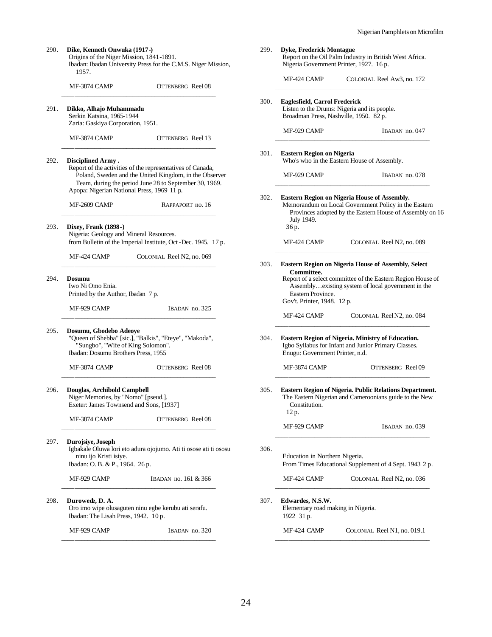| 290. | Dike, Kenneth Onwuka (1917-)<br>Origins of the Niger Mission, 1841-1891.<br>Ibadan: Ibadan University Press for the C.M.S. Niger Mission,<br>1957.                                                                           | 299. | <b>Dyke, Frederick Montague</b><br>Report on the Oil Palm Industry in British West Africa.<br>Nigeria Government Printer, 1927. 16 p.                                          |
|------|------------------------------------------------------------------------------------------------------------------------------------------------------------------------------------------------------------------------------|------|--------------------------------------------------------------------------------------------------------------------------------------------------------------------------------|
|      | MF-3874 CAMP<br>OTTENBERG Reel 08                                                                                                                                                                                            |      | MF-424 CAMP<br>COLONIAL Reel Aw3, no. 172                                                                                                                                      |
| 291. | Dikko, Alhajo Muhammadu<br>Serkin Katsina, 1965-1944<br>Zaria: Gaskiya Corporation, 1951.                                                                                                                                    | 300. | Eaglesfield, Carrol Frederick<br>Listen to the Drums: Nigeria and its people.<br>Broadman Press, Nashville, 1950. 82 p.                                                        |
|      | MF-3874 CAMP<br>OTTENBERG Reel 13                                                                                                                                                                                            |      | MF-929 CAMP<br>IBADAN no. 047                                                                                                                                                  |
| 292. | Disciplined Army.                                                                                                                                                                                                            | 301. | <b>Eastern Region on Nigeria</b><br>Who's who in the Eastern House of Assembly.                                                                                                |
|      | Report of the activities of the representatives of Canada,<br>Poland, Sweden and the United Kingdom, in the Observer<br>Team, during the period June 28 to September 30, 1969.<br>Apopa: Nigerian National Press, 1969 11 p. |      | MF-929 CAMP<br>IBADAN no. 078                                                                                                                                                  |
|      | MF-2609 CAMP<br>RAPPAPORT no. 16                                                                                                                                                                                             | 302. | Eastern Region on Nigeria House of Assembly.<br>Memorandum on Local Government Policy in the Eastern<br>Provinces adopted by the Eastern House of Assembly on 16<br>July 1949. |
| 293. | <b>Dixey, Frank (1898-)</b><br>Nigeria: Geology and Mineral Resources.<br>from Bulletin of the Imperial Institute, Oct -Dec. 1945. 17 p.                                                                                     |      | 36 p.<br>MF-424 CAMP<br>COLONIAL Reel N2, no. 089                                                                                                                              |
|      | COLONIAL Reel N2, no. 069<br>MF-424 CAMP                                                                                                                                                                                     | 303. | <b>Eastern Region on Nigeria House of Assembly, Select</b><br>Committee.                                                                                                       |
| 294. | <b>Dosumu</b><br>Iwo Ni Omo Enia.<br>Printed by the Author, Ibadan 7 p.                                                                                                                                                      |      | Report of a select committee of the Eastern Region House of<br>Assemblyexisting system of local government in the<br>Eastern Province.<br>Gov't. Printer, 1948. 12 p.          |
|      | MF-929 CAMP<br>IBADAN no. 325                                                                                                                                                                                                |      | MF-424 CAMP<br>COLONIAL Reel N2, no. 084                                                                                                                                       |
| 295. | Dosumu, Gbodebo Adeoye<br>"Queen of Shebba" [sic.], "Balkis", "Eteye", "Makoda",<br>"Sungbo", "Wife of King Solomon".<br>Ibadan: Dosumu Brothers Press, 1955                                                                 | 304. | Eastern Region of Nigeria. Ministry of Education.<br>Igbo Syllabus for Infant and Junior Primary Classes.<br>Enugu: Government Printer, n.d.                                   |
|      | <b>OTTENBERG</b> Reel 08<br>MF-3874 CAMP                                                                                                                                                                                     |      | MF-3874 CAMP<br>OTTENBERG Reel 09                                                                                                                                              |
| 296. | Douglas, Archibold Campbell<br>Niger Memories, by "Nomo" [pseud.].<br>Exeter: James Townsend and Sons, [1937]                                                                                                                | 305. | Eastern Region of Nigeria. Public Relations Department.<br>The Eastern Nigerian and Cameroonians guide to the New<br>Constitution.<br>12 p.                                    |
|      | MF-3874 CAMP<br><b>OTTENBERG</b> Reel 08                                                                                                                                                                                     |      | MF-929 CAMP<br>IBADAN no. 039                                                                                                                                                  |
| 297. | Durojsive, Joseph<br>Igbakale Oluwa lori eto adura ojojumo. Ati ti osose ati ti ososu<br>ninu ijo Kristi isiye.<br>Ibadan: O.B. & P., 1964. 26 p.                                                                            | 306. | Education in Northern Nigeria.<br>From Times Educational Supplement of 4 Sept. 1943 2 p.                                                                                       |
|      | MF-929 CAMP<br>IBADAN no. 161 & 366                                                                                                                                                                                          |      | MF-424 CAMP<br>COLONIAL Reel N2, no. 036                                                                                                                                       |
| 298. | Durowede, D. A.<br>Oro imo wipe olusaguten ninu egbe kerubu ati serafu.<br>Ibadan: The Lisah Press, 1942. 10 p.                                                                                                              | 307. | Edwardes, N.S.W.<br>Elementary road making in Nigeria.<br>1922 31 p.                                                                                                           |
|      | MF-929 CAMP<br>IBADAN no. 320                                                                                                                                                                                                |      | MF-424 CAMP<br>COLONIAL Reel N1, no. 019.1                                                                                                                                     |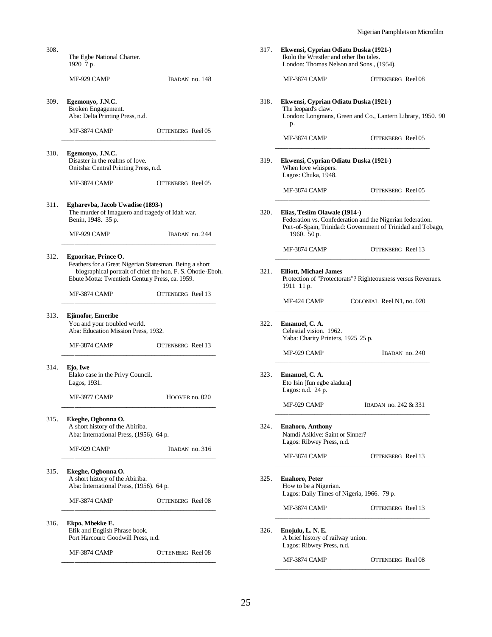| 308. | The Egbe National Charter.<br>1920 7 p.                                                                                                                                 |                          | 317. | Ekwensi, Cyprian Odiatu Duska (1921-)<br>Ikolo the Wrestler and other Ibo tales.             | London: Thomas Nelson and Sons., (1954).                                                                                 |
|------|-------------------------------------------------------------------------------------------------------------------------------------------------------------------------|--------------------------|------|----------------------------------------------------------------------------------------------|--------------------------------------------------------------------------------------------------------------------------|
|      | MF-929 CAMP                                                                                                                                                             | IBADAN no. 148           |      | MF-3874 CAMP                                                                                 | OTTENBERG Reel 08                                                                                                        |
| 309. | Egemonyo, J.N.C.<br>Broken Engagement.<br>Aba: Delta Printing Press, n.d.                                                                                               |                          | 318. | Ekwensi, Cyprian Odiatu Duska (1921-)<br>The leopard's claw.<br>p.                           | London: Longmans, Green and Co., Lantern Library, 1950. 90                                                               |
|      | MF-3874 CAMP                                                                                                                                                            | <b>OTTENBERG</b> Reel 05 |      | MF-3874 CAMP                                                                                 | OTTENBERG Reel 05                                                                                                        |
| 310. | Egemonyo, J.N.C.<br>Disaster in the realms of love.<br>Onitsha: Central Printing Press, n.d.                                                                            |                          | 319. | Ekwensi, Cyprian Odiatu Duska (1921-)<br>When love whispers.<br>Lagos: Chuka, 1948.          |                                                                                                                          |
|      | MF-3874 CAMP                                                                                                                                                            | OTTENBERG Reel 05        |      | MF-3874 CAMP                                                                                 | OTTENBERG Reel 05                                                                                                        |
| 311. | Egharevba, Jacob Uwadise (1893-)<br>The murder of Imaguero and tragedy of Idah war.<br>Benin, 1948. 35 p.<br>MF-929 CAMP                                                | IBADAN no. 244           | 320. | Elias, Teslim Olawale (1914-)<br>1960. $50 p.$                                               | Federation vs. Confederation and the Nigerian federation.<br>Port-of-Spain, Trinidad: Government of Trinidad and Tobago, |
| 312. | Eguoritae, Prince O.                                                                                                                                                    |                          |      | MF-3874 CAMP                                                                                 | OTTENBERG Reel 13                                                                                                        |
|      | Feathers for a Great Nigerian Statesman. Being a short<br>biographical portrait of chief the hon. F. S. Ohotie-Eboh.<br>Ebute Motta: Twentieth Century Press, ca. 1959. |                          | 321. | <b>Elliott, Michael James</b><br>1911 11 p.                                                  | Protection of "Protectorats"? Righteousness versus Revenues.                                                             |
|      | MF-3874 CAMP                                                                                                                                                            | OTTENBERG Reel 13        |      | MF-424 CAMP                                                                                  | COLONIAL Reel N1, no. 020                                                                                                |
| 313. | Ejimofor, Emeribe<br>You and your troubled world.<br>Aba: Education Mission Press, 1932.                                                                                |                          | 322. | Emanuel, C.A.<br>Celestial vision. 1962.<br>Yaba: Charity Printers, 1925 25 p.               |                                                                                                                          |
|      | MF-3874 CAMP                                                                                                                                                            | OTTENBERG Reel 13        |      | MF-929 CAMP                                                                                  | IBADAN no. 240                                                                                                           |
| 314. | Ejo, Iwe<br>Elako case in the Privy Council.<br>Lagos, 1931.                                                                                                            |                          | 323. | Emanuel, C.A.<br>Eto Isin [fun egbe aladura]<br>Lagos: n.d. $24$ p.                          |                                                                                                                          |
|      | MF-3977 CAMP                                                                                                                                                            | HOOVER no. 020           |      | MF-929 CAMP                                                                                  | IBADAN no. 242 & 331                                                                                                     |
| 315. | Ekeghe, Ogbonna O.<br>A short history of the Abiriba.<br>Aba: International Press, (1956). 64 p.                                                                        |                          | 324. | <b>Enahoro, Anthony</b><br>Namdi Asikive: Saint or Sinner?<br>Lagos: Ribwey Press, n.d.      |                                                                                                                          |
|      | MF-929 CAMP                                                                                                                                                             | IBADAN no. 316           |      | MF-3874 CAMP                                                                                 | <b>OTTENBERG</b> Reel 13                                                                                                 |
| 315. | Ekeghe, Ogbonna O.<br>A short history of the Abiriba.<br>Aba: International Press, (1956). 64 p.                                                                        |                          | 325. | <b>Enahoro, Peter</b><br>How to be a Nigerian.<br>Lagos: Daily Times of Nigeria, 1966. 79 p. |                                                                                                                          |
|      | MF-3874 CAMP                                                                                                                                                            | OTTENBERG Reel 08        |      | MF-3874 CAMP                                                                                 | OTTENBERG Reel 13                                                                                                        |
| 316. | Ekpo, Mbekke E.<br>Efik and English Phrase book.<br>Port Harcourt: Goodwill Press, n.d.                                                                                 |                          | 326. | Enojulu, L. N. E.<br>A brief history of railway union.<br>Lagos: Ribwey Press, n.d.          |                                                                                                                          |
|      | MF-3874 CAMP                                                                                                                                                            | OTTENBERG Reel 08        |      | MF-3874 CAMP                                                                                 | OTTENBERG Reel 08                                                                                                        |
|      |                                                                                                                                                                         |                          |      |                                                                                              |                                                                                                                          |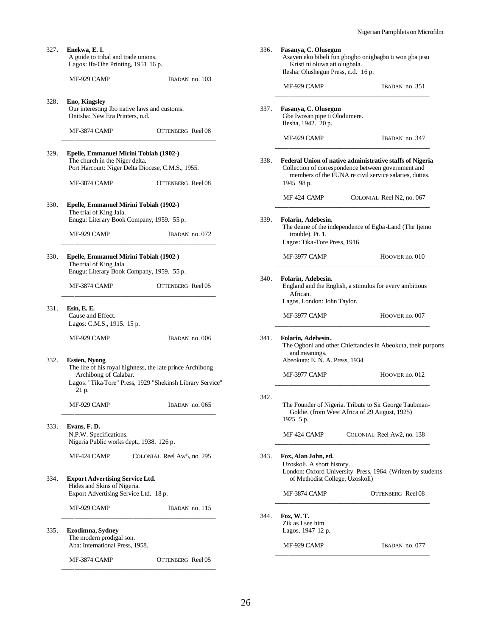Asayen eko bibeli fun gbogbo onigbagbo ti won gba jesu

| 327. | Enekwa, E. I.<br>A guide to tribal and trade unions.<br>Lagos: Ifa-Ohe Printing, 1951 16 p.                                   |                                                                                                                        | 336. | Fasanya, C. Olusegun<br>Asayen eko bibeli fun<br>Kristi ni oluwa ati o<br>Ilesha: Olushegun Pres |
|------|-------------------------------------------------------------------------------------------------------------------------------|------------------------------------------------------------------------------------------------------------------------|------|--------------------------------------------------------------------------------------------------|
|      | MF-929 CAMP                                                                                                                   | IBADAN no. 103                                                                                                         |      | MF-929 CAMP                                                                                      |
| 328. | <b>Eno, Kingsley</b><br>Our interesting Ibo native laws and customs.<br>Onitsha: New Era Printers, n.d.                       |                                                                                                                        | 337. | Fasanya, C. Olusegun<br>Gbe Iwosan pipe ti Olo<br>Ilesha, 1942. 20 p.                            |
|      | MF-3874 CAMP                                                                                                                  | OTTENBERG Reel 08                                                                                                      |      | MF-929 CAMP                                                                                      |
| 329. | Epelle, Emmanuel Mirini Tobiah (1902-)<br>The church in the Niger delta.<br>Port Harcourt: Niger Delta Diocese, C.M.S., 1955. |                                                                                                                        | 338. | <b>Federal Union of nativelle</b><br>Collection of correspor<br>members of the FUI               |
|      | MF-3874 CAMP                                                                                                                  | OTTENBERG Reel 08                                                                                                      |      | 1945 98 p.                                                                                       |
| 330. | Epelle, Emmanuel Mirini Tobiah (1902-)                                                                                        |                                                                                                                        |      | MF-424 CAMP                                                                                      |
|      | The trial of King Jala.<br>Enugu: Literary Book Company, 1959. 55 p.<br>MF-929 CAMP                                           | IBADAN no. 072                                                                                                         | 339. | Folarin, Adebesin.<br>The deime of the indep<br>trouble). Pt. 1.                                 |
| 330. | Epelle, Emmanuel Mirini Tobiah (1902-)<br>The trial of King Jala.                                                             |                                                                                                                        |      | Lagos: Tika-Tore Pres<br>MF-3977 CAMP                                                            |
|      | Enugu: Literary Book Company, 1959. 55 p.<br>MF-3874 CAMP                                                                     | OTTENBERG Reel 05                                                                                                      | 340. | Folarin, Adebesin.<br>England and the Englis                                                     |
| 331. | Esin, E. E.<br>Cause and Effect.<br>Lagos: C.M.S., 1915. 15 p.                                                                |                                                                                                                        |      | African.<br>Lagos, London: John 7<br>MF-3977 CAMP                                                |
|      | MF-929 CAMP                                                                                                                   | IBADAN no. 006                                                                                                         | 341. | Folarin, Adebesin.<br>The Ogboni and other<br>and meanings.                                      |
| 332. | <b>Essien, Nyong</b><br>Archibong of Calabar.                                                                                 | The life of his royal highness, the late prince Archibong<br>Lagos: "Tika-Tore" Press, 1929 "Shekinsh Library Service" |      | Abeokuta: E. N. A. Pre<br>MF-3977 CAMP                                                           |
|      | 21 p.<br>MF-929 CAMP                                                                                                          | IBADAN no. 065                                                                                                         | 342. | The Founder of Nigeri<br>Goldie. (from West                                                      |
| 333. | Evans, F.D.<br>N.P.W. Specifications.<br>Nigeria Public works dept., 1938. 126 p.                                             |                                                                                                                        |      | 1925 5 p.<br>MF-424 CAMP                                                                         |
|      | MF-424 CAMP                                                                                                                   | COLONIAL Reel Aw5, no. 295                                                                                             | 343. | Fox, Alan John, ed.<br>Uzoskoli. A short histo                                                   |
| 334. | <b>Export Advertising Service Ltd.</b><br>Hides and Skins of Nigeria.                                                         |                                                                                                                        |      | London: Oxford Unive<br>of Methodist Colleg                                                      |
|      | Export Advertising Service Ltd. 18 p.                                                                                         |                                                                                                                        |      | MF-3874 CAMP                                                                                     |
| 335. | MF-929 CAMP<br>Ezodimna, Sydney                                                                                               | IBADAN no. 115                                                                                                         | 344. | Fox, W.T.<br>Zik as I see him.<br>Lagos, 1947 12 p.                                              |
|      | The modern prodigal son.<br>Aba: International Press, 1958.                                                                   |                                                                                                                        |      | MF-929 CAMP                                                                                      |
|      | MF-3874 CAMP                                                                                                                  | OTTENBERG Reel 05                                                                                                      |      |                                                                                                  |
|      |                                                                                                                               |                                                                                                                        |      |                                                                                                  |

| Kristi ni oluwa ati olugbala.<br>Ilesha: Olushegun Press, n.d. 16 p.                 |                                                                                                                                                                           |
|--------------------------------------------------------------------------------------|---------------------------------------------------------------------------------------------------------------------------------------------------------------------------|
| MF-929 CAMP                                                                          | IBADAN no. 351                                                                                                                                                            |
|                                                                                      |                                                                                                                                                                           |
| Fasanya, C. Olusegun<br>Gbe Iwosan pipe ti Olodumere.<br>Ilesha, 1942. 20 p.         |                                                                                                                                                                           |
| MF-929 CAMP                                                                          | IBADAN no. 347                                                                                                                                                            |
| 1945 98 p.                                                                           | Federal Union of native administrative staffs of Nigeria<br>Collection of correspondence between government and<br>members of the FUNA re civil service salaries, duties. |
| MF-424 CAMP                                                                          | COLONIAL Reel N2, no. 067                                                                                                                                                 |
| Folarin, Adebesin.<br>trouble). Pt. 1.<br>Lagos: Tika-Tore Press, 1916               | The deime of the independence of Egba-Land (The Ijemo                                                                                                                     |
| MF-3977 CAMP                                                                         | HOOVER no. 010                                                                                                                                                            |
| African.                                                                             |                                                                                                                                                                           |
| Lagos, London: John Taylor.<br>MF-3977 CAMP                                          | HOOVER no. 007                                                                                                                                                            |
| Folarin, Adebesin.<br>and meanings.<br>Abeokuta: E. N. A. Press, 1934                |                                                                                                                                                                           |
| MF-3977 CAMP                                                                         | The Ogboni and other Chieftancies in Abeokuta, their purports<br>HOOVER no. 012                                                                                           |
| 1925 5 p.                                                                            | Goldie. (from West Africa of 29 August, 1925)                                                                                                                             |
| MF-424 CAMP                                                                          | The Founder of Nigeria. Tribute to Sir George Taubman-<br>COLONIAL Reel Aw2, no. 138                                                                                      |
| Fox, Alan John, ed.<br>Uzoskoli. A short history.<br>of Methodist College, Uzoskoli) | London: Oxford University Press, 1964. (Written by students                                                                                                               |
| MF-3874 CAMP                                                                         | OTTENBERG Reel 08                                                                                                                                                         |
| Fox, W.T.<br>Zik as I see him.<br>Lagos, 1947 12 p.                                  |                                                                                                                                                                           |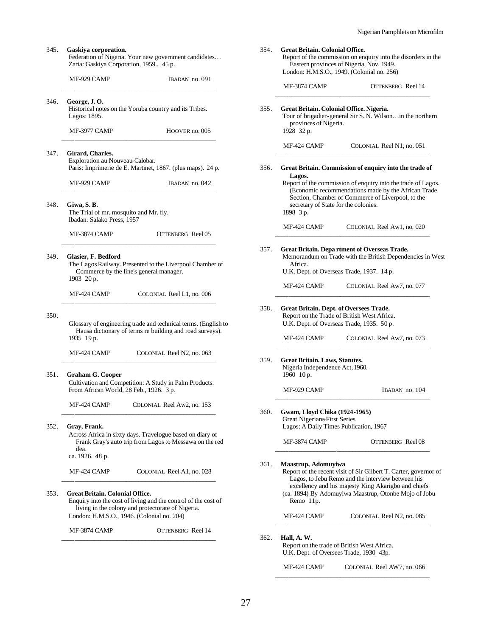Report of the commission on enquiry into the disorders in the

MF-3874 CAMP OTTENBERG Reel 14 \_\_\_\_\_\_\_\_\_\_\_\_\_\_\_\_\_\_\_\_\_\_\_\_\_\_\_\_\_\_\_\_\_\_\_\_\_\_\_\_\_\_\_\_\_\_\_\_

Tour of brigadier-general Sir S. N. Wilson…in the northern

Report of the commission of enquiry into the trade of Lagos. (Economic recommendations made by the African Trade Section, Chamber of Commerce of Liverpool, to the

MF-424 CAMP COLONIAL Reel Aw1, no. 020 \_\_\_\_\_\_\_\_\_\_\_\_\_\_\_\_\_\_\_\_\_\_\_\_\_\_\_\_\_\_\_\_\_\_\_\_\_\_\_\_\_\_\_\_\_\_\_\_

MF-424 CAMP COLONIAL Reel Aw7, no. 077 \_\_\_\_\_\_\_\_\_\_\_\_\_\_\_\_\_\_\_\_\_\_\_\_\_\_\_\_\_\_\_\_\_\_\_\_\_\_\_\_\_\_\_\_\_\_\_\_

MF-424 CAMP COLONIAL Reel Aw7, no. 073 \_\_\_\_\_\_\_\_\_\_\_\_\_\_\_\_\_\_\_\_\_\_\_\_\_\_\_\_\_\_\_\_\_\_\_\_\_\_\_\_\_\_\_\_\_\_\_\_

Memorandum on Trade with the British Dependencies in West

MF-424 CAMP COLONIAL Reel N1, no. 051 \_\_\_\_\_\_\_\_\_\_\_\_\_\_\_\_\_\_\_\_\_\_\_\_\_\_\_\_\_\_\_\_\_\_\_\_\_\_\_\_\_\_\_\_\_\_\_\_ 356. **Great Britain. Commission of enquiry into the trade of** 

Eastern provinces of Nigeria, Nov. 1949. London: H.M.S.O., 1949. (Colonial no. 256)

354. **Great Britain. Colonial Office.**

355. **Great Britain. Colonial Office. Nigeria.**

secretary of State for the colonies.

357. **Great Britain. Depa rtment of Overseas Trade.**

U.K. Dept. of Overseas Trade, 1937. 14 p.

358. **Great Britain. Dept. of Oversees Trade.** Report on the Trade of British West Africa. U.K. Dept. of Overseas Trade, 1935. 50 p.

359. **Great Britain. Laws, Statutes.** Nigeria Independence Act, 1960.

1960 10 p.

360. **Gwam, Lloyd Chika (1924-1965)**

361.

362. **Hall, A. W.**

provinces of Nigeria.

1928 32 p.

**Lagos.**

1898 3 p.

Africa.

| MF-929 CAMP                                                                        | IBADAN no. 091                                                                                                             |
|------------------------------------------------------------------------------------|----------------------------------------------------------------------------------------------------------------------------|
| George, J.O.<br>Lagos: 1895.                                                       | Historical notes on the Yoruba country and its Tribes.                                                                     |
| MF-3977 CAMP                                                                       | HOOVER no. 005                                                                                                             |
| Girard, Charles.<br>Exploration au Nouveau-Calobar.                                | Paris: Imprimerie de E. Martinet, 1867. (plus maps). 24 p.                                                                 |
| MF-929 CAMP                                                                        | IBADAN no. 042                                                                                                             |
| Giwa, S.B.<br>The Trial of mr. mosquito and Mr. fly.<br>Ibadan: Salako Press, 1957 |                                                                                                                            |
| MF-3874 CAMP                                                                       | OTTENBERG Reel 05                                                                                                          |
| Glasier, F. Bedford<br>1903 20 p.                                                  | The Lagos Railway. Presented to the Liverpool Chamber of<br>Commerce by the line's general manager.                        |
| MF-424 CAMP                                                                        | COLONIAL Reel L1, no. 006                                                                                                  |
| 1935 19 p.                                                                         | Glossary of engineering trade and technical terms. (English to<br>Hausa dictionary of terms re building and road surveys). |
| MF-424 CAMP                                                                        | COLONIAL Reel N2, no. 063                                                                                                  |
| <b>Graham G. Cooper</b><br>From African World, 28 Feb., 1926. 3 p.                 | Cultivation and Competition: A Study in Palm Products.                                                                     |
| MF-424 CAMP                                                                        | COLONIAL Reel Aw2, no. 153                                                                                                 |
|                                                                                    | Across Africa in sixty days. Travelogue based on diary of                                                                  |
| Gray, Frank.<br>dea.<br>ca. 1926. 48 p.                                            | Frank Gray's auto trip from Lagos to Messawa on the red                                                                    |

MF-3874 CAMP OTTENBERG Reel 14

\_\_\_\_\_\_\_\_\_\_\_\_\_\_\_\_\_\_\_\_\_\_\_\_\_\_\_\_\_\_\_\_\_\_\_\_\_\_\_\_\_\_\_\_\_\_\_\_

| MF-929 CAMP                                                                                                    | IBADAN no. 104                                                                                                                                                                                                                        |
|----------------------------------------------------------------------------------------------------------------|---------------------------------------------------------------------------------------------------------------------------------------------------------------------------------------------------------------------------------------|
| Gwam, Lloyd Chika (1924-1965)<br><b>Great Nigerians First Series</b><br>Lagos: A Daily Times Publication, 1967 |                                                                                                                                                                                                                                       |
| <b>MF-3874 CAMP</b>                                                                                            | OTTENBERG Reel 08                                                                                                                                                                                                                     |
| Maastrup, Adomuyiwa<br>Remo 11p.                                                                               | Report of the recent visit of Sir Gilbert T. Carter, governor of<br>Lagos, to Jebu Remo and the interview between his<br>excellency and his majesty King Akarigbo and chiefs<br>(ca. 1894) By Adomuyiwa Maastrup, Otonbe Mojo of Jobu |
| MF-424 CAMP                                                                                                    | COLONIAL Reel N2, no. 085                                                                                                                                                                                                             |
| Hall, A. W.<br>Report on the trade of British West Africa.<br>U.K. Dept. of Oversees Trade, 1930 43p.          |                                                                                                                                                                                                                                       |

MF-424 CAMP COLONIAL Reel AW7, no. 066 \_\_\_\_\_\_\_\_\_\_\_\_\_\_\_\_\_\_\_\_\_\_\_\_\_\_\_\_\_\_\_\_\_\_\_\_\_\_\_\_\_\_\_\_\_\_\_\_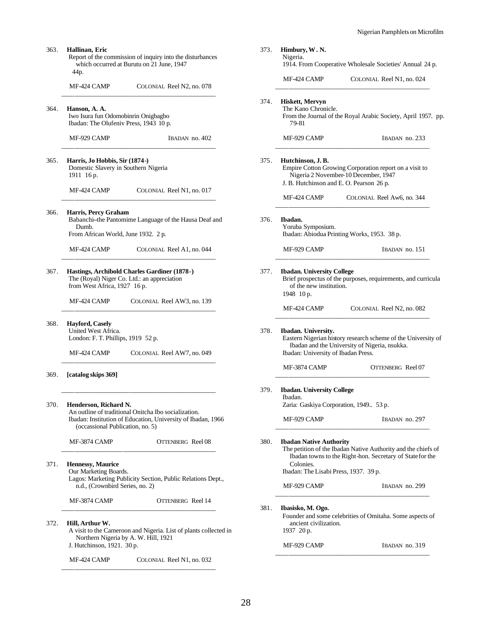363. **Hallinan, Eric** Report of the commission of inquiry into the disturbances which occurred at Burutu on 21 June, 1947 44p. MF-424 CAMP COLONIAL Reel N2, no. 078 \_\_\_\_\_\_\_\_\_\_\_\_\_\_\_\_\_\_\_\_\_\_\_\_\_\_\_\_\_\_\_\_\_\_\_\_\_\_\_\_\_\_\_\_\_\_\_\_ 364. **Hanson, A. A.** Iwo Isura fun Odomobinrin Onigbagbo Ibadan: The Olufeniv Press, 1943 10 p. MF-929 CAMP IBADAN no. 402 \_\_\_\_\_\_\_\_\_\_\_\_\_\_\_\_\_\_\_\_\_\_\_\_\_\_\_\_\_\_\_\_\_\_\_\_\_\_\_\_\_\_\_\_\_\_\_\_ 365. **Harris, Jo Hobbis, Sir (1874-)** Domestic Slavery in Southern Nigeria 1911 16 p. MF-424 CAMP COLONIAL Reel N1, no. 017 \_\_\_\_\_\_\_\_\_\_\_\_\_\_\_\_\_\_\_\_\_\_\_\_\_\_\_\_\_\_\_\_\_\_\_\_\_\_\_\_\_\_\_\_\_\_\_\_ 366. **Harris, Percy Graham** Babanchi--the Pantomime Language of the Hausa Deaf and Dumb. From African World, June 1932. 2 p. MF-424 CAMP COLONIAL Reel A1, no. 044 \_\_\_\_\_\_\_\_\_\_\_\_\_\_\_\_\_\_\_\_\_\_\_\_\_\_\_\_\_\_\_\_\_\_\_\_\_\_\_\_\_\_\_\_\_\_\_\_ 367. **Hastings, Archibold Charles Gardiner (1878-)** The (Royal) Niger Co. Ltd.: an appreciation from West Africa, 1927 16 p. MF-424 CAMP COLONIAL Reel AW3, no. 139 \_\_\_\_\_\_\_\_\_\_\_\_\_\_\_\_\_\_\_\_\_\_\_\_\_\_\_\_\_\_\_\_\_\_\_\_\_\_\_\_\_\_\_\_\_\_\_\_ 368. **Hayford, Casely** United West Africa. London: F. T. Phillips, 1919 52 p. MF-424 CAMP COLONIAL Reel AW7, no. 049 \_\_\_\_\_\_\_\_\_\_\_\_\_\_\_\_\_\_\_\_\_\_\_\_\_\_\_\_\_\_\_\_\_\_\_\_\_\_\_\_\_\_\_\_\_\_\_\_ 369. **[catalog skips 369]** \_\_\_\_\_\_\_\_\_\_\_\_\_\_\_\_\_\_\_\_\_\_\_\_\_\_\_\_\_\_\_\_\_\_\_\_\_\_\_\_\_\_\_\_\_\_\_\_ 370. **Henderson, Richard N.** An outline of traditional Onitcha Ibo socialization. Ibadan: Institution of Education, University of Ibadan, 1966 (occassional Publication, no. 5) MF-3874 CAMP OTTENBERG Reel 08 \_\_\_\_\_\_\_\_\_\_\_\_\_\_\_\_\_\_\_\_\_\_\_\_\_\_\_\_\_\_\_\_\_\_\_\_\_\_\_\_\_\_\_\_\_\_\_\_ 371. **Hennessy, Maurice** Our Marketing Boards. Lagos: Marketing Publicity Section, Public Relations Dept., n.d., (Crownbird Series, no. 2) MF-3874 CAMP OTTENBERG Reel 14 \_\_\_\_\_\_\_\_\_\_\_\_\_\_\_\_\_\_\_\_\_\_\_\_\_\_\_\_\_\_\_\_\_\_\_\_\_\_\_\_\_\_\_\_\_\_\_\_ 372. **Hill, Arthur W.** A visit to the Cameroon and Nigeria. List of plants collected in Northern Nigeria by A. W. Hill, 1921

J. Hutchinson, 1921. 30 p.

MF-424 CAMP COLONIAL Reel N1, no. 032 \_\_\_\_\_\_\_\_\_\_\_\_\_\_\_\_\_\_\_\_\_\_\_\_\_\_\_\_\_\_\_\_\_\_\_\_\_\_\_\_\_\_\_\_\_\_\_\_

|      | Himbury, W.N.<br>Nigeria.                                                              | 1914. From Cooperative Wholesale Societies' Annual 24 p.                                                                   |
|------|----------------------------------------------------------------------------------------|----------------------------------------------------------------------------------------------------------------------------|
|      | MF-424 CAMP                                                                            | COLONIAL Reel N1, no. 024                                                                                                  |
| 374. | Hiskett, Mervyn<br>The Kano Chronicle.<br>79-81                                        | From the Journal of the Royal Arabic Society, April 1957. pp.                                                              |
|      | MF-929 CAMP                                                                            | IBADAN no. 233                                                                                                             |
| 375. | Hutchinson, J.B.<br>J. B. Hutchinson and E. O. Pearson 26 p.                           | Empire Cotton Growing Corporation report on a visit to<br>Nigeria 2 November-10 December, 1947                             |
|      | MF-424 CAMP                                                                            | COLONIAL Reel Aw6, no. 344                                                                                                 |
| 376. | Ibadan.<br>Yoruba Symposium.                                                           | Ibadan: Abiodua Printing Works, 1953. 38 p.                                                                                |
|      | MF-929 CAMP                                                                            | IBADAN no. 151                                                                                                             |
| 377. | <b>Ibadan. University College</b><br>of the new institution.<br>1948 10 p.             | Brief prospectus of the purposes, requirements, and curricula                                                              |
|      |                                                                                        |                                                                                                                            |
|      | MF-424 CAMP                                                                            | COLONIAL Reel N2, no. 082                                                                                                  |
| 378. | Ibadan. University.<br>Ibadan: University of Ibadan Press.                             | Eastern Nigerian history research scheme of the University of<br>Ibadan and the University of Nigeria, nsukka.             |
|      | MF-3874 CAMP                                                                           | OTTENBERG Reel 07                                                                                                          |
| 379. | <b>Ibadan. University College</b><br>Ibadan.<br>Zaria: Gaskiya Corporation, 1949 53 p. |                                                                                                                            |
|      | MF-929 CAMP                                                                            | IBADAN no. 297                                                                                                             |
| 380. | <b>Ibadan Native Authority</b><br>Colonies.                                            | The petition of the Ibadan Native Authority and the chiefs of<br>Ibadan towns to the Right-hon. Secretary of State for the |
|      | Ibadan: The Lisabi Press, 1937. 39 p.                                                  |                                                                                                                            |
|      | MF-929 CAMP                                                                            | IBADAN no. 299                                                                                                             |
| 381. | Ibasisko, M. Ogo.<br>ancient civilization.<br>1937 20 p.                               | Founder and some celebrities of Omitaha. Some aspects of                                                                   |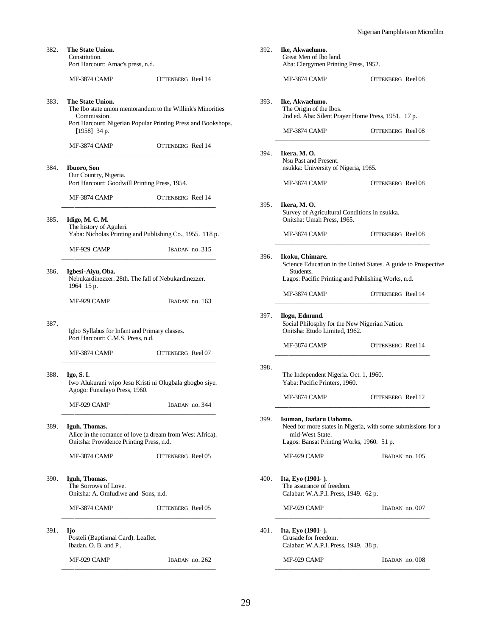| 382. | The State Union.<br>Constitution.<br>Port Harcourt: Amac's press, n.d.                                                        |                                                                                                                             | 392.                                                                                                     | Ike, Akwaelumo.<br>Great Men of Ibo land.<br>Aba: Clergymen Printing Press, 1952.                                                                    |                          |  |
|------|-------------------------------------------------------------------------------------------------------------------------------|-----------------------------------------------------------------------------------------------------------------------------|----------------------------------------------------------------------------------------------------------|------------------------------------------------------------------------------------------------------------------------------------------------------|--------------------------|--|
|      |                                                                                                                               |                                                                                                                             |                                                                                                          |                                                                                                                                                      |                          |  |
|      | MF-3874 CAMP                                                                                                                  | OTTENBERG Reel 14                                                                                                           |                                                                                                          | MF-3874 CAMP                                                                                                                                         | OTTENBERG Reel 08        |  |
| 383. | The State Union.<br>Commission.<br>$[1958]$ 34 p.                                                                             | The Ibo state union memorandum to the Willink's Minorities<br>Port Harcourt: Nigerian Popular Printing Press and Bookshops. | 393.                                                                                                     | Ike, Akwaelumo.<br>The Origin of the Ibos.<br>2nd ed. Aba: Silent Prayer Home Press, 1951. 17 p.<br>MF-3874 CAMP                                     | OTTENBERG Reel 08        |  |
|      | MF-3874 CAMP                                                                                                                  | <b>OTTENBERG</b> Reel 14                                                                                                    | 394.                                                                                                     | Ikera, M.O.                                                                                                                                          |                          |  |
| 384. | <b>Ibuoro</b> , Son<br>Our Country, Nigeria.<br>Port Harcourt: Goodwill Printing Press, 1954.                                 |                                                                                                                             |                                                                                                          | Nsu Past and Present.<br>nsukka: University of Nigeria, 1965.<br>MF-3874 CAMP                                                                        | OTTENBERG Reel 08        |  |
|      | MF-3874 CAMP                                                                                                                  | <b>OTTENBERG</b> Reel 14                                                                                                    |                                                                                                          |                                                                                                                                                      |                          |  |
| 385. | Idigo, M. C. M.<br>The history of Aguleri.                                                                                    |                                                                                                                             | 395.                                                                                                     | Ikera, M.O.<br>Survey of Agricultural Conditions in nsukka.<br>Onitsha: Umah Press, 1965.                                                            |                          |  |
|      |                                                                                                                               | Yaba: Nicholas Printing and Publishing Co., 1955. 118 p.                                                                    |                                                                                                          | MF-3874 CAMP                                                                                                                                         | OTTENBERG Reel 08        |  |
| 386. | MF-929 CAMP<br>Igbesi-Aiyu, Oba.                                                                                              | IBADAN no. 315<br>Nebukardinezzer. 28th. The fall of Nebukardinezzer.                                                       | 396.                                                                                                     | Ikoku, Chimare.<br>Science Education in the United States. A guide to Prospective<br>Students.<br>Lagos: Pacific Printing and Publishing Works, n.d. |                          |  |
|      | 1964 15 p.                                                                                                                    |                                                                                                                             |                                                                                                          | MF-3874 CAMP                                                                                                                                         | <b>OTTENBERG</b> Reel 14 |  |
|      | MF-929 CAMP                                                                                                                   | IBADAN no. 163                                                                                                              |                                                                                                          |                                                                                                                                                      |                          |  |
| 387. | Igbo Syllabus for Infant and Primary classes.<br>Port Harcourt: C.M.S. Press, n.d.                                            |                                                                                                                             | 397.<br>Ilogu, Edmund.<br>Social Philosphy for the New Nigerian Nation.<br>Onitsha: Etudo Limited, 1962. |                                                                                                                                                      |                          |  |
|      | MF-3874 CAMP                                                                                                                  | OTTENBERG Reel 07                                                                                                           |                                                                                                          | MF-3874 CAMP                                                                                                                                         | OTTENBERG Reel 14        |  |
| 388. | Igo, S. I.<br>Agogo: Funsilayo Press, 1960.                                                                                   | Iwo Alukurani wipo Jesu Kristi ni Olugbala gbogbo siye.                                                                     | 398.<br>The Independent Nigeria. Oct. 1, 1960.<br>Yaba: Pacific Printers, 1960.                          |                                                                                                                                                      |                          |  |
|      | MF-929 CAMP                                                                                                                   | IBADAN no. 344                                                                                                              |                                                                                                          | MF-3874 CAMP                                                                                                                                         | OTTENBERG Reel 12        |  |
| 389. | 399.<br>Iguh, Thomas.<br>Alice in the romance of love (a dream from West Africa).<br>Onitsha: Providence Printing Press, n.d. |                                                                                                                             | Isuman, Jaafaru Uahomo.<br>mid-West State.                                                               | Need for more states in Nigeria, with some submissions for a<br>Lagos: Bansat Printing Works, 1960. 51 p.                                            |                          |  |
|      | MF-3874 CAMP                                                                                                                  | OTTENBERG Reel 05                                                                                                           |                                                                                                          | MF-929 CAMP                                                                                                                                          | IBADAN no. 105           |  |
| 390. | Iguh, Thomas.<br>The Sorrows of Love.<br>Onitsha: A. Omfudiwe and Sons, n.d.                                                  |                                                                                                                             | 400.                                                                                                     | Ita, Eyo $(1901 - )$ .<br>The assurance of freedom.<br>Calabar: W.A.P.I. Press, 1949. 62 p.                                                          |                          |  |
|      | MF-3874 CAMP                                                                                                                  | OTTENBERG Reel 05                                                                                                           |                                                                                                          | MF-929 CAMP                                                                                                                                          | IBADAN no. 007           |  |
| 391. | <b>Ijo</b><br>Posteli (Baptismal Card). Leaflet.<br>Ibadan. O. B. and P.                                                      |                                                                                                                             | 401.                                                                                                     | Ita, Eyo (1901-).<br>Crusade for freedom.<br>Calabar: W.A.P.I. Press, 1949. 38 p.                                                                    |                          |  |
|      | MF-929 CAMP                                                                                                                   | IBADAN no. 262                                                                                                              |                                                                                                          | MF-929 CAMP                                                                                                                                          | IBADAN no. 008           |  |
|      |                                                                                                                               |                                                                                                                             |                                                                                                          |                                                                                                                                                      |                          |  |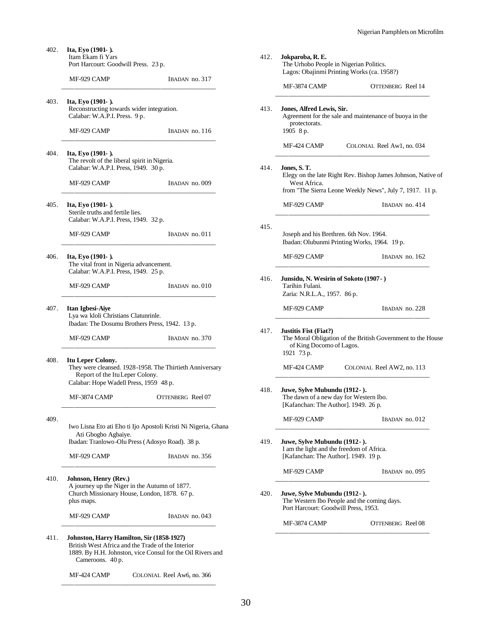402. **Ita, Eyo (1901- ).** Itam Ekam fi Yars Port Harcourt: Goodwill Press. 23 p. MF-929 CAMP IBADAN no. 317 \_\_\_\_\_\_\_\_\_\_\_\_\_\_\_\_\_\_\_\_\_\_\_\_\_\_\_\_\_\_\_\_\_\_\_\_\_\_\_\_\_\_\_\_\_\_\_\_

403. **Ita, Eyo (1901- ).** Reconstructing towards wider integration. Calabar: W.A.P.I. Press. 9 p.

MF-929 CAMP IBADAN no. 116

\_\_\_\_\_\_\_\_\_\_\_\_\_\_\_\_\_\_\_\_\_\_\_\_\_\_\_\_\_\_\_\_\_\_\_\_\_\_\_\_\_\_\_\_\_\_\_\_

404. **Ita, Eyo (1901- ).** The revolt of the liberal spirit in Nigeria. Calabar: W.A.P.I. Press, 1949. 30 p.

MF-929 CAMP IBADAN no. 009

405. **Ita, Eyo (1901- ).** Sterile truths and fertile lies. Calabar: W.A.P.I. Press, 1949. 32 p.

\_\_\_\_\_\_\_\_\_\_\_\_\_\_\_\_\_\_\_\_\_\_\_\_\_\_\_\_\_\_\_\_\_\_\_\_\_\_\_\_\_\_\_\_\_\_\_\_

MF-929 CAMP IBADAN no. 011

## \_\_\_\_\_\_\_\_\_\_\_\_\_\_\_\_\_\_\_\_\_\_\_\_\_\_\_\_\_\_\_\_\_\_\_\_\_\_\_\_\_\_\_\_\_\_\_\_

406. **Ita, Eyo (1901- ).** The vital front in Nigeria advancement. Calabar: W.A.P.I. Press, 1949. 25 p.

MF-929 CAMP IBADAN no. 010

407. **Itan Igbesi-Aiye** Lya wa kloli Christians Clatunrinle. Ibadan: The Dosumu Brothers Press, 1942. 13 p.

MF-929 CAMP IBADAN no. 370 \_\_\_\_\_\_\_\_\_\_\_\_\_\_\_\_\_\_\_\_\_\_\_\_\_\_\_\_\_\_\_\_\_\_\_\_\_\_\_\_\_\_\_\_\_\_\_\_

408. **Itu Leper Colony.**

They were cleansed. 1928-1958. The Thirtieth Anniversary Report of the Itu Leper Colony. Calabar: Hope Wadell Press, 1959 48 p.

\_\_\_\_\_\_\_\_\_\_\_\_\_\_\_\_\_\_\_\_\_\_\_\_\_\_\_\_\_\_\_\_\_\_\_\_\_\_\_\_\_\_\_\_\_\_\_\_

\_\_\_\_\_\_\_\_\_\_\_\_\_\_\_\_\_\_\_\_\_\_\_\_\_\_\_\_\_\_\_\_\_\_\_\_\_\_\_\_\_\_\_\_\_\_\_\_

\_\_\_\_\_\_\_\_\_\_\_\_\_\_\_\_\_\_\_\_\_\_\_\_\_\_\_\_\_\_\_\_\_\_\_\_\_\_\_\_\_\_\_\_\_\_\_\_

MF-3874 CAMP OTTENBERG Reel 07

409.

Iwo Lisna Eto ati Eho ti Ijo Apostoli Kristi Ni Nigeria, Ghana Ati Gbogbo Agbaiye. Ibadan: Tranlowo-Olu Press (Adosyo Road). 38 p.

MF-929 CAMP IBADAN no. 356

410. **Johnson, Henry (Rev.)** A journey up the Niger in the Autumn of 1877. Church Missionary House, London, 1878. 67 p. plus maps.

MF-929 CAMP IBADAN no. 043

#### 411. **Johnston, Harry Hamilton, Sir (1858-1927)** British West Africa and the Trade of the Interior

1889. By H.H. Johnston, vice Consul for the Oil Rivers and Cameroons. 40 p.

\_\_\_\_\_\_\_\_\_\_\_\_\_\_\_\_\_\_\_\_\_\_\_\_\_\_\_\_\_\_\_\_\_\_\_\_\_\_\_\_\_\_\_\_\_\_\_\_

MF-424 CAMP COLONIAL Reel Aw6, no. 366 \_\_\_\_\_\_\_\_\_\_\_\_\_\_\_\_\_\_\_\_\_\_\_\_\_\_\_\_\_\_\_\_\_\_\_\_\_\_\_\_\_\_\_\_\_\_\_\_

| 412. | Jokparoba, R. E.                                                                                                   |                                                                                                                          |  |  |  |  |  |
|------|--------------------------------------------------------------------------------------------------------------------|--------------------------------------------------------------------------------------------------------------------------|--|--|--|--|--|
|      | The Urhobo People in Nigerian Politics.<br>Lagos: Obajinmi Printing Works (ca. 1958?)                              |                                                                                                                          |  |  |  |  |  |
|      | MF-3874 CAMP                                                                                                       | <b>OTTENBERG</b> Reel 14                                                                                                 |  |  |  |  |  |
| 413. | Jones, Alfred Lewis, Sir.<br>protectorats.<br>1905 8 p.                                                            | Agreement for the sale and maintenance of buoya in the                                                                   |  |  |  |  |  |
|      | MF-424 CAMP                                                                                                        | COLONIAL Reel Aw1, no. 034                                                                                               |  |  |  |  |  |
| 414. | Jones, S. T.<br>West Africa.                                                                                       | Elegy on the late Right Rev. Bishop James Johnson, Native of<br>from "The Sierra Leone Weekly News", July 7, 1917. 11 p. |  |  |  |  |  |
|      | MF-929 CAMP                                                                                                        | IBADAN no. 414                                                                                                           |  |  |  |  |  |
| 415. | Joseph and his Brethren. 6th Nov. 1964.                                                                            | Ibadan: Olubunmi Printing Works, 1964. 19 p.                                                                             |  |  |  |  |  |
|      | MF-929 CAMP                                                                                                        | IBADAN no. 162                                                                                                           |  |  |  |  |  |
| 416. | Junsidu, N. Wesirin of Sokoto (1907-)<br>Tarihin Fulani.<br>Zaria: N.R.L.A., 1957. 86 p.                           |                                                                                                                          |  |  |  |  |  |
|      | MF-929 CAMP                                                                                                        | IBADAN no. 228                                                                                                           |  |  |  |  |  |
| 417. | Justitis Fist (Fiat?)<br>of King Docomo of Lagos.<br>1921 73 p.                                                    | The Moral Obligation of the British Government to the House                                                              |  |  |  |  |  |
|      | MF-424 CAMP                                                                                                        | COLONIAL Reel AW2, no. 113                                                                                               |  |  |  |  |  |
| 418. | Juwe, Sylve Mubundu (1912-).<br>The dawn of a new day for Western Ibo.<br>[Kafanchan: The Author]. 1949. 26 p.     |                                                                                                                          |  |  |  |  |  |
|      | MF-929 CAMP                                                                                                        | IBADAN no. 012                                                                                                           |  |  |  |  |  |
| 419. | Juwe, Sylve Mubundu (1912- ).<br>I am the light and the freedom of Africa.<br>[Kafanchan: The Author]. 1949. 19 p. |                                                                                                                          |  |  |  |  |  |
|      | MF-929 CAMP                                                                                                        | IBADAN no. 095                                                                                                           |  |  |  |  |  |
| 420. | Juwe, Sylve Mubundu (1912-).<br>Port Harcourt: Goodwill Press, 1953.                                               | The Western Ibo People and the coming days.                                                                              |  |  |  |  |  |
|      | MF-3874 CAMP                                                                                                       | OTTENBERG Reel 08                                                                                                        |  |  |  |  |  |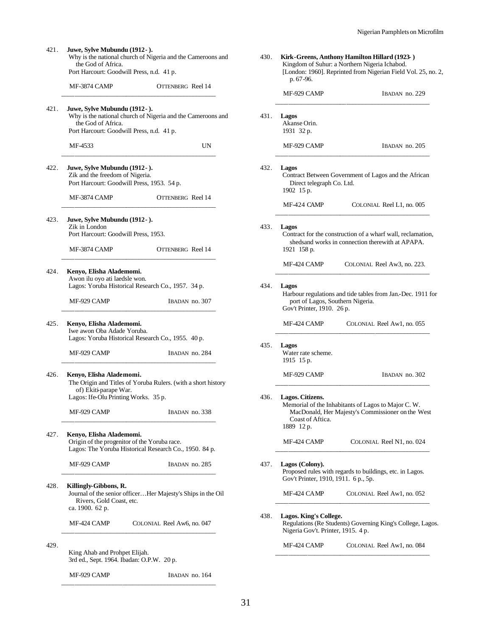421. **Juwe, Sylve Mubundu (1912- ).** Why is the national church of Nigeria and the Cameroons and the God of Africa. Port Harcourt: Goodwill Press, n.d. 41 p. MF-3874 CAMP OTTENBERG Reel 14 \_\_\_\_\_\_\_\_\_\_\_\_\_\_\_\_\_\_\_\_\_\_\_\_\_\_\_\_\_\_\_\_\_\_\_\_\_\_\_\_\_\_\_\_\_\_\_\_ 421. **Juwe, Sylve Mubundu (1912- ).** Why is the national church of Nigeria and the Cameroons and the God of Africa. Port Harcourt: Goodwill Press, n.d. 41 p. MF-4533 UN \_\_\_\_\_\_\_\_\_\_\_\_\_\_\_\_\_\_\_\_\_\_\_\_\_\_\_\_\_\_\_\_\_\_\_\_\_\_\_\_\_\_\_\_\_\_\_\_ 422. **Juwe, Sylve Mubundu (1912- ).** Zik and the freedom of Nigeria. Port Harcourt: Goodwill Press, 1953. 54 p. MF-3874 CAMP OTTENBERG Reel 14 \_\_\_\_\_\_\_\_\_\_\_\_\_\_\_\_\_\_\_\_\_\_\_\_\_\_\_\_\_\_\_\_\_\_\_\_\_\_\_\_\_\_\_\_\_\_\_\_ 423. **Juwe, Sylve Mubundu (1912- ).** Zik in London Port Harcourt: Goodwill Press, 1953. MF-3874 CAMP OTTENBERG Reel 14 \_\_\_\_\_\_\_\_\_\_\_\_\_\_\_\_\_\_\_\_\_\_\_\_\_\_\_\_\_\_\_\_\_\_\_\_\_\_\_\_\_\_\_\_\_\_\_\_ 424. **Kenyo, Elisha Alademomi.** Awon ilu oyo ati laedsle won. Lagos: Yoruba Historical Research Co., 1957. 34 p. MF-929 CAMP IBADAN no. 307 \_\_\_\_\_\_\_\_\_\_\_\_\_\_\_\_\_\_\_\_\_\_\_\_\_\_\_\_\_\_\_\_\_\_\_\_\_\_\_\_\_\_\_\_\_\_\_\_ 425. **Kenyo, Elisha Alademomi.** Iwe awon Oba Adade Yoruba. Lagos: Yoruba Historical Research Co., 1955. 40 p. MF-929 CAMP IBADAN no. 284 \_\_\_\_\_\_\_\_\_\_\_\_\_\_\_\_\_\_\_\_\_\_\_\_\_\_\_\_\_\_\_\_\_\_\_\_\_\_\_\_\_\_\_\_\_\_\_\_ 426. **Kenyo, Elisha Alademomi.** The Origin and Titles of Yoruba Rulers. (with a short history of) Ekiti-parape War. Lagos: Ife-Olu Printing Works. 35 p. MF-929 CAMP IBADAN no. 338 \_\_\_\_\_\_\_\_\_\_\_\_\_\_\_\_\_\_\_\_\_\_\_\_\_\_\_\_\_\_\_\_\_\_\_\_\_\_\_\_\_\_\_\_\_\_\_\_ 427. **Kenyo, Elisha Alademomi.** Origin of the progenitor of the Yoruba race. Lagos: The Yoruba Historical Research Co., 1950. 84 p. MF-929 CAMP IBADAN no. 285 \_\_\_\_\_\_\_\_\_\_\_\_\_\_\_\_\_\_\_\_\_\_\_\_\_\_\_\_\_\_\_\_\_\_\_\_\_\_\_\_\_\_\_\_\_\_\_\_ 428. **Killingly-Gibbons, R.** Journal of the senior officer…Her Majesty's Ships in the Oil Rivers, Gold Coast, etc. ca. 1900. 62 p. MF-424 CAMP COLONIAL Reel Aw6, no. 047 \_\_\_\_\_\_\_\_\_\_\_\_\_\_\_\_\_\_\_\_\_\_\_\_\_\_\_\_\_\_\_\_\_\_\_\_\_\_\_\_\_\_\_\_\_\_\_\_ 429. King Ahab and Prohpet Elijah. 3rd ed., Sept. 1964. Ibadan: O.P.W. 20 p. MF-929 CAMP IBADAN no. 164

| 430. | Kirk-Greens, Anthony Hamilton Hillard (1923-)<br>Kingdom of Suhur: a Northern Nigeria Ichabod.<br>[London: 1960]. Reprinted from Nigerian Field Vol. 25, no. 2,<br>p. 67-96. |                                                                                                         |  |  |  |  |
|------|------------------------------------------------------------------------------------------------------------------------------------------------------------------------------|---------------------------------------------------------------------------------------------------------|--|--|--|--|
|      | MF-929 CAMP                                                                                                                                                                  | IBADAN no. 229                                                                                          |  |  |  |  |
| 431. | Lagos<br>Akanse Orin.<br>1931 32 p.                                                                                                                                          |                                                                                                         |  |  |  |  |
|      | MF-929 CAMP                                                                                                                                                                  | IBADAN no. 205                                                                                          |  |  |  |  |
| 432. | Lagos<br>Contract Between Government of Lagos and the African<br>Direct telegraph Co. Ltd.<br>1902 15 p.                                                                     |                                                                                                         |  |  |  |  |
|      | MF-424 CAMP                                                                                                                                                                  | COLONIAL Reel L1, no. 005                                                                               |  |  |  |  |
| 433. | Lagos<br>Contract for the construction of a wharf wall, reclamation,<br>shedsand works in connection therewith at APAPA.<br>1921 158 p.                                      |                                                                                                         |  |  |  |  |
|      | MF-424 CAMP                                                                                                                                                                  | COLONIAL Reel Aw3, no. 223.                                                                             |  |  |  |  |
| 434. | Lagos<br>Harbour regulations and tide tables from Jan.-Dec. 1911 for<br>port of Lagos, Southern Nigeria.<br>Gov't Printer, 1910. 26 p.                                       |                                                                                                         |  |  |  |  |
|      | MF-424 CAMP                                                                                                                                                                  | COLONIAL Reel Aw1, no. 055                                                                              |  |  |  |  |
| 435. | Lagos<br>Water rate scheme.<br>1915 15 p.                                                                                                                                    |                                                                                                         |  |  |  |  |
|      | MF-929 CAMP                                                                                                                                                                  | IBADAN no. 302                                                                                          |  |  |  |  |
| 436. | Lagos. Citizens.<br>Coast of Aftica.<br>1889 12 p.                                                                                                                           | Memorial of the Inhabitants of Lagos to Major C.W.<br>MacDonald, Her Majesty's Commissioner on the West |  |  |  |  |
|      | MF-424 CAMP                                                                                                                                                                  | COLONIAL Reel N1, no. 024                                                                               |  |  |  |  |
| 437. | Lagos (Colony).<br>Gov't Printer, 1910, 1911. 6 p., 5p.                                                                                                                      | Proposed rules with regards to buildings, etc. in Lagos.                                                |  |  |  |  |
|      | MF-424 CAMP                                                                                                                                                                  | COLONIAL Reel Aw1, no. 052                                                                              |  |  |  |  |
| 438. | Lagos. King's College.<br>Nigeria Gov't. Printer, 1915. 4 p.                                                                                                                 | Regulations (Re Students) Governing King's College, Lagos.                                              |  |  |  |  |
|      | MF-424 CAMP                                                                                                                                                                  | COLONIAL Reel Aw1, no. 084                                                                              |  |  |  |  |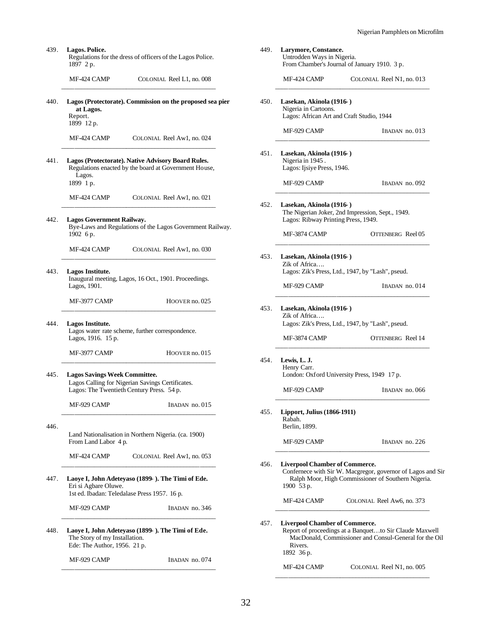\_\_\_\_\_\_\_\_\_\_\_\_\_\_\_\_\_\_\_\_\_\_\_\_\_\_\_\_\_\_\_\_\_\_\_\_\_\_\_\_\_\_\_\_\_\_\_\_

| 439. | Lagos. Police.<br>Regulations for the dress of officers of the Lagos Police.<br>1897 2 p.                                             |      | Larymore, Constance.<br>Untrodden Ways in Nigeria.                                             | From Chamber's Journal of January 1910. 3 p.                                                                      |
|------|---------------------------------------------------------------------------------------------------------------------------------------|------|------------------------------------------------------------------------------------------------|-------------------------------------------------------------------------------------------------------------------|
|      | COLONIAL Reel L1, no. 008<br>MF-424 CAMP                                                                                              |      | MF-424 CAMP                                                                                    | COLONIAL Reel N1, no. 013                                                                                         |
| 440. | Lagos (Protectorate). Commission on the proposed sea pier<br>at Lagos.<br>Report.<br>1899 12 p.                                       | 450. | Lasekan, Akinola (1916-)<br>Nigeria in Cartoons.                                               | Lagos: African Art and Craft Studio, 1944                                                                         |
|      | COLONIAL Reel Aw1, no. 024<br>MF-424 CAMP                                                                                             |      | MF-929 CAMP                                                                                    | IBADAN no. 013                                                                                                    |
| 441. | Lagos (Protectorate). Native Advisory Board Rules.<br>Regulations enacted by the board at Government House,<br>Lagos.                 | 451. | Lasekan, Akinola (1916)<br>Nigeria in 1945.<br>Lagos: Ijsiye Press, 1946.                      |                                                                                                                   |
|      | 1899 1 p.<br>COLONIAL Reel Aw1, no. 021<br>MF-424 CAMP                                                                                |      | MF-929 CAMP                                                                                    | IBADAN no. 092                                                                                                    |
| 442. | <b>Lagos Government Railway.</b><br>Bye-Laws and Regulations of the Lagos Government Railway.                                         | 452. | Lasekan, Akinola (1916-)<br>Lagos: Ribway Printing Press, 1949.                                | The Nigerian Joker, 2nd Impression, Sept., 1949.                                                                  |
|      | 1902 6 p.                                                                                                                             |      | MF-3874 CAMP                                                                                   | OTTENBERG Reel 05                                                                                                 |
| 443. | MF-424 CAMP<br>COLONIAL Reel Aw1, no. 030<br>Lagos Institute.                                                                         | 453. | Lasekan, Akinola (1916-)<br>Zik of Africa<br>Lagos: Zik's Press, Ltd., 1947, by "Lash", pseud. |                                                                                                                   |
|      | Inaugural meeting, Lagos, 16 Oct., 1901. Proceedings.<br>Lagos, 1901.                                                                 |      | MF-929 CAMP                                                                                    | IBADAN no. 014                                                                                                    |
|      | MF-3977 CAMP<br>HOOVER no. 025                                                                                                        | 453. | Lasekan, Akinola (1916)                                                                        |                                                                                                                   |
| 444. | Lagos Institute.<br>Lagos water rate scheme, further correspondence.<br>Lagos, 1916. 15 p.                                            |      | Zik of Africa<br>MF-3874 CAMP                                                                  | Lagos: Zik's Press, Ltd., 1947, by "Lash", pseud.<br>OTTENBERG Reel 14                                            |
|      | MF-3977 CAMP<br>HOOVER no. 015                                                                                                        |      |                                                                                                |                                                                                                                   |
| 445. | <b>Lagos Savings Week Committee.</b><br>Lagos Calling for Nigerian Savings Certificates.<br>Lagos: The Twentieth Century Press. 54 p. | 454. | Lewis, L. J.<br>Henry Carr.<br>MF-929 CAMP                                                     | London: Oxford University Press, 1949 17 p.<br>IBADAN no. 066                                                     |
|      | MF-929 CAMP<br>IBADAN no. 015                                                                                                         |      |                                                                                                |                                                                                                                   |
| 446. |                                                                                                                                       | 455. | <b>Lipport, Julius (1866-1911)</b><br>Rabah.<br>Berlin, 1899.                                  |                                                                                                                   |
|      | Land Nationalisation in Northern Nigeria. (ca. 1900)<br>From Land Labor 4 p.                                                          |      | MF-929 CAMP                                                                                    | IBADAN no. 226                                                                                                    |
|      | COLONIAL Reel Aw1, no. 053<br>MF-424 CAMP                                                                                             | 456. | <b>Liverpool Chamber of Commerce.</b>                                                          |                                                                                                                   |
| 447. | Laoye I, John Adeteyaso (1899- ). The Timi of Ede.<br>Eri si Agbare Oluwe.<br>1st ed. Ibadan: Teledalase Press 1957. 16 p.            |      | 1900 53 p.                                                                                     | Confernece with Sir W. Macgregor, governor of Lagos and Sir<br>Ralph Moor, High Commissioner of Southern Nigeria. |
|      | MF-929 CAMP<br>IBADAN no. 346                                                                                                         |      | MF-424 CAMP                                                                                    | COLONIAL Reel Aw6, no. 373                                                                                        |
| 448. | Laoye I, John Adeteyaso (1899- ). The Timi of Ede.<br>The Story of my Installation.<br>Ede: The Author, 1956. 21 p.                   | 457. | <b>Liverpool Chamber of Commerce.</b><br>Rivers.<br>1892 36 p.                                 | Report of proceedings at a Banquetto Sir Claude Maxwell<br>MacDonald, Commissioner and Consul-General for the Oil |
|      | MF-929 CAMP<br>IBADAN no. 074                                                                                                         |      | MF-424 CAMP                                                                                    | COLONIAL Reel N1, no. 005                                                                                         |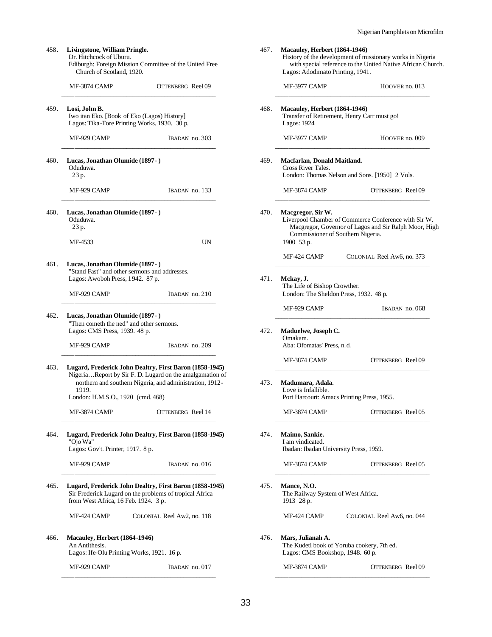| 458. | Livingstone, William Pringle.<br>Ediburgh: Foreign Mission Committee of the United Free                                                                    |                                                                                                                      |
|------|------------------------------------------------------------------------------------------------------------------------------------------------------------|----------------------------------------------------------------------------------------------------------------------|
|      | MF-3874 CAMP                                                                                                                                               | OTTENBERG Reel 09                                                                                                    |
| 459. | Losi, John B.<br>Iwo itan Eko. [Book of Eko (Lagos) History]<br>Lagos: Tika-Tore Printing Works, 1930. 30 p.                                               |                                                                                                                      |
|      | MF-929 CAMP                                                                                                                                                | IBADAN no. 303                                                                                                       |
| 460. | Lucas, Jonathan Olumide (1897 - )<br>Oduduwa.<br>23 p.                                                                                                     |                                                                                                                      |
|      | MF-929 CAMP                                                                                                                                                | IBADAN no. 133                                                                                                       |
| 460. | Lucas, Jonathan Olumide (1897 - )<br>Oduduwa.<br>23 p.                                                                                                     |                                                                                                                      |
|      | MF-4533                                                                                                                                                    | UN                                                                                                                   |
| 461. | Lucas, Jonathan Olumide (1897 -)<br>"Stand Fast" and other sermons and addresses.<br>Lagos: Awoboh Press, 1942. 87 p.                                      |                                                                                                                      |
|      | MF-929 CAMP                                                                                                                                                | IBADAN no. 210                                                                                                       |
| 462. | Lucas, Jonathan Olumide (1897 - )<br>"Then cometh the ned" and other sermons.<br>Lagos: CMS Press, 1939. 48 p.                                             |                                                                                                                      |
|      | MF-929 CAMP                                                                                                                                                | IBADAN no. 209                                                                                                       |
| 463. | Lugard, Frederick John Dealtry, First Baron (1858-1945)<br>1919.<br>London: H.M.S.O., 1920 (cmd. 468)                                                      | NigeriaReport by Sir F. D. Lugard on the amalgamation of<br>northern and southern Nigeria, and administration, 1912- |
|      | MF-3874 CAMP                                                                                                                                               | OTTENBERG Reel 14                                                                                                    |
| 464. | Lugard, Frederick John Dealtry, First Baron (1858-1945)<br>"Ojo Wa"<br>Lagos: Gov't. Printer, 1917. 8 p.                                                   |                                                                                                                      |
|      | MF-929 CAMP                                                                                                                                                | IBADAN no. 016                                                                                                       |
| 465. | Lugard, Frederick John Dealtry, First Baron (1858-1945)<br>Sir Frederick Lugard on the problems of tropical Africa<br>from West Africa, 16 Feb. 1924. 3 p. |                                                                                                                      |
|      | MF-424 CAMP                                                                                                                                                | COLONIAL Reel Aw2, no. 118                                                                                           |
| 466. | <b>Macauley, Herbert (1864-1946)</b><br>An Antithesis.<br>Lagos: Ife-Olu Printing Works, 1921. 16 p.                                                       |                                                                                                                      |
|      | MF-929 CAMP                                                                                                                                                | IBADAN no. 017                                                                                                       |

| Lagos: Adodimato Printing, 1941.                                                                    |                                                                                                               |  |  |  |
|-----------------------------------------------------------------------------------------------------|---------------------------------------------------------------------------------------------------------------|--|--|--|
| MF-3977 CAMP                                                                                        | HOOVER no. 013                                                                                                |  |  |  |
| Macauley, Herbert (1864-1946)<br>Transfer of Retirement, Henry Carr must go!<br>Lagos: 1924         |                                                                                                               |  |  |  |
| MF-3977 CAMP                                                                                        | HOOVER no. 009                                                                                                |  |  |  |
| Macfarlan, Donald Maitland.<br>Cross River Tales.                                                   | London: Thomas Nelson and Sons. [1950] 2 Vols.                                                                |  |  |  |
| MF-3874 CAMP                                                                                        | OTTENBERG Reel 09                                                                                             |  |  |  |
| Macgregor, Sir W.<br>Commissioner of Southern Nigeria.<br>1900 53 p.                                | Liverpool Chamber of Commerce Conference with Sir W.<br>Macgregor, Governor of Lagos and Sir Ralph Moor, High |  |  |  |
| MF-424 CAMP                                                                                         | COLONIAL Reel Aw6, no. 373                                                                                    |  |  |  |
| Mckay, J.<br>The Life of Bishop Crowther.<br>London: The Sheldon Press, 1932. 48 p.                 |                                                                                                               |  |  |  |
| MF-929 CAMP                                                                                         | IBADAN no. 068                                                                                                |  |  |  |
| Maduelwe, Joseph C.<br>Omakam.<br>Aba: Ofomatas' Press, n.d.                                        |                                                                                                               |  |  |  |
| MF-3874 CAMP                                                                                        | OTTENBERG Reel 09                                                                                             |  |  |  |
|                                                                                                     |                                                                                                               |  |  |  |
| Madumara, Adala.<br>Love is Infallible.<br>Port Harcourt: Amacs Printing Press, 1955.               |                                                                                                               |  |  |  |
| MF-3874 CAMP                                                                                        | OTTENBERG Reel 05                                                                                             |  |  |  |
| Maimo, Sankie.<br>I am vindicated.<br>Ibadan: Ibadan University Press, 1959.                        |                                                                                                               |  |  |  |
| MF-3874 CAMP                                                                                        |                                                                                                               |  |  |  |
| Mance, N.O.<br>The Railway System of West Africa.<br>1913 28 p.                                     |                                                                                                               |  |  |  |
| MF-424 CAMP                                                                                         |                                                                                                               |  |  |  |
| Mars, Julianah A.<br>The Kudeti book of Yoruba cookery, 7th ed.<br>Lagos: CMS Bookshop, 1948. 60 p. | OTTENBERG Reel 05<br>COLONIAL Reel Aw6, no. 044                                                               |  |  |  |

467. **Macauley, Herbert (1864-1946)**

History of the development of missionary works in Nigeria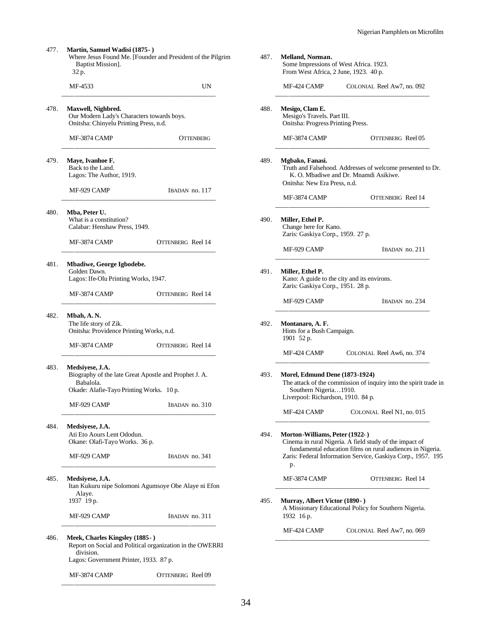477. **Martin, Samuel Wadisi (1875- )** Where Jesus Found Me. [Founder and President of the Pilgrim Baptist Mission]. 32 p. MF-4533 UN \_\_\_\_\_\_\_\_\_\_\_\_\_\_\_\_\_\_\_\_\_\_\_\_\_\_\_\_\_\_\_\_\_\_\_\_\_\_\_\_\_\_\_\_\_\_\_\_ 478. **Maxwell, Nighbred.** Our Modern Lady's Characters towards boys. Onitsha: Chinyelu Printing Press, n.d. MF-3874 CAMP OTTENBERG \_\_\_\_\_\_\_\_\_\_\_\_\_\_\_\_\_\_\_\_\_\_\_\_\_\_\_\_\_\_\_\_\_\_\_\_\_\_\_\_\_\_\_\_\_\_\_\_ 479. **Maye, Ivanhoe F.** Back to the Land. Lagos: The Author, 1919. MF-929 CAMP IBADAN no. 117 \_\_\_\_\_\_\_\_\_\_\_\_\_\_\_\_\_\_\_\_\_\_\_\_\_\_\_\_\_\_\_\_\_\_\_\_\_\_\_\_\_\_\_\_\_\_\_\_ 480. **Mba, Peter U.** What is a constitution? Calabar: Henshaw Press, 1949. MF-3874 CAMP OTTENBERG Reel 14 \_\_\_\_\_\_\_\_\_\_\_\_\_\_\_\_\_\_\_\_\_\_\_\_\_\_\_\_\_\_\_\_\_\_\_\_\_\_\_\_\_\_\_\_\_\_\_\_ 481. **Mbadiwe, George Igbodebe.** Golden Dawn. Lagos: Ife-Olu Printing Works, 1947. MF-3874 CAMP OTTENBERG Reel 14 \_\_\_\_\_\_\_\_\_\_\_\_\_\_\_\_\_\_\_\_\_\_\_\_\_\_\_\_\_\_\_\_\_\_\_\_\_\_\_\_\_\_\_\_\_\_\_\_ 482. **Mbah, A. N.** The life story of Zik. Onitsha: Providence Printing Works, n.d. MF-3874 CAMP OTTENBERG Reel 14 \_\_\_\_\_\_\_\_\_\_\_\_\_\_\_\_\_\_\_\_\_\_\_\_\_\_\_\_\_\_\_\_\_\_\_\_\_\_\_\_\_\_\_\_\_\_\_\_ 483. **Medsiyese, J.A.** Biography of the late Great Apostle and Prophet J. A. Babalola. Okade: Alafie-Tayo Printing Works. 10 p. MF-929 CAMP IBADAN no. 310 \_\_\_\_\_\_\_\_\_\_\_\_\_\_\_\_\_\_\_\_\_\_\_\_\_\_\_\_\_\_\_\_\_\_\_\_\_\_\_\_\_\_\_\_\_\_\_\_ 484. **Medsiyese, J.A.** Ati Eto Aours Lent Ododun. Okane: Olafi-Tayo Works. 36 p. MF-929 CAMP IBADAN no. 341 \_\_\_\_\_\_\_\_\_\_\_\_\_\_\_\_\_\_\_\_\_\_\_\_\_\_\_\_\_\_\_\_\_\_\_\_\_\_\_\_\_\_\_\_\_\_\_\_ 485. **Medsiyese, J.A.** Itan Kukuru nipe Solomoni Agumsoye Obe Alaye ni Efon Alaye. 1937 19 p. MF-929 CAMP IBADAN no. 311 \_\_\_\_\_\_\_\_\_\_\_\_\_\_\_\_\_\_\_\_\_\_\_\_\_\_\_\_\_\_\_\_\_\_\_\_\_\_\_\_\_\_\_\_\_\_\_\_ 486. **Meek, Charles Kingsley (1885- )** Report on Social and Political organization in the OWERRI

division. Lagos: Government Printer, 1933. 87 p.

MF-3874 CAMP OTTENBERG Reel 09 \_\_\_\_\_\_\_\_\_\_\_\_\_\_\_\_\_\_\_\_\_\_\_\_\_\_\_\_\_\_\_\_\_\_\_\_\_\_\_\_\_\_\_\_\_\_\_\_

487. **Melland, Norman.** Some Impressions of West Africa. 1923. From West Africa, 2 June, 1923. 40 p. MF-424 CAMP COLONIAL Reel Aw7, no. 092 \_\_\_\_\_\_\_\_\_\_\_\_\_\_\_\_\_\_\_\_\_\_\_\_\_\_\_\_\_\_\_\_\_\_\_\_\_\_\_\_\_\_\_\_\_\_\_\_ 488. **Mesigo, Clam E.** Mesigo's Travels. Part III. Onitsha: Progress Printing Press. MF-3874 CAMP OTTENBERG Reel 05 \_\_\_\_\_\_\_\_\_\_\_\_\_\_\_\_\_\_\_\_\_\_\_\_\_\_\_\_\_\_\_\_\_\_\_\_\_\_\_\_\_\_\_\_\_\_\_\_ 489. **Mgbako, Fanasi.** Truth and Falsehood. Addresses of welcome presented to Dr. K. O. Mbadiwe and Dr. Mnamdi Asikiwe. Onitsha: New Era Press, n.d. MF-3874 CAMP OTTENBERG Reel 14 \_\_\_\_\_\_\_\_\_\_\_\_\_\_\_\_\_\_\_\_\_\_\_\_\_\_\_\_\_\_\_\_\_\_\_\_\_\_\_\_\_\_\_\_\_\_\_\_ 490. **Miller, Ethel P.** Change here for Kano. Zaris: Gaskiya Corp., 1959. 27 p. MF-929 CAMP IBADAN no. 211 \_\_\_\_\_\_\_\_\_\_\_\_\_\_\_\_\_\_\_\_\_\_\_\_\_\_\_\_\_\_\_\_\_\_\_\_\_\_\_\_\_\_\_\_\_\_\_\_ 491. **Miller, Ethel P.** Kano: A guide to the city and its environs. Zaris: Gaskiya Corp., 1951. 28 p. MF-929 CAMP IBADAN no. 234 \_\_\_\_\_\_\_\_\_\_\_\_\_\_\_\_\_\_\_\_\_\_\_\_\_\_\_\_\_\_\_\_\_\_\_\_\_\_\_\_\_\_\_\_\_\_\_\_ 492. **Montanaro, A. F.** Hints for a Bush Campaign. 1901 52 p. MF-424 CAMP COLONIAL Reel Aw6, no. 374 \_\_\_\_\_\_\_\_\_\_\_\_\_\_\_\_\_\_\_\_\_\_\_\_\_\_\_\_\_\_\_\_\_\_\_\_\_\_\_\_\_\_\_\_\_\_\_\_ 493. **Morel, Edmund Dene (1873-1924)** The attack of the commission of inquiry into the spirit trade in Southern Nigeria…1910. Liverpool: Richardson, 1910. 84 p. MF-424 CAMP COLONIAL Reel N1, no. 015 \_\_\_\_\_\_\_\_\_\_\_\_\_\_\_\_\_\_\_\_\_\_\_\_\_\_\_\_\_\_\_\_\_\_\_\_\_\_\_\_\_\_\_\_\_\_\_\_ 494. **Morton-Williams, Peter (1922- )** Cinema in rural Nigeria. A field study of the impact of fundamental education films on rural audiences in Nigeria. Zaris: Federal Information Service, Gaskiya Corp., 1957. 195 p. MF-3874 CAMP OTTENBERG Reel 14 \_\_\_\_\_\_\_\_\_\_\_\_\_\_\_\_\_\_\_\_\_\_\_\_\_\_\_\_\_\_\_\_\_\_\_\_\_\_\_\_\_\_\_\_\_\_\_\_ 495. **Murray, Albert Victor (1890- )**

A Missionary Educational Policy for Southern Nigeria. 1932 16 p.

MF-424 CAMP COLONIAL Reel Aw7, no. 069 \_\_\_\_\_\_\_\_\_\_\_\_\_\_\_\_\_\_\_\_\_\_\_\_\_\_\_\_\_\_\_\_\_\_\_\_\_\_\_\_\_\_\_\_\_\_\_\_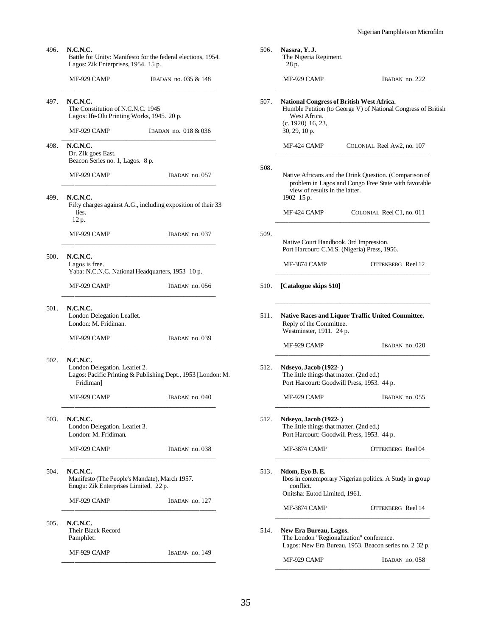| 496. | N.C.N.C.<br>Battle for Unity: Manifesto for the federal elections, 1954.<br>Lagos: Zik Enterprises, 1954. 15 p.        |                                                              |  |  |  |  |
|------|------------------------------------------------------------------------------------------------------------------------|--------------------------------------------------------------|--|--|--|--|
|      | MF-929 CAMP                                                                                                            | IBADAN no. 035 & 148                                         |  |  |  |  |
| 497. | <b>N.C.N.C.</b><br>The Constitution of N.C.N.C. 1945<br>Lagos: Ife-Olu Printing Works, 1945. 20 p.                     |                                                              |  |  |  |  |
|      | MF-929 CAMP                                                                                                            | IBADAN no. 018 & 036                                         |  |  |  |  |
| 498. | <b>N.C.N.C.</b><br>Dr. Zik goes East.<br>Beacon Series no. 1, Lagos. 8 p.                                              |                                                              |  |  |  |  |
|      | MF-929 CAMP                                                                                                            | IBADAN no. 057                                               |  |  |  |  |
| 499. | <b>N.C.N.C.</b><br>lies.<br>12 p.                                                                                      | Fifty charges against A.G., including exposition of their 33 |  |  |  |  |
|      | MF-929 CAMP                                                                                                            | IBADAN no. 037                                               |  |  |  |  |
| 500. | <b>N.C.N.C.</b><br>Lagos is free.                                                                                      | Yaba: N.C.N.C. National Headquarters, 1953 10 p.             |  |  |  |  |
|      | MF-929 CAMP                                                                                                            | IBADAN no. 056                                               |  |  |  |  |
| 501. | <b>N.C.N.C.</b><br>London Delegation Leaflet.<br>London: M. Fridiman.                                                  |                                                              |  |  |  |  |
|      | MF-929 CAMP                                                                                                            | IBADAN no. 039                                               |  |  |  |  |
| 502. | N.C.N.C.<br>London Delegation. Leaflet 2.<br>Lagos: Pacific Printing & Publishing Dept., 1953 [London: M.<br>Fridiman] |                                                              |  |  |  |  |
|      | MF-929 CAMP                                                                                                            | IBADAN no. 040                                               |  |  |  |  |
| 503. | <b>N.C.N.C.</b><br>London Delegation. Leaflet 3.<br>London: M. Fridiman.                                               |                                                              |  |  |  |  |
|      | MF-929 CAMP                                                                                                            | IBADAN no. 038                                               |  |  |  |  |
| 504. | N.C.N.C.<br>Enugu: Zik Enterprises Limited. 22 p.                                                                      | Manifesto (The People's Mandate), March 1957.                |  |  |  |  |
|      | MF-929 CAMP                                                                                                            | IBADAN no. 127                                               |  |  |  |  |
| 505. | <b>N.C.N.C.</b><br>Their Black Record<br>Pamphlet.                                                                     |                                                              |  |  |  |  |
|      | MF-929 CAMP                                                                                                            | IBADAN no. 149                                               |  |  |  |  |
|      |                                                                                                                        |                                                              |  |  |  |  |

|      | 28 p.                                                                     |                                                                                                                   |
|------|---------------------------------------------------------------------------|-------------------------------------------------------------------------------------------------------------------|
|      | MF-929 CAMP                                                               | IBADAN no. 222                                                                                                    |
| 507. | West Africa.<br>$(c. 1920)$ 16, 23,<br>30, 29, 10 p.                      | <b>National Congress of British West Africa.</b><br>Humble Petition (to George V) of National Congress of British |
|      | MF-424 CAMP                                                               | COLONIAL Reel Aw2, no. 107                                                                                        |
| 508. | view of results in the latter.<br>1902 15 p.                              | Native Africans and the Drink Question. (Comparison of<br>problem in Lagos and Congo Free State with favorable    |
|      | MF-424 CAMP                                                               | COLONIAL Reel C1, no. 011                                                                                         |
| 509. | Native Court Handbook. 3rd Impression.                                    | Port Harcourt: C.M.S. (Nigeria) Press, 1956.                                                                      |
|      | MF-3874 CAMP                                                              | OTTENBERG Reel 12                                                                                                 |
| 510. | [Catalogue skips 510]                                                     |                                                                                                                   |
| 511. | Reply of the Committee.<br>Westminster, 1911. 24 p.                       | <b>Native Races and Liquor Traffic United Committee.</b>                                                          |
|      | MF-929 CAMP                                                               | IBADAN no. 020                                                                                                    |
| 512. | <b>Ndseyo, Jacob (1922-)</b><br>The little things that matter. (2nd ed.)  | Port Harcourt: Goodwill Press, 1953. 44 p.                                                                        |
|      | MF-929 CAMP                                                               | IBADAN no. 055                                                                                                    |
| 512. | <b>Ndseyo, Jacob (1922- )</b><br>The little things that matter. (2nd ed.) | Port Harcourt: Goodwill Press, 1953. 44 p.                                                                        |
|      | MF-3874 CAMP                                                              | OTTENBERG Reel 04                                                                                                 |
| 513. | Ndom, Eyo B. E.<br>conflict.<br>Onitsha: Eutod Limited, 1961.             | Ibos in contemporary Nigerian politics. A Study in group                                                          |
|      | MF-3874 CAMP                                                              | OTTENBERG Reel 14                                                                                                 |
| 514. | New Era Bureau, Lagos.                                                    | The London "Regionalization" conference.<br>Lagos: New Era Bureau, 1953. Beacon series no. 2 32 p.                |
|      | MF-929 CAMP                                                               | IBADAN no. 058                                                                                                    |

506. **Nassra, Y. J.**

The Nigeria Regiment.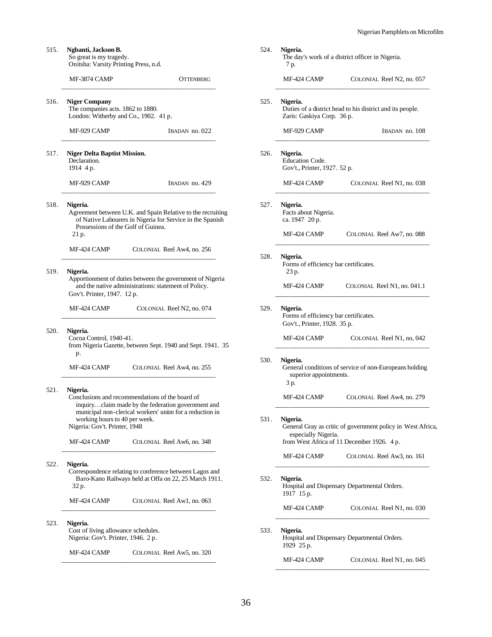MF-424 CAMP COLONIAL Reel N1, no. 045 \_\_\_\_\_\_\_\_\_\_\_\_\_\_\_\_\_\_\_\_\_\_\_\_\_\_\_\_\_\_\_\_\_\_\_\_\_\_\_\_\_\_\_\_\_\_\_\_

| 515. | Ngbanti, Jackson B.<br>So great is my tragedy.<br>Onitsha: Varsity Printing Press, n.d.                                                                                             | 524.<br>Nigeria.<br>The day's work of a district officer in Nigeria.<br>7 p.                                |                             |
|------|-------------------------------------------------------------------------------------------------------------------------------------------------------------------------------------|-------------------------------------------------------------------------------------------------------------|-----------------------------|
|      | MF-3874 CAMP<br><b>OTTENBERG</b>                                                                                                                                                    | MF-424 CAMP                                                                                                 | COLONIAL Reel N2, no. 057   |
| 516. | <b>Niger Company</b><br>The companies acts. 1862 to 1880.<br>London: Witherby and Co., 1902. 41 p.                                                                                  | 525.<br>Nigeria.<br>Duties of a district head to his district and its people.<br>Zaris: Gaskiya Corp. 36 p. |                             |
|      | MF-929 CAMP<br>IBADAN no. 022                                                                                                                                                       | MF-929 CAMP                                                                                                 | IBADAN no. 108              |
| 517. | <b>Niger Delta Baptist Mission.</b><br>Declaration.<br>1914 4 p.                                                                                                                    | 526.<br>Nigeria.<br>Education Code.<br>Gov't., Printer, 1927. 52 p.                                         |                             |
|      | IBADAN no. 429<br>MF-929 CAMP                                                                                                                                                       | MF-424 CAMP                                                                                                 | COLONIAL Reel N1, no. 038   |
| 518. | Nigeria.<br>Agreement between U.K. and Spain Relative to the recruiting<br>of Native Labourers in Nigeria for Service in the Spanish<br>Possessions of the Golf of Guinea.<br>21 p. | 527.<br>Nigeria.<br>Facts about Nigeria.<br>ca. 1947 20 p.<br>MF-424 CAMP                                   | COLONIAL Reel Aw7, no. 088  |
|      | MF-424 CAMP<br>COLONIAL Reel Aw4, no. 256                                                                                                                                           |                                                                                                             |                             |
| 519. | Nigeria.<br>Apportionment of duties between the government of Nigeria                                                                                                               | 528.<br>Nigeria.<br>Forms of efficiency bar certificates.<br>23 p.                                          |                             |
|      | and the native administrations: statement of Policy.<br>Gov't. Printer, 1947. 12 p.                                                                                                 | MF-424 CAMP                                                                                                 | COLONIAL Reel N1, no. 041.1 |
|      | MF-424 CAMP<br>COLONIAL Reel N2, no. 074                                                                                                                                            | 529.<br>Nigeria.<br>Forms of efficiency bar certificates.<br>Gov't., Printer, 1928. 35 p.                   |                             |
| 520. | Nigeria.<br>Cocoa Control, 1940-41.<br>from Nigeria Gazette, between Sept. 1940 and Sept. 1941. 35                                                                                  | MF-424 CAMP                                                                                                 | COLONIAL Reel N1, no, 042   |
|      | p.<br>MF-424 CAMP<br>COLONIAL Reel Aw4, no. 255                                                                                                                                     | 530.<br>Nigeria.<br>General conditions of service of non-Europeans holding<br>superior appointments.        |                             |
| 521. | Nigeria.<br>Conclusions and recommendations of the board of<br>inquiryclaim made by the federation government and                                                                   | 3 p.<br>MF-424 CAMP                                                                                         | COLONIAL Reel Aw4, no. 279  |
|      | municipal non-clerical workers' union for a reduction in<br>working hours to 40 per week.<br>Nigeria: Gov't. Printer, 1948                                                          | 531.<br>Nigeria.<br>General Gray as critic of government policy in West Africa,<br>especially Nigeria.      |                             |
|      | MF-424 CAMP<br>COLONIAL Reel Aw6, no. 348                                                                                                                                           | from West Africa of 11 December 1926. 4 p.<br>MF-424 CAMP                                                   | COLONIAL Reel Aw3, no. 161  |
| 522. | Nigeria.<br>Correspondence relating to conference between Lagos and<br>Baro-Kano Railways held at Offa on 22, 25 March 1911.<br>32 p.                                               | 532.<br>Nigeria.<br>Hospital and Dispensary Departmental Orders.<br>1917 15 p.                              |                             |
|      | MF-424 CAMP<br>COLONIAL Reel Aw1, no. 063                                                                                                                                           | MF-424 CAMP                                                                                                 | COLONIAL Reel N1, no. 030   |
| 523. | Nigeria.<br>Cost of living allowance schedules.<br>Nigeria: Gov't. Printer, 1946. 2 p.                                                                                              | 533.<br>Nigeria.<br>Hospital and Dispensary Departmental Orders.<br>1929 25 p.                              |                             |
|      | MF-424 CAMP<br>COLONIAL Reel Aw5, no. 320                                                                                                                                           |                                                                                                             |                             |

\_\_\_\_\_\_\_\_\_\_\_\_\_\_\_\_\_\_\_\_\_\_\_\_\_\_\_\_\_\_\_\_\_\_\_\_\_\_\_\_\_\_\_\_\_\_\_\_

36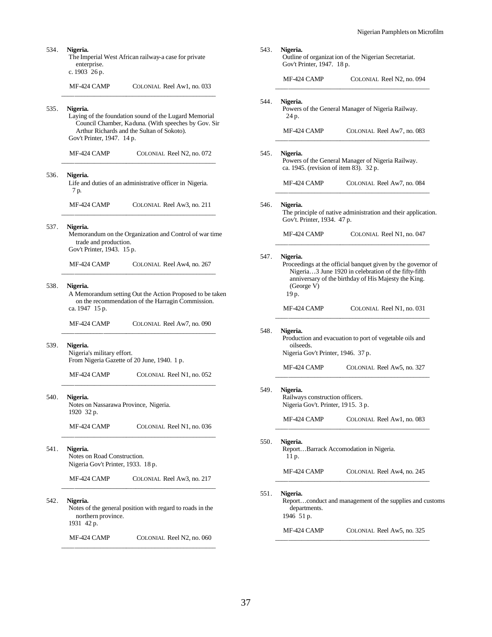| 534.<br>Nigeria.<br>enterprise.<br>c. 1903 26 p. |                                                                                       | The Imperial West African railway-a case for private                                                                                                       |      | Nigeria.<br>Outline of organization of the Nigerian Secretariat.<br>Gov't Printer, 1947. 18 p.             |                                                                                                                      |
|--------------------------------------------------|---------------------------------------------------------------------------------------|------------------------------------------------------------------------------------------------------------------------------------------------------------|------|------------------------------------------------------------------------------------------------------------|----------------------------------------------------------------------------------------------------------------------|
|                                                  | MF-424 CAMP                                                                           | COLONIAL Reel Aw1, no. 033                                                                                                                                 |      | MF-424 CAMP                                                                                                | COLONIAL Reel N2, no. 094                                                                                            |
| 535.                                             | Nigeria.                                                                              | Laying of the foundation sound of the Lugard Memorial<br>Council Chamber, Kaduna. (With speeches by Gov. Sir<br>Arthur Richards and the Sultan of Sokoto). | 544. | Nigeria.<br>24 p.<br>MF-424 CAMP                                                                           | Powers of the General Manager of Nigeria Railway.<br>COLONIAL Reel Aw7, no. 083                                      |
|                                                  | Gov't Printer, 1947. 14 p.                                                            |                                                                                                                                                            |      |                                                                                                            |                                                                                                                      |
|                                                  | MF-424 CAMP                                                                           | COLONIAL Reel N2, no. 072                                                                                                                                  | 545. | Nigeria.<br>ca. 1945. (revision of item 83). 32 p.                                                         | Powers of the General Manager of Nigeria Railway.                                                                    |
| 536.                                             | Nigeria.<br>7 p.                                                                      | Life and duties of an administrative officer in Nigeria.                                                                                                   |      | MF-424 CAMP                                                                                                | COLONIAL Reel Aw7, no. 084                                                                                           |
|                                                  | MF-424 CAMP                                                                           | COLONIAL Reel Aw3, no. 211                                                                                                                                 | 546. | Nigeria.                                                                                                   | The principle of native administration and their application.                                                        |
| 537.                                             | Nigeria.<br>trade and production.<br>Gov't Printer, 1943. 15 p.                       | Memorandum on the Organization and Control of war time                                                                                                     |      | Gov't. Printer, 1934. 47 p.<br>MF-424 CAMP                                                                 | COLONIAL Reel N1, no. 047                                                                                            |
|                                                  | MF-424 CAMP                                                                           | COLONIAL Reel Aw4, no. 267                                                                                                                                 | 547. | Nigeria.                                                                                                   | Proceedings at the official banquet given by the governor of<br>Nigeria3 June 1920 in celebration of the fifty-fifth |
| 538.                                             | Nigeria.<br>ca. 1947 15 p.                                                            | A Memorandum setting Out the Action Proposed to be taken<br>on the recommendation of the Harragin Commission.                                              |      | (George V)<br>19 p.<br>MF-424 CAMP                                                                         | anniversary of the birthday of His Majesty the King.<br>COLONIAL Reel N1, no. 031                                    |
|                                                  | MF-424 CAMP                                                                           | COLONIAL Reel Aw7, no. 090                                                                                                                                 | 548. | Nigeria.                                                                                                   |                                                                                                                      |
| 539.                                             | Nigeria.<br>Nigeria's military effort.<br>From Nigeria Gazette of 20 June, 1940. 1 p. |                                                                                                                                                            |      | Production and evacuation to port of vegetable oils and<br>oilseeds.<br>Nigeria Gov't Printer, 1946. 37 p. |                                                                                                                      |
|                                                  | MF-424 CAMP                                                                           | COLONIAL Reel N1, no. 052                                                                                                                                  |      | MF-424 CAMP                                                                                                | COLONIAL Reel Aw5, no. 327                                                                                           |
| 540.                                             | Nigeria.<br>Notes on Nassarawa Province, Nigeria.                                     |                                                                                                                                                            | 549. | Nigeria.<br>Railways construction officers.<br>Nigeria Gov't. Printer, 1915. 3 p.                          |                                                                                                                      |
|                                                  | 1920 32 p.<br>MF-424 CAMP                                                             | COLONIAL Reel N1, no. 036                                                                                                                                  |      | MF-424 CAMP                                                                                                | COLONIAL Reel Aw1, no. 083                                                                                           |
| 541.                                             | Nigeria.<br>Notes on Road Construction.<br>Nigeria Gov't Printer, 1933. 18 p.         |                                                                                                                                                            | 550. | Nigeria.<br>11 p.                                                                                          | ReportBarrack Accomodation in Nigeria.                                                                               |
|                                                  | MF-424 CAMP                                                                           | COLONIAL Reel Aw3, no. 217                                                                                                                                 |      | MF-424 CAMP                                                                                                | COLONIAL Reel Aw4, no. 245                                                                                           |
| 542.                                             | Nigeria.<br>northern province.<br>1931 42 p.                                          | Notes of the general position with regard to roads in the                                                                                                  | 551. | Nigeria.<br>Reportconduct and management of the supplies and customs<br>departments.<br>1946 51 p.         |                                                                                                                      |
|                                                  | MF-424 CAMP                                                                           | COLONIAL Reel N2, no. 060                                                                                                                                  |      | MF-424 CAMP                                                                                                | COLONIAL Reel Aw5, no. 325                                                                                           |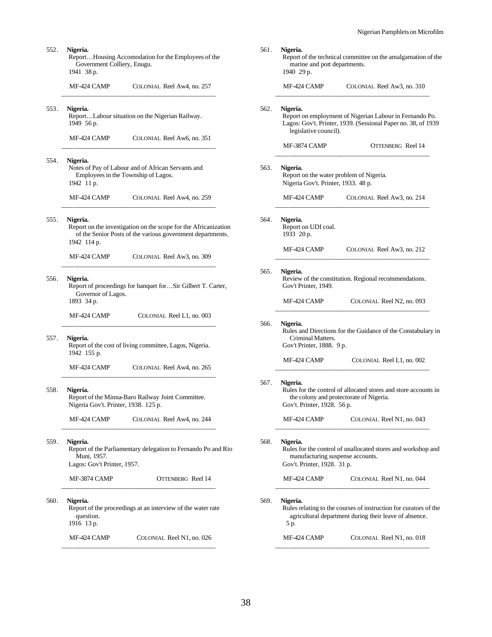| 552.                                                                            | Nigeria.<br>ReportHousing Accomodation for the Employees of the<br>Government Colliery, Enugu.<br>1941 38 p.                              |                            | 561. | Nigeria.<br>marine and port departments.<br>1940 29 p.                                     | Report of the technical committee on the amalgamation of the                                                               |
|---------------------------------------------------------------------------------|-------------------------------------------------------------------------------------------------------------------------------------------|----------------------------|------|--------------------------------------------------------------------------------------------|----------------------------------------------------------------------------------------------------------------------------|
|                                                                                 | MF-424 CAMP                                                                                                                               | COLONIAL Reel Aw4, no. 257 |      | MF-424 CAMP                                                                                | COLONIAL Reel Aw3, no. 310                                                                                                 |
| 553.                                                                            | Nigeria.<br>ReportLabour situation on the Nigerian Railway.<br>1949 56 p.                                                                 |                            | 562. | Nigeria.<br>legislative council).                                                          | Report on employment of Nigerian Labour in Fernando Po.<br>Lagos: Gov't. Printer, 1939. (Sessional Paper no. 38, of 1939   |
|                                                                                 | MF-424 CAMP                                                                                                                               | COLONIAL Reel Aw6, no. 351 |      | MF-3874 CAMP                                                                               | OTTENBERG Reel 14                                                                                                          |
| 554.                                                                            | Nigeria.<br>Notes of Pay of Labour and of African Servants and<br>Employees in the Township of Lagos.<br>1942 11 p.                       |                            | 563. | Nigeria.<br>Report on the water problem of Nigeria.<br>Nigeria Gov't. Printer, 1933. 48 p. |                                                                                                                            |
|                                                                                 | MF-424 CAMP                                                                                                                               | COLONIAL Reel Aw4, no. 259 |      | MF-424 CAMP                                                                                | COLONIAL Reel Aw3, no. 214                                                                                                 |
| 555.                                                                            | Nigeria.<br>Report on the investigation on the scope for the Africanization<br>of the Senior Posts of the various government departments. |                            | 564. | Nigeria.<br>Report on UDI coal.<br>1933 20 p.                                              |                                                                                                                            |
|                                                                                 | 1942 114 p.<br>MF-424 CAMP                                                                                                                | COLONIAL Reel Aw3, no. 309 |      | MF-424 CAMP                                                                                | COLONIAL Reel Aw3, no. 212                                                                                                 |
| 556.<br>Nigeria.<br>Report of proceedings for banquet forSir Gilbert T. Carter, |                                                                                                                                           |                            | 565. | Nigeria.<br>Review of the constitution. Regional recommendations.<br>Gov't Printer, 1949.  |                                                                                                                            |
|                                                                                 | Governor of Lagos.<br>1893 34 p.                                                                                                          |                            |      | MF-424 CAMP                                                                                | COLONIAL Reel N2, no. 093                                                                                                  |
|                                                                                 | MF-424 CAMP                                                                                                                               | COLONIAL Reel L1, no. 003  | 566. | Nigeria.                                                                                   |                                                                                                                            |
| 557.                                                                            | Nigeria.<br>Report of the cost of living committee, Lagos, Nigeria.<br>1942 155 p.                                                        |                            |      | Criminal Matters.<br>Gov't Printer, 1888. 9 p.                                             | Rules and Directions for the Guidance of the Constabulary in                                                               |
|                                                                                 | MF-424 CAMP                                                                                                                               | COLONIAL Reel Aw4, no. 265 |      | MF-424 CAMP                                                                                | COLONIAL Reel L1, no. 002                                                                                                  |
| 558.                                                                            | Nigeria.<br>Report of the Minna-Baro Railway Joint Committee.<br>Nigeria Gov't. Printer, 1938. 125 p.                                     |                            | 567. | Nigeria.<br>Gov't. Printer, 1928. 56 p.                                                    | Rules for the control of allocated stores and store accounts in<br>the colony and protectorate of Nigeria.                 |
|                                                                                 | MF-424 CAMP                                                                                                                               | COLONIAL Reel Aw4, no. 244 |      | MF-424 CAMP                                                                                | COLONIAL Reel N1, no. 043                                                                                                  |
| 559.                                                                            | Nigeria.<br>Report of the Parliamentary delegation to Fernando Po and Rio<br>Muni. 1957.<br>Lagos: Gov't Printer, 1957.                   |                            | 568. | Nigeria.<br>manufacturing suspense accounts.<br>Gov't. Printer, 1928. 31 p.                | Rules for the control of unallocated stores and workshop and                                                               |
|                                                                                 | MF-3874 CAMP                                                                                                                              | <b>OTTENBERG</b> Reel 14   |      | MF-424 CAMP                                                                                | COLONIAL Reel N1, no. 044                                                                                                  |
| 560.                                                                            | Nigeria.<br>Report of the proceedings at an interview of the water rate<br>question.<br>1916 13 p.                                        |                            | 569. | Nigeria.<br>5 p.                                                                           | Rules relating to the courses of instruction for curators of the<br>agricultural department during their leave of absence. |
|                                                                                 | MF-424 CAMP                                                                                                                               | COLONIAL Reel N1, no. 026  |      | MF-424 CAMP                                                                                | COLONIAL Reel N1, no. 018                                                                                                  |
|                                                                                 |                                                                                                                                           |                            |      |                                                                                            |                                                                                                                            |

38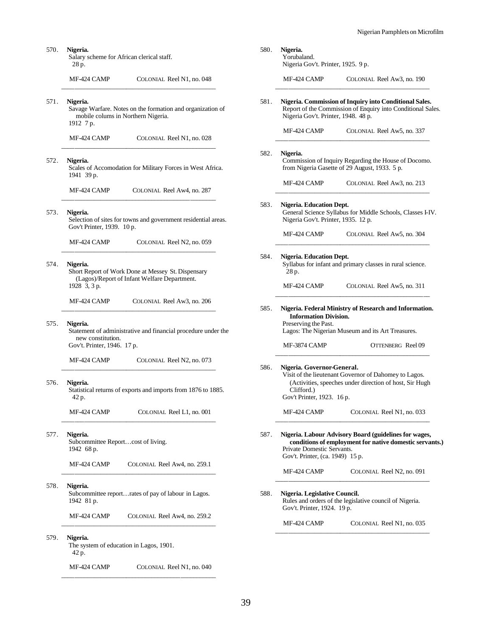| 570. | Nigeria.<br>Salary scheme for African clerical staff.<br>28 p.                                                                | 580. | Nigeria.<br>Yorubaland.<br>Nigeria Gov't. Printer, 1925. 9 p.                                                                                                                                            |                                                                                                                       |
|------|-------------------------------------------------------------------------------------------------------------------------------|------|----------------------------------------------------------------------------------------------------------------------------------------------------------------------------------------------------------|-----------------------------------------------------------------------------------------------------------------------|
|      | MF-424 CAMP<br>COLONIAL Reel N1, no. 048                                                                                      |      | MF-424 CAMP                                                                                                                                                                                              | COLONIAL Reel Aw3, no. 190                                                                                            |
| 571. | Nigeria.<br>Savage Warfare. Notes on the formation and organization of<br>mobile colums in Northern Nigeria.<br>1912 7 p.     | 581. | Nigeria Gov't. Printer, 1948. 48 p.                                                                                                                                                                      | Nigeria. Commission of Inquiry into Conditional Sales.<br>Report of the Commission of Enquiry into Conditional Sales. |
|      | MF-424 CAMP<br>COLONIAL Reel N1, no. 028                                                                                      |      | MF-424 CAMP                                                                                                                                                                                              | COLONIAL Reel Aw5, no. 337                                                                                            |
| 572. | Nigeria.<br>Scales of Accomodation for Military Forces in West Africa.<br>1941 39 p.                                          | 582. | Nigeria.                                                                                                                                                                                                 | Commission of Inquiry Regarding the House of Docomo.<br>from Nigeria Gasette of 29 August, 1933. 5 p.                 |
|      | MF-424 CAMP<br>COLONIAL Reel Aw4, no. 287                                                                                     |      | MF-424 CAMP                                                                                                                                                                                              | COLONIAL Reel Aw3, no. 213                                                                                            |
| 573. | Nigeria.<br>Selection of sites for towns and government residential areas.                                                    | 583. | Nigeria. Education Dept.<br>Nigeria Gov't. Printer, 1935. 12 p.                                                                                                                                          | General Science Syllabus for Middle Schools, Classes I-IV.                                                            |
|      | Gov't Printer, 1939. 10 p.<br>MF-424 CAMP<br>COLONIAL Reel N2, no. 059                                                        |      | MF-424 CAMP                                                                                                                                                                                              | COLONIAL Reel Aw5, no. 304                                                                                            |
| 574. | Nigeria.<br>Short Report of Work Done at Messey St. Dispensary<br>(Lagos)/Report of Infant Welfare Department.                | 584. | Nigeria. Education Dept.<br>Syllabus for infant and primary classes in rural science.<br>28 p.                                                                                                           |                                                                                                                       |
|      | 1928 3, 3 p.<br>MF-424 CAMP<br>COLONIAL Reel Aw3, no. 206                                                                     |      | MF-424 CAMP                                                                                                                                                                                              | COLONIAL Reel Aw5, no. 311                                                                                            |
| 575. | Nigeria.<br>Statement of administrative and financial procedure under the<br>new constitution.<br>Gov't. Printer, 1946. 17 p. | 585. | Nigeria. Federal Ministry of Research and Information.<br><b>Information Division.</b><br>Preserving the Past.<br>Lagos: The Nigerian Museum and its Art Treasures.<br>MF-3874 CAMP<br>OTTENBERG Reel 09 |                                                                                                                       |
|      | MF-424 CAMP<br>COLONIAL Reel N2, no. 073                                                                                      |      |                                                                                                                                                                                                          |                                                                                                                       |
| 576. | Nigeria.<br>Statistical returns of exports and imports from 1876 to 1885.<br>42 p.                                            | 586. | Nigeria. Governor-General.<br>Clifford.)<br>Gov't Printer, 1923. 16 p.                                                                                                                                   | Visit of the lieutenant Governor of Dahomey to Lagos.<br>(Activities, speeches under direction of host, Sir Hugh      |
|      | MF-424 CAMP<br>COLONIAL Reel L1, no. 001                                                                                      |      | MF-424 CAMP                                                                                                                                                                                              | COLONIAL Reel N1, no. 033                                                                                             |
| 577. | Nigeria.<br>Subcommittee Reportcost of living.<br>1942 68 p.                                                                  | 587. | Private Domestic Servants.<br>Gov't. Printer, (ca. 1949) 15 p.                                                                                                                                           | Nigeria. Labour Advisory Board (guidelines for wages,<br>conditions of employment for native domestic servants.)      |
|      | MF-424 CAMP<br>COLONIAL Reel Aw4, no. 259.1                                                                                   |      | MF-424 CAMP                                                                                                                                                                                              | COLONIAL Reel N2, no. 091                                                                                             |
| 578. | Nigeria.<br>Subcommittee reportrates of pay of labour in Lagos.<br>1942 81 p.                                                 | 588. | Nigeria. Legislative Council.<br>Gov't. Printer, 1924. 19 p.                                                                                                                                             | Rules and orders of the legislative council of Nigeria.                                                               |
|      | MF-424 CAMP<br>COLONIAL Reel Aw4, no. 259.2                                                                                   |      | MF-424 CAMP                                                                                                                                                                                              | COLONIAL Reel N1, no. 035                                                                                             |
| 579. | Nigeria.<br>The system of education in Lagos, 1901.                                                                           |      |                                                                                                                                                                                                          |                                                                                                                       |

39

42 p.

MF-424 CAMP COLONIAL Reel N1, no. 040 \_\_\_\_\_\_\_\_\_\_\_\_\_\_\_\_\_\_\_\_\_\_\_\_\_\_\_\_\_\_\_\_\_\_\_\_\_\_\_\_\_\_\_\_\_\_\_\_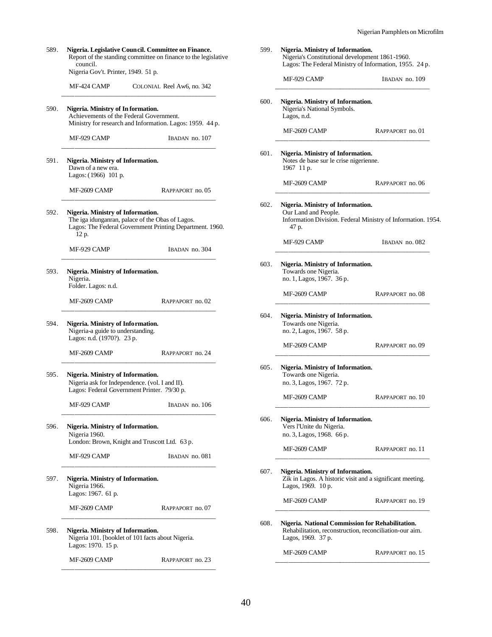| 589. | Nigeria. Legislative Council. Committee on Finance.<br>Report of the standing committee on finance to the legislative<br>council.                          | 599. | Nigeria. Ministry of Information.<br>Nigeria's Constitutional development 1861-1960.<br>Lagos: The Federal Ministry of Information, 1955. 24 p. |                  |
|------|------------------------------------------------------------------------------------------------------------------------------------------------------------|------|-------------------------------------------------------------------------------------------------------------------------------------------------|------------------|
|      | Nigeria Gov't. Printer, 1949. 51 p.<br>MF-424 CAMP<br>COLONIAL Reel Aw6, no. 342                                                                           |      | MF-929 CAMP                                                                                                                                     | IBADAN no. 109   |
| 590. | Nigeria. Ministry of Information.<br>Achievements of the Federal Government.<br>Ministry for research and Information. Lagos: 1959. 44 p.                  | 600. | Nigeria. Ministry of Information.<br>Nigeria's National Symbols.<br>Lagos, n.d.<br>MF-2609 CAMP                                                 | RAPPAPORT no. 01 |
|      | MF-929 CAMP<br>IBADAN no. 107                                                                                                                              |      |                                                                                                                                                 |                  |
| 591. | Nigeria. Ministry of Information.<br>Dawn of a new era.<br>Lagos: (1966) 101 p.                                                                            | 601. | Nigeria. Ministry of Information.<br>Notes de base sur le crise nigerienne.<br>1967 11 p.                                                       |                  |
|      | MF-2609 CAMP<br>RAPPAPORT no. 05                                                                                                                           |      | MF-2609 CAMP                                                                                                                                    | RAPPAPORT no. 06 |
| 592. | Nigeria. Ministry of Information.<br>The iga idunganran, palace of the Obas of Lagos.<br>Lagos: The Federal Government Printing Department. 1960.<br>12 p. | 602. | Nigeria. Ministry of Information.<br>Our Land and People.<br>Information Division. Federal Ministry of Information. 1954.<br>47 p.              |                  |
|      | MF-929 CAMP<br>IBADAN no. 304                                                                                                                              |      | MF-929 CAMP                                                                                                                                     | IBADAN no. 082   |
| 593. | Nigeria. Ministry of Information.<br>Nigeria.<br>Folder. Lagos: n.d.                                                                                       | 603. | Nigeria. Ministry of Information.<br>Towards one Nigeria.<br>no. 1, Lagos, 1967. 36 p.                                                          |                  |
|      | MF-2609 CAMP<br>RAPPAPORT no. 02                                                                                                                           |      | MF-2609 CAMP                                                                                                                                    | RAPPAPORT no. 08 |
| 594. | Nigeria. Ministry of Information.<br>Nigeria-a guide to understanding.<br>Lagos: n.d. (1970?). 23 p.                                                       | 604. | Nigeria. Ministry of Information.<br>Towards one Nigeria.<br>no. 2, Lagos, 1967. 58 p.                                                          |                  |
|      | MF-2609 CAMP<br>RAPPAPORT no. 24                                                                                                                           |      | MF-2609 CAMP                                                                                                                                    | RAPPAPORT no. 09 |
| 595. | Nigeria. Ministry of Information.<br>Nigeria ask for Independence. (vol. I and II).<br>Lagos: Federal Government Printer. 79/30 p.                         | 605. | Nigeria. Ministry of Information.<br>Towards one Nigeria.<br>no. 3, Lagos, 1967. 72 p.                                                          |                  |
|      | MF-929 CAMP<br>IBADAN no. 106                                                                                                                              |      | MF-2609 CAMP                                                                                                                                    | RAPPAPORT no. 10 |
| 596. | Nigeria. Ministry of Information.<br>Nigeria 1960.<br>London: Brown, Knight and Truscott Ltd. 63 p.                                                        | 606. | Nigeria. Ministry of Information.<br>Vers l'Unite du Nigeria.<br>no. 3, Lagos, 1968. 66 p.                                                      |                  |
|      | MF-929 CAMP<br>IBADAN no. 081                                                                                                                              |      | MF-2609 CAMP                                                                                                                                    | RAPPAPORT no. 11 |
| 597. | Nigeria. Ministry of Information.<br>Nigeria 1966.<br>Lagos: 1967. 61 p.                                                                                   | 607. | Nigeria. Ministry of Information.<br>Zik in Lagos. A historic visit and a significant meeting.<br>Lagos, 1969. 10 p.                            |                  |
|      | MF-2609 CAMP<br>RAPPAPORT no. 07                                                                                                                           |      | MF-2609 CAMP                                                                                                                                    | RAPPAPORT no. 19 |
| 598. | Nigeria. Ministry of Information.<br>Nigeria 101. [booklet of 101 facts about Nigeria.<br>Lagos: 1970. 15 p.                                               | 608. | Nigeria. National Commission for Rehabilitation.<br>Rehabilitation, reconstruction, reconciliation-our aim.<br>Lagos, 1969. 37 p.               |                  |
|      | MF-2609 CAMP<br>RAPPAPORT no. 23                                                                                                                           |      | MF-2609 CAMP                                                                                                                                    | RAPPAPORT no. 15 |
|      |                                                                                                                                                            |      |                                                                                                                                                 |                  |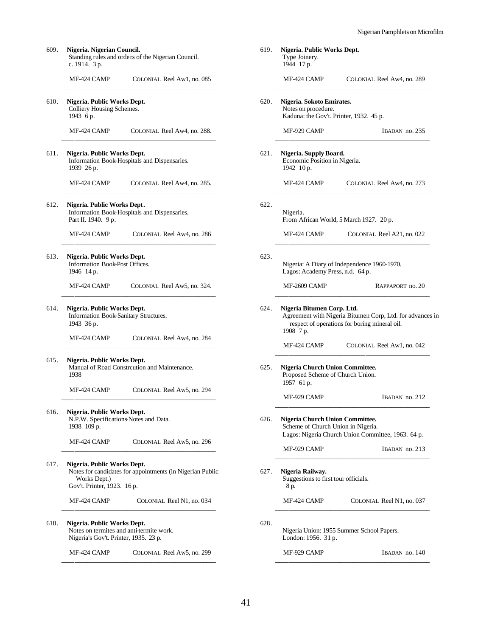| 609. | Nigeria. Nigerian Council.<br>Standing rules and orders of the Nigerian Council.<br>c. 1914. 3 p.                                       | 619. | Nigeria. Public Works Dept.<br>Type Joinery.<br>1944 17 p.                                                                                            |
|------|-----------------------------------------------------------------------------------------------------------------------------------------|------|-------------------------------------------------------------------------------------------------------------------------------------------------------|
|      | MF-424 CAMP<br>COLONIAL Reel Aw1, no. 085                                                                                               |      | MF-424 CAMP<br>COLONIAL Reel Aw4, no. 289                                                                                                             |
| 610. | Nigeria. Public Works Dept.<br>Colliery Housing Schemes.<br>1943 бр.                                                                    | 620. | Nigeria. Sokoto Emirates.<br>Notes on procedure.<br>Kaduna: the Gov't. Printer, 1932. 45 p.                                                           |
|      | COLONIAL Reel Aw4, no. 288.<br>MF-424 CAMP                                                                                              |      | MF-929 CAMP<br>IBADAN no. 235                                                                                                                         |
| 611. | Nigeria. Public Works Dept.<br>Information Book-Hospitals and Dispensaries.<br>1939 26 p.                                               | 621. | Nigeria. Supply Board.<br>Economic Position in Nigeria.<br>1942 10 p.                                                                                 |
|      | MF-424 CAMP<br>COLONIAL Reel Aw4, no. 285.                                                                                              |      | MF-424 CAMP<br>COLONIAL Reel Aw4, no. 273                                                                                                             |
| 612. | Nigeria. Public Works Dept.<br>Information Book-Hospitals and Dispensaries.<br>Part II. 1940. 9 p.                                      | 622. | Nigeria.<br>From African World, 5 March 1927. 20 p.                                                                                                   |
|      | MF-424 CAMP<br>COLONIAL Reel Aw4, no. 286                                                                                               |      | MF-424 CAMP<br>COLONIAL Reel A21, no. 022                                                                                                             |
| 613. | Nigeria. Public Works Dept.<br>Information Book-Post Offices.<br>1946 14 p.                                                             | 623. | Nigeria: A Diary of Independence 1960-1970.<br>Lagos: Academy Press, n.d. 64 p.                                                                       |
|      | COLONIAL Reel Aw5, no. 324.<br>MF-424 CAMP                                                                                              |      | MF-2609 CAMP<br>RAPPAPORT no. 20                                                                                                                      |
| 614. | Nigeria. Public Works Dept.<br>Information Book-Sanitary Structures.<br>1943 36 p.                                                      | 624. | Nigeria Bitumen Corp. Ltd.<br>Agreement with Nigeria Bitumen Corp, Ltd. for advances in<br>respect of operations for boring mineral oil.<br>1908 7 p. |
|      | MF-424 CAMP<br>COLONIAL Reel Aw4, no. 284                                                                                               |      | MF-424 CAMP<br>COLONIAL Reel Aw1, no. 042                                                                                                             |
| 615. | Nigeria. Public Works Dept.<br>Manual of Road Constrcution and Maintenance.<br>1938                                                     | 625. | Nigeria Church Union Committee.<br>Proposed Scheme of Church Union.<br>1957 61 p.                                                                     |
|      | MF-424 CAMP<br>COLONIAL Reel Aw5, no. 294                                                                                               |      | MF-929 CAMP<br>IBADAN no. 212                                                                                                                         |
| 616. | Nigeria. Public Works Dept.<br>N.P.W. Specifications Notes and Data.<br>1938 109 p.                                                     | 626. | Nigeria Church Union Committee.<br>Scheme of Church Union in Nigeria.<br>Lagos: Nigeria Church Union Committee, 1963. 64 p.                           |
|      | MF-424 CAMP<br>COLONIAL Reel Aw5, no. 296                                                                                               |      | MF-929 CAMP<br>IBADAN no. 213                                                                                                                         |
| 617. | Nigeria. Public Works Dept.<br>Notes for candidates for appointments (in Nigerian Public<br>Works Dept.)<br>Gov't. Printer, 1923. 16 p. | 627. | Nigeria Railway.<br>Suggestions to first tour officials.<br>8 p.                                                                                      |
|      | MF-424 CAMP<br>COLONIAL Reel N1, no. 034                                                                                                |      | MF-424 CAMP<br>COLONIAL Reel N1, no. 037                                                                                                              |
| 618. | Nigeria. Public Works Dept.<br>Notes on termites and anti-termite work.<br>Nigeria's Gov't. Printer, 1935. 23 p.                        | 628. | Nigeria Union: 1955 Summer School Papers.<br>London: 1956. 31 p.                                                                                      |
|      | MF-424 CAMP<br>COLONIAL Reel Aw5, no. 299                                                                                               |      | MF-929 CAMP<br>IBADAN no. 140                                                                                                                         |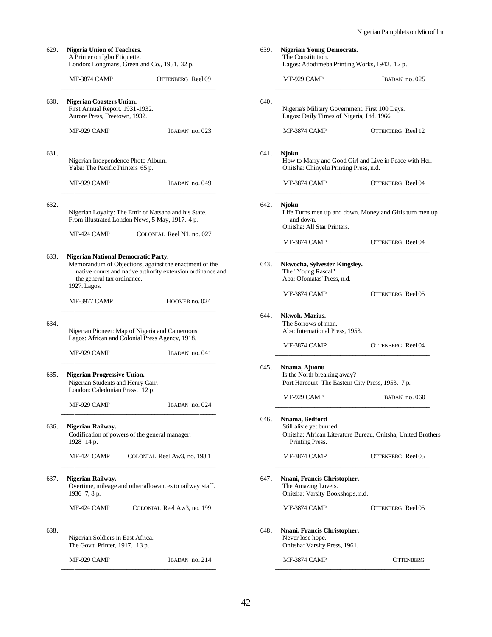| Nigeria Union of Teachers.<br>A Primer on Igbo Etiquette.<br>London: Longmans, Green and Co., 1951. 32 p.                                                          | 639. | <b>Nigerian Young Democrats.</b><br>The Constitution.<br>Lagos: Adodimeba Printing Works, 1942. 12 p.                        |                   |
|--------------------------------------------------------------------------------------------------------------------------------------------------------------------|------|------------------------------------------------------------------------------------------------------------------------------|-------------------|
| MF-3874 CAMP<br>OTTENBERG Reel 09                                                                                                                                  |      | MF-929 CAMP                                                                                                                  | IBADAN no. 025    |
| <b>Nigerian Coasters Union.</b><br>First Annual Report. 1931-1932.<br>Aurore Press, Freetown, 1932.                                                                | 640. | Nigeria's Military Government. First 100 Days.<br>Lagos: Daily Times of Nigeria, Ltd. 1966                                   |                   |
| MF-929 CAMP<br>$IBADAN$ no. 023                                                                                                                                    |      | <b>MF-3874 CAMP</b>                                                                                                          | OTTENBERG Reel 12 |
| Nigerian Independence Photo Album.<br>Yaba: The Pacific Printers 65 p.                                                                                             | 641. | Njoku<br>How to Marry and Good Girl and Live in Peace with Her.<br>Onitsha: Chinyelu Printing Press, n.d.                    |                   |
| MF-929 CAMP<br>IBADAN no. 049                                                                                                                                      |      | MF-3874 CAMP                                                                                                                 | OTTENBERG Reel 04 |
| Nigerian Loyalty: The Emir of Katsana and his State.<br>From illustrated London News, 5 May, 1917. 4 p.<br>MF-424 CAMP<br>COLONIAL Reel N1, no. 027                | 642. | Njoku<br>Life Turns men up and down. Money and Girls turn men up<br>and down.<br>Onitsha: All Star Printers.<br>MF-3874 CAMP | OTTENBERG Reel 04 |
| <b>Nigerian National Democratic Party.</b>                                                                                                                         |      |                                                                                                                              |                   |
| Memorandum of Objections, against the enactment of the<br>native courts and native authority extension ordinance and<br>the general tax ordinance.<br>1927. Lagos. | 643. | Nkwocha, Sylvester Kingsley.<br>The "Young Rascal"<br>Aba: Ofomatas' Press, n.d.                                             |                   |
| MF-3977 CAMP<br>HOOVER no. 024                                                                                                                                     |      | MF-3874 CAMP                                                                                                                 | OTTENBERG Reel 05 |
| Nigerian Pioneer: Map of Nigeria and Cameroons.<br>Lagos: African and Colonial Press Agency, 1918.<br>MF-929 CAMP<br>IBADAN no. 041                                | 644. | Nkwoh, Marius.<br>The Sorrows of man.<br>Aba: International Press, 1953.<br>MF-3874 CAMP                                     | OTTENBERG Reel 04 |
| <b>Nigerian Progressive Union.</b><br>Nigerian Students and Henry Carr.<br>London: Caledonian Press. 12 p.                                                         | 645. | Nnama, Ajuonu<br>Is the North breaking away?<br>Port Harcourt: The Eastern City Press, 1953. 7 p.<br>MF-929 CAMP             | IBADAN no. 060    |
| MF-929 CAMP<br>IBADAN no. 024                                                                                                                                      | 646. | Nnama, Bedford                                                                                                               |                   |
| Nigerian Railway.<br>Codification of powers of the general manager.<br>1928 14 p.                                                                                  |      | Still alive yet burried.<br>Onitsha: African Literature Bureau, Onitsha, United Brothers<br>Printing Press.                  |                   |
| MF-424 CAMP<br>COLONIAL Reel Aw3, no. 198.1                                                                                                                        |      | MF-3874 CAMP                                                                                                                 | OTTENBERG Reel 05 |
| Nigerian Railway.<br>Overtime, mileage and other allowances to railway staff.<br>1936 7, 8 p.                                                                      | 647. | Nnani, Francis Christopher.<br>The Amazing Lovers.<br>Onitsha: Varsity Bookshops, n.d.                                       |                   |
| MF-424 CAMP<br>COLONIAL Reel Aw3, no. 199                                                                                                                          |      | MF-3874 CAMP                                                                                                                 | OTTENBERG Reel 05 |
| Nigerian Soldiers in East Africa.<br>The Gov't. Printer, 1917. 13 p.                                                                                               | 648. | Nnani, Francis Christopher.<br>Never lose hope.<br>Onitsha: Varsity Press, 1961.                                             |                   |
| MF-929 CAMP<br>IBADAN no. 214                                                                                                                                      |      | MF-3874 CAMP                                                                                                                 | <b>OTTENBERG</b>  |

A Primer on Igbo Etiquette. London: Longmans, Green and Co., 19 MF-3874 CAMP OTT \_\_\_\_\_\_\_\_\_\_\_\_\_\_\_\_\_\_\_\_\_\_\_\_\_\_\_\_\_\_\_\_\_\_\_\_\_\_\_\_\_\_\_\_\_\_\_\_ 630. **Nigerian Coasters Union.** First Annual Report. 1931-1932. Aurore Press, Freetown, 1932. MF-929 CAMP \_\_\_\_\_\_\_\_\_\_\_\_\_\_\_\_\_\_\_\_\_\_\_\_\_\_\_\_\_\_\_\_\_\_\_\_\_\_\_\_\_\_\_\_\_\_\_\_

629. **Nigeria Union of Teachers.**

632.

631.

#### 633. **Nigerian National Democratic Party.**

| MF-3977 CAMP | HOOVER no. 024 |
|--------------|----------------|
|              |                |

634.

| MF-929 CAMP | IBADAN no. 041 |
|-------------|----------------|
|             |                |

635. **Nigerian Progressive Union.** Nigerian Students and Henry Carr. London: Caledonian Press. 12 p.

#### 636. **Nigerian Railway.**

637. **Nigerian Railway.** Overtime, mileage and other allowanc 1936 7, 8 p.

638.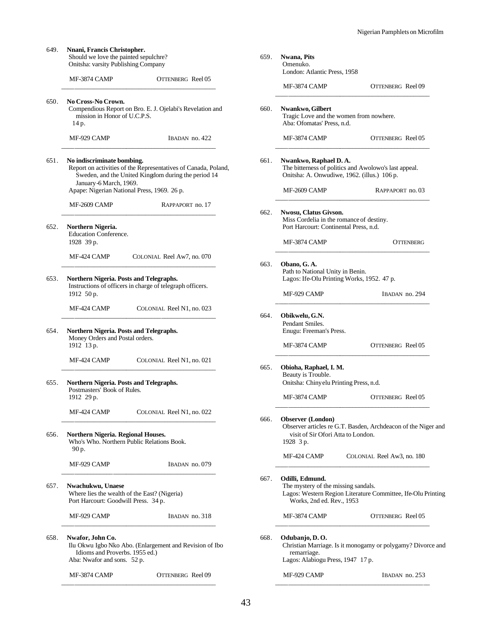| 649. | Nnani, Francis Christopher.<br>Should we love the painted sepulchre?<br>Onitsha: varsity Publishing Company                                                                   | 659. | <b>Nwana</b> , Pits<br>Omenuko.                                                                                                                     |
|------|-------------------------------------------------------------------------------------------------------------------------------------------------------------------------------|------|-----------------------------------------------------------------------------------------------------------------------------------------------------|
|      | <b>OTTENBERG</b> Reel 05<br>MF-3874 CAMP                                                                                                                                      |      | London: Atlantic Press, 1958<br>MF-3874 CAMP<br>OTTENBERG Reel 09                                                                                   |
| 650. | No Cross-No Crown.<br>Compendious Report on Bro. E. J. Ojelabi's Revelation and<br>mission in Honor of U.C.P.S.<br>14 p.                                                      | 660. | <b>Nwankwo, Gilbert</b><br>Tragic Love and the women from nowhere.<br>Aba: Ofomatas' Press, n.d.                                                    |
|      | MF-929 CAMP<br>IBADAN no. 422                                                                                                                                                 |      | MF-3874 CAMP<br>OTTENBERG Reel 05                                                                                                                   |
| 651. | No indiscriminate bombing.<br>Report on activities of the Representatives of Canada, Poland,<br>Sweden, and the United Kingdom during the period 14<br>January-6 March, 1969. | 661. | Nwankwo, Raphael D. A.<br>The bitterness of politics and Awolowo's last appeal.<br>Onitsha: A. Onwudiwe, 1962. (illus.) 106 p.                      |
|      | Apape: Nigerian National Press, 1969. 26 p.                                                                                                                                   |      | MF-2609 CAMP<br>RAPPAPORT no. 03                                                                                                                    |
| 652. | MF-2609 CAMP<br>RAPPAPORT no. 17<br>Northern Nigeria.                                                                                                                         | 662. | Nwosu, Clatus Givson.<br>Miss Cordelia in the romance of destiny.<br>Port Harcourt: Continental Press, n.d.                                         |
|      | Education Conference.<br>1928 39 p.                                                                                                                                           |      | MF-3874 CAMP<br><b>OTTENBERG</b>                                                                                                                    |
|      | MF-424 CAMP<br>COLONIAL Reel Aw7, no. 070                                                                                                                                     | 663. | Obano, G.A.<br>Path to National Unity in Benin.                                                                                                     |
| 653. | Northern Nigeria. Posts and Telegraphs.<br>Instructions of officers in charge of telegraph officers.<br>1912 50 p.                                                            |      | Lagos: Ife-Olu Printing Works, 1952. 47 p.<br>MF-929 CAMP<br>IBADAN no. 294                                                                         |
|      | MF-424 CAMP<br>COLONIAL Reel N1, no. 023                                                                                                                                      | 664. | Obikwelu, G.N.                                                                                                                                      |
| 654. | Northern Nigeria. Posts and Telegraphs.<br>Money Orders and Postal orders.<br>1912 13 p.                                                                                      |      | Pendant Smiles.<br>Enugu: Freeman's Press.<br>MF-3874 CAMP<br>OTTENBERG Reel 05                                                                     |
|      | MF-424 CAMP<br>COLONIAL Reel N1, no. 021                                                                                                                                      |      |                                                                                                                                                     |
| 655. | Northern Nigeria. Posts and Telegraphs.<br>Postmasters' Book of Rules.<br>1912 29 p.                                                                                          | 665. | Obioha, Raphael, I. M.<br>Beauty is Trouble.<br>Onitsha: Chinyelu Printing Press, n.d.<br>MF-3874 CAMP<br>OTTENBERG Reel 05                         |
|      | MF-424 CAMP<br>COLONIAL Reel N1, no. 022                                                                                                                                      |      |                                                                                                                                                     |
| 656. | Northern Nigeria. Regional Houses.<br>Who's Who. Northern Public Relations Book.                                                                                              | 666. | <b>Observer (London)</b><br>Observer articles re G.T. Basden, Archdeacon of the Niger and<br>visit of Sir Ofori Atta to London.<br>1928 3 p.        |
|      | 90 p.<br>MF-929 CAMP<br>IBADAN no. 079                                                                                                                                        |      | MF-424 CAMP<br>COLONIAL Reel Aw3, no. 180                                                                                                           |
| 657. | Nwachukwu, Unaese<br>Where lies the wealth of the East? (Nigeria)<br>Port Harcourt: Goodwill Press. 34 p.                                                                     | 667. | Odilli, Edmund.<br>The mystery of the missing sandals.<br>Lagos: Western Region Literature Committee, Ife-Olu Printing<br>Works, 2nd ed. Rev., 1953 |
|      | MF-929 CAMP<br>IBADAN no. 318                                                                                                                                                 |      | MF-3874 CAMP<br>OTTENBERG Reel 05                                                                                                                   |
| 658. | Nwafor, John Co.<br>Ilu Okwu Igbo Nko Abo. (Enlargement and Revision of Ibo<br>Idioms and Proverbs. 1955 ed.)<br>Aba: Nwafor and sons. 52 p.                                  | 668. | Odubanjo, D.O.<br>Christian Marriage. Is it monogamy or polygamy? Divorce and<br>remarriage.<br>Lagos: Alabiogu Press, 1947 17 p.                   |
|      | MF-3874 CAMP<br>OTTENBERG Reel 09                                                                                                                                             |      | MF-929 CAMP<br>IBADAN no. 253                                                                                                                       |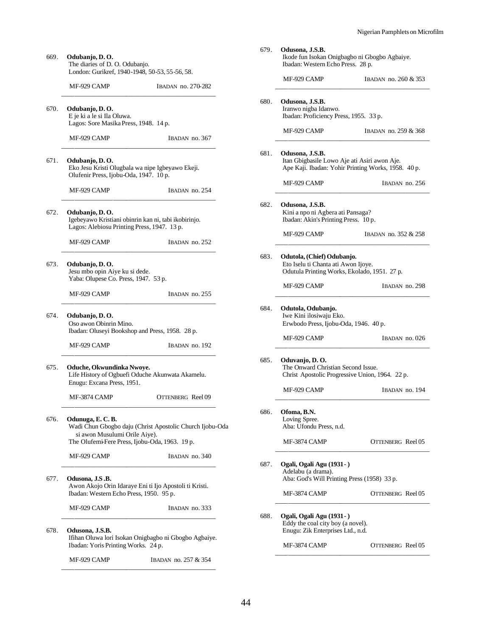| 669.<br>Odubanjo, D. O.<br>The diaries of D. O. Odubanjo.<br>London: Gurikref, 1940-1948, 50-53, 55-56, 58. |                                                                                          |                                                                                                            |
|-------------------------------------------------------------------------------------------------------------|------------------------------------------------------------------------------------------|------------------------------------------------------------------------------------------------------------|
|                                                                                                             | MF-929 CAMP                                                                              | IBADAN no. 270-282                                                                                         |
| 670.                                                                                                        | Odubanjo, D. O.<br>E je ki a le si Ila Oluwa.<br>Lagos: Sore Masika Press, 1948. 14 p.   |                                                                                                            |
|                                                                                                             | MF-929 CAMP                                                                              | IBADAN no. 367                                                                                             |
| 671.                                                                                                        | Odubanjo, D.O.<br>Olufenir Press, Ijobu-Oda, 1947. 10 p.                                 | Eko Jesu Kristi Olugbala wa nipe Igbeyawo Ekeji.                                                           |
|                                                                                                             | MF-929 CAMP                                                                              | IBADAN no. 254                                                                                             |
| 672.                                                                                                        | Odubanjo, D.O.                                                                           | Igebeyawo Kristiani obinrin kan ni, tabi ikobirinjo.<br>Lagos: Alebiosu Printing Press, 1947. 13 p.        |
|                                                                                                             | MF-929 CAMP                                                                              | IBADAN no. 252                                                                                             |
| 673.                                                                                                        | Odubanjo, D.O.<br>Jesu mbo opin Aiye ku si dede.<br>Yaba: Olupese Co. Press, 1947. 53 p. |                                                                                                            |
|                                                                                                             | MF-929 CAMP                                                                              | IBADAN no. 255                                                                                             |
| 674.                                                                                                        | Odubanjo, D. O.<br>Oso awon Obinrin Mino.                                                | Ibadan: Oluseyi Bookshop and Press, 1958. 28 p.                                                            |
|                                                                                                             | MF-929 CAMP                                                                              | IBADAN no. 192                                                                                             |
| 675.                                                                                                        | Oduche, Okwundinka Nwoye.<br>Enugu: Excana Press, 1951.                                  | Life History of Ogbuefi Oduche Akunwata Akamelu.                                                           |
|                                                                                                             | MF-3874 CAMP                                                                             | OTTENBERG Reel 09                                                                                          |
| 676.                                                                                                        | Odunuga, E.C.B.<br>si awon Musulumi Orile Aiye).                                         | Wadi Chun Gbogbo daju (Christ Apostolic Church Ijobu-Oda<br>The Olufemi-Fere Press, Ijobu-Oda, 1963. 19 p. |
|                                                                                                             | MF-929 CAMP                                                                              | IBADAN no. 340                                                                                             |
| 677.                                                                                                        | Odusona, J.S.B.<br>Ibadan: Western Echo Press, 1950. 95 p.                               | Awon Akojo Orin Idaraye Eni ti Ijo Apostoli ti Kristi.                                                     |
|                                                                                                             | MF-929 CAMP                                                                              | IBADAN no. 333                                                                                             |
| 678.                                                                                                        | Odusona, J.S.B.<br>Ibadan: Yoris Printing Works. 24 p.                                   | Ifihan Oluwa lori Isokan Onigbagbo ni Gbogbo Agbaiye.                                                      |
|                                                                                                             | MF-929 CAMP                                                                              | IBADAN no. 257 & 354                                                                                       |

| 679. | Odusona, J.S.B.<br>Ikode fun Isokan Onigbagbo ni Gbogbo Agbaiye.<br>Ibadan: Western Echo Press. 28 p.                  |                      |
|------|------------------------------------------------------------------------------------------------------------------------|----------------------|
|      | MF-929 CAMP                                                                                                            | IBADAN no. 260 & 353 |
| 680. | Odusona, J.S.B.<br>Iranwo nigba Idanwo.<br>Ibadan: Proficiency Press, 1955. 33 p.                                      |                      |
|      | MF-929 CAMP                                                                                                            | IBADAN no. 259 & 368 |
| 681. | Odusona, J.S.B.<br>Itan Gbigbasile Lowo Aje ati Asiri awon Aje.<br>Ape Kaji. Ibadan: Yohir Printing Works, 1958. 40 p. |                      |
|      | MF-929 CAMP                                                                                                            | IBADAN no. 256       |
| 682. | Odusona, J.S.B.<br>Kini a npo ni Agbera ati Pansaga?<br>Ibadan: Akin's Printing Press. 10 p.                           |                      |
|      | MF-929 CAMP                                                                                                            | IBADAN no. 352 & 258 |
| 683. | Odutola, (Chief) Odubanjo.<br>Eto Iselu ti Chanta ati Awon Ijoye.<br>Odutula Printing Works, Ekolado, 1951. 27 p.      |                      |
|      | MF-929 CAMP                                                                                                            | IBADAN no. 298       |
| 684. | Odutola, Odubanjo.<br>Iwe Kini ilosiwaju Eko.<br>Erwbodo Press, Ijobu-Oda, 1946. 40 p.                                 |                      |
|      | MF-929 CAMP                                                                                                            | IBADAN no. 026       |
| 685. | Oduvanjo, D. O.<br>The Onward Christian Second Issue.<br>Christ Apostolic Progressive Union, 1964. 22 p.               |                      |
|      | MF-929 CAMP                                                                                                            | IBADAN no. 194       |
| 686. | Ofoma, B.N.<br>Loving Spree.<br>Aba: Ufondu Press, n.d.                                                                |                      |
|      | MF-3874 CAMP                                                                                                           | OTTENBERG Reel 05    |
| 687. | Ogali, Ogali Agu (1931 -)<br>Adelabu (a drama).<br>Aba: God's Will Printing Press (1958) 33 p.                         |                      |
|      | MF-3874 CAMP                                                                                                           | OTTENBERG Reel 05    |
| 688. | Ogali, Ogali Agu (1931 - )<br>Eddy the coal city boy (a novel).<br>Enugu: Zik Enterprises Ltd., n.d.                   |                      |
|      | MF-3874 CAMP                                                                                                           | OTTENBERG Reel 05    |
|      |                                                                                                                        |                      |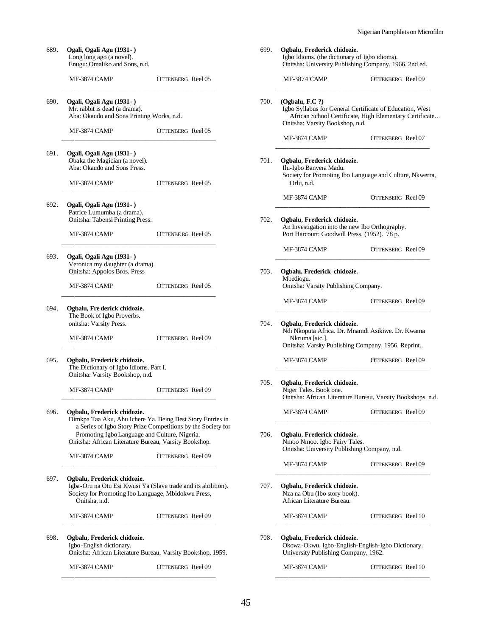| 689. | Ogali, Ogali Agu (1931 - )<br>Long long ago (a novel).<br>Enugu: Omaliko and Sons, n.d.                                                                              |                                                              | 699. | Ogbalu, Frederick chidozie.<br>Igbo Idioms. (the dictionary of Igbo idioms).<br>Onitsha: University Publishing Company, 1966. 2nd ed.                    |                                                         |
|------|----------------------------------------------------------------------------------------------------------------------------------------------------------------------|--------------------------------------------------------------|------|----------------------------------------------------------------------------------------------------------------------------------------------------------|---------------------------------------------------------|
|      | MF-3874 CAMP                                                                                                                                                         | OTTENBERG Reel 05                                            |      | MF-3874 CAMP                                                                                                                                             | OTTENBERG Reel 09                                       |
| 690. | Ogali, Ogali Agu (1931 -)<br>Mr. rabbit is dead (a drama).<br>Aba: Okaudo and Sons Printing Works, n.d.                                                              |                                                              | 700. | (Ogbalu, F.C?)<br>Igbo Syllabus for General Certificate of Education, West<br>Onitsha: Varsity Bookshop, n.d.                                            | African School Certificate, High Elementary Certificate |
|      | MF-3874 CAMP                                                                                                                                                         | OTTENBERG Reel 05                                            |      | MF-3874 CAMP                                                                                                                                             | OTTENBERG Reel 07                                       |
| 691. | Ogali, Ogali Agu (1931 -)<br>Obaka the Magician (a novel).<br>Aba: Okaudo and Sons Press.<br>MF-3874 CAMP                                                            | OTTENBERG Reel 05                                            | 701. | Ogbalu, Frederick chidozie.<br>Ilu-Igbo Banyera Madu.<br>Society for Promoting Ibo Language and Culture, Nkwerra,<br>Orlu, n.d.                          |                                                         |
|      |                                                                                                                                                                      |                                                              |      | MF-3874 CAMP                                                                                                                                             | OTTENBERG Reel 09                                       |
| 692. | Ogali, Ogali Agu (1931 - )<br>Patrice Lumumba (a drama).<br>Onitsha: Tabensi Printing Press.<br>MF-3874 CAMP                                                         | OTTENBERG Reel 05                                            | 702. | Ogbalu, Frederick chidozie.<br>An Investigation into the new Ibo Orthography.<br>Port Harcourt: Goodwill Press, (1952). 78 p.                            |                                                         |
| 693. | Ogali, Ogali Agu (1931 -)                                                                                                                                            |                                                              |      | MF-3874 CAMP                                                                                                                                             | OTTENBERG Reel 09                                       |
|      | Veronica my daughter (a drama).<br>Onitsha: Appolos Bros. Press<br>MF-3874 CAMP                                                                                      | OTTENBERG Reel 05                                            | 703. | Ogbalu, Frederick chidozie.<br>Mbediogu.<br>Onitsha: Varsity Publishing Company.                                                                         |                                                         |
|      |                                                                                                                                                                      |                                                              |      | MF-3874 CAMP                                                                                                                                             | OTTENBERG Reel 09                                       |
| 694. | Ogbalu, Fre derick chidozie.<br>The Book of Igbo Proverbs.<br>onitsha: Varsity Press.<br>MF-3874 CAMP                                                                | OTTENBERG Reel 09                                            | 704. | Ogbalu, Frederick chidozie.<br>Ndi Nkoputa Africa. Dr. Mnamdi Asikiwe. Dr. Kwama<br>Nkruma [sic.].<br>Onitsha: Varsity Publishing Company, 1956. Reprint |                                                         |
| 695. | Ogbalu, Frederick chidozie.<br>The Dictionary of Igbo Idioms. Part I.<br>Onitsha: Varsity Bookshop, n.d.                                                             |                                                              |      | MF-3874 CAMP                                                                                                                                             | OTTENBERG Reel 09                                       |
|      | MF-3874 CAMP                                                                                                                                                         | <b>OTTENBERG</b> Reel 09                                     | 705. | Ogbalu, Frederick chidozie.<br>Niger Tales. Book one.<br>Onitsha: African Literature Bureau, Varsity Bookshops, n.d.                                     |                                                         |
| 696. | Ogbalu, Frederick chidozie.<br>Dimkpa Taa Aku, Ahu Ichere Ya. Being Best Story Entries in                                                                            |                                                              |      | MF-3874 CAMP                                                                                                                                             | OTTENBERG Reel 09                                       |
|      | Promoting Igbo Language and Culture, Nigeria.<br>Onitsha: African Literature Bureau, Varsity Bookshop.                                                               | a Series of Igbo Story Prize Competitions by the Society for | 706. | Ogbalu, Frederick chidozie.<br>Nmoo Nmoo. Igbo Fairy Tales.<br>Onitsha: University Publishing Company, n.d.                                              |                                                         |
|      | MF-3874 CAMP                                                                                                                                                         | OTTENBERG Reel 09                                            |      | MF-3874 CAMP                                                                                                                                             | OTTENBERG Reel 09                                       |
| 697. | Ogbalu, Frederick chidozie.<br>Igba-Oru na Otu Esi Kwusi Ya (Slave trade and its abolition).<br>Society for Promoting Ibo Language, Mbidokwu Press,<br>Onitsha, n.d. |                                                              | 707. | Ogbalu, Frederick chidozie.<br>Nza na Obu (Ibo story book).<br>African Literature Bureau.                                                                |                                                         |
|      | MF-3874 CAMP                                                                                                                                                         | OTTENBERG Reel 09                                            |      | MF-3874 CAMP                                                                                                                                             | OTTENBERG Reel 10                                       |
| 698. | Ogbalu, Frederick chidozie.<br>Igbo-English dictionary.<br>Onitsha: African Literature Bureau, Varsity Bookshop, 1959.                                               |                                                              | 708. | Ogbalu, Frederick chidozie.<br>Okowa-Okwu. Igbo-English-English-Igbo Dictionary.<br>University Publishing Company, 1962.                                 |                                                         |
|      | MF-3874 CAMP                                                                                                                                                         | OTTENBERG Reel 09                                            |      | MF-3874 CAMP                                                                                                                                             | OTTENBERG Reel 10                                       |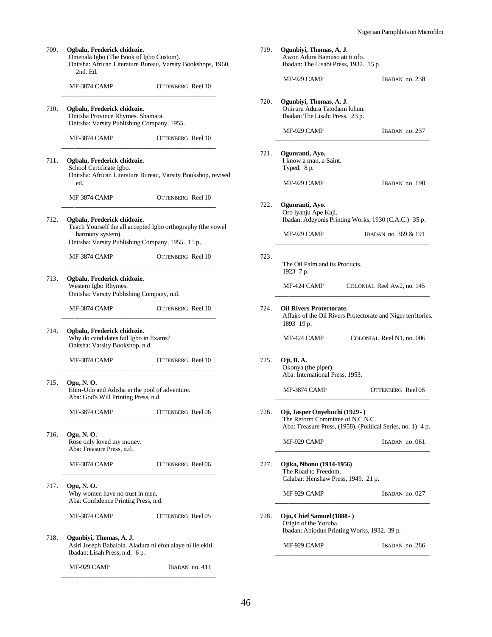| 709. | Ogbalu, Frederick chidozie.<br>Omenala Igbo (The Book of Igbo Custom).<br>2nd. Ed.                                      | Onitsha: African Literature Bureau, Varsity Bookshops, 1960,  |
|------|-------------------------------------------------------------------------------------------------------------------------|---------------------------------------------------------------|
|      | <b>MF-3874 CAMP</b>                                                                                                     | <b>OTTENBERG</b> Reel 10                                      |
| 710. | Ogbalu, Frederick chidozie.<br>Onitsha Province Rhymes. Shamara.<br>Onitsha: Varsity Publishing Company, 1955.          |                                                               |
|      | <b>MF-3874 CAMP</b>                                                                                                     | OTTENBERG Reel 10                                             |
| 711. | Ogbalu, Frederick chidozie.<br>School Certificate Igbo.<br>ed.                                                          | Onitsha: African Literature Bureau, Varsity Bookshop, revised |
|      | MF-3874 CAMP                                                                                                            | OTTENBERG Reel 10                                             |
| 712. | Ogbalu, Frederick chidozie.<br>harmony system).<br>Onitsha: Varsity Publishing Company, 1955. 15 p.                     | Teach Yourself the all accepted Igbo orthography (the vowel   |
|      | MF-3874 CAMP                                                                                                            | OTTENBERG Reel 10                                             |
| 713. | Ogbalu, Frederick chidozie.<br>Western Igbo Rhymes.<br>Onitsha: Varsity Publishing Company, n.d.                        |                                                               |
|      | MF-3874 CAMP                                                                                                            | OTTENBERG Reel 10                                             |
| 714. | Ogbalu, Frederick chidozie.<br>Why do candidates fail Igbo in Exams?<br>Onitsha: Varsity Bookshop, n.d.                 |                                                               |
|      | MF-3874 CAMP                                                                                                            | <b>OTTENBERG</b> Reel 10                                      |
| 715. | Ogu, N. O.<br>Etim-Udo and Adisha in the pool of adventure.<br>Aba: God's Will Printing Press, n.d.                     |                                                               |
|      | <b>MF-3874 CAMP</b>                                                                                                     | OTTENBERG Reel 06                                             |
| 716. | Ogu, N. O.<br>Rose only loved my money.<br>Aba: Treasure Press, n.d.                                                    |                                                               |
|      | <b>MF-3874 CAMP</b>                                                                                                     | OTTENBERG Reel 06                                             |
| 717. | Ogu, N. O.<br>Why women have no trust in men.<br>Aba: Confidence Printing Press, n.d.                                   |                                                               |
|      | MF-3874 CAMP                                                                                                            | OTTENBERG Reel 05                                             |
| 718. | Ogunbiyi, Thomas, A. J.<br>Asiri Joseph Babalola. Aladura ni efon alaye ni ile ekiti.<br>Ibadan: Lisah Press, n.d. 6 p. |                                                               |
|      | MF-929 CAMP                                                                                                             | IBADAN no. 411                                                |

| 719. | Ogunbiyi, Thomas, A. J.<br>Awon Adura Bamuso ati ti ofo.<br>Ibadan: The Lisabi Press, 1932. 15 p. |                                                               |
|------|---------------------------------------------------------------------------------------------------|---------------------------------------------------------------|
|      | MF-929 CAMP                                                                                       | IBADAN no. 238                                                |
| 720. | Ogunbiyi, Thomas, A. J.<br>Oniruru Adura Tatodami lohun.<br>Ibadan: The Lisabi Press. 23 p.       |                                                               |
|      | MF-929 CAMP                                                                                       | IBADAN no. 237                                                |
| 721. | Ogunranti, Ayo.<br>I know a man, a Saint.<br>Typed. 8 p.                                          |                                                               |
|      | MF-929 CAMP                                                                                       | IBADAN no. 190                                                |
| 722. | Ogunranti, Ayo.<br>Oro iyanju Ape Kaji.                                                           | Ibadan: Adeyonis Printing Works, 1930 (C.A.C.) 35 p.          |
|      | MF-929 CAMP                                                                                       | IBADAN no. 369 & 191                                          |
| 723. | The Oil Palm and its Products.<br>1923 7 p.                                                       |                                                               |
|      | MF-424 CAMP                                                                                       | COLONIAL Reel Aw2, no. 145                                    |
| 724. | <b>Oil Rivers Protectorate.</b><br>1893 19 p.                                                     | Affairs of the Oil Rivers Protectorate and Niger territories. |
|      | MF-424 CAMP                                                                                       | COLONIAL Reel N1, no. 006                                     |
| 725. | Oji, B. A.<br>Okonya (the piper).<br>Aba: International Press, 1953.                              |                                                               |
|      | <b>MF-3874 CAMP</b>                                                                               | OTTENBERG Reel 06                                             |
| 726. | Oji, Jasper Onyebuchi (1929 - )<br>The Reform Committee of N.C.N.C.                               | Aba: Treasure Press, (1958). (Political Series, no. 1) 4 p.   |
|      | MF-929 CAMP                                                                                       | IBADAN no. 061                                                |
| 727. | Ojika, Nbonu (1914-1956)<br>The Road to Freedom.<br>Calabar: Henshaw Press, 1949. 21 p.           |                                                               |
|      | MF-929 CAMP                                                                                       | IBADAN no. 027                                                |
| 728. | Ojo, Chief Samuel (1888 - )<br>Origin of the Yoruba.                                              | Ibadan: Abiodun Printing Works, 1932. 39 p.                   |
|      | MF-929 CAMP                                                                                       | IBADAN no. 286                                                |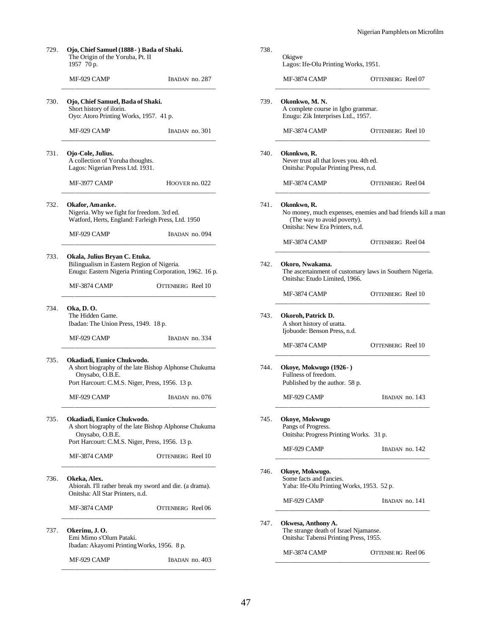| 729.<br>Ojo, Chief Samuel (1888 - ) Bada of Shaki.<br>The Origin of the Yoruba, Pt. II<br>1957 70 p. |                                                                                                                                                           |                          |  |
|------------------------------------------------------------------------------------------------------|-----------------------------------------------------------------------------------------------------------------------------------------------------------|--------------------------|--|
|                                                                                                      | MF-929 CAMP                                                                                                                                               | IBADAN no. 287           |  |
| 730.                                                                                                 | Ojo, Chief Samuel, Bada of Shaki.<br>Short history of ilorin.<br>Oyo: Atoro Printing Works, 1957. 41 p.                                                   |                          |  |
|                                                                                                      | MF-929 CAMP                                                                                                                                               | IBADAN no. 301           |  |
| 731.                                                                                                 | Ojo-Cole, Julius.<br>A collection of Yoruba thoughts.<br>Lagos: Nigerian Press Ltd. 1931.                                                                 |                          |  |
|                                                                                                      | MF-3977 CAMP                                                                                                                                              | HOOVER no. 022           |  |
| 732.                                                                                                 | Okafor, Amanke.<br>Nigeria. Why we fight for freedom. 3rd ed.<br>Watford, Herts, England: Farleigh Press, Ltd. 1950                                       |                          |  |
|                                                                                                      | MF-929 CAMP                                                                                                                                               | IBADAN no. 094           |  |
| 733.                                                                                                 | Okala, Julius Bryan C. Etuka.<br>Bilingualism in Eastern Region of Nigeria.<br>Enugu: Eastern Nigeria Printing Corporation, 1962. 16 p.                   |                          |  |
|                                                                                                      | MF-3874 CAMP                                                                                                                                              | OTTENBERG Reel 10        |  |
| 734.                                                                                                 | Oka, D. O.<br>The Hidden Game.<br>Ibadan: The Union Press, 1949. 18 p.                                                                                    |                          |  |
|                                                                                                      | MF-929 CAMP                                                                                                                                               | IBADAN no. 334           |  |
| 735.                                                                                                 | Okadiadi, Eunice Chukwodo.<br>A short biography of the late Bishop Alphonse Chukuma<br>Onysabo, O.B.E.<br>Port Harcourt: C.M.S. Niger, Press, 1956. 13 p. |                          |  |
|                                                                                                      | MF-929 CAMP                                                                                                                                               | IBADAN no. 076           |  |
| 735.                                                                                                 | Okadiadi, Eunice Chukwodo.<br>A short biography of the late Bishop Alphonse Chukuma<br>Onysabo, O.B.E.<br>Port Harcourt: C.M.S. Niger, Press, 1956. 13 p. |                          |  |
|                                                                                                      | MF-3874 CAMP                                                                                                                                              | <b>OTTENBERG</b> Reel 10 |  |
| 736.                                                                                                 | Okeka, Alex.<br>Abiorah. I'll rather break my sword and die. (a drama).<br>Onitsha: All Star Printers, n.d.                                               |                          |  |
|                                                                                                      | MF-3874 CAMP                                                                                                                                              | OTTENBERG Reel 06        |  |
| 737.                                                                                                 | Okerinu, J.O.<br>Emi Mimo s'Olum Pataki.<br>Ibadan: Akayomi Printing Works, 1956. 8 p.                                                                    |                          |  |
|                                                                                                      | MF-929 CAMP                                                                                                                                               | IBADAN no. 403           |  |

| Okonkwo, M. N.<br>A complete course in Igbo grammar.<br>Enugu: Zik Interprises Ltd., 1957. |                                                                                                                                                                                                                                                                                                                                                                                                                                                                                                  |  |
|--------------------------------------------------------------------------------------------|--------------------------------------------------------------------------------------------------------------------------------------------------------------------------------------------------------------------------------------------------------------------------------------------------------------------------------------------------------------------------------------------------------------------------------------------------------------------------------------------------|--|
| MF-3874 CAMP                                                                               | OTTENBERG Reel 10                                                                                                                                                                                                                                                                                                                                                                                                                                                                                |  |
| Okonkwo, R.                                                                                |                                                                                                                                                                                                                                                                                                                                                                                                                                                                                                  |  |
| MF-3874 CAMP                                                                               | OTTENBERG Reel 04                                                                                                                                                                                                                                                                                                                                                                                                                                                                                |  |
| Okonkwo, R.                                                                                |                                                                                                                                                                                                                                                                                                                                                                                                                                                                                                  |  |
| MF-3874 CAMP                                                                               | OTTENBERG Reel 04                                                                                                                                                                                                                                                                                                                                                                                                                                                                                |  |
| Okoro, Nwakama.                                                                            |                                                                                                                                                                                                                                                                                                                                                                                                                                                                                                  |  |
| MF-3874 CAMP                                                                               | OTTENBERG Reel 10                                                                                                                                                                                                                                                                                                                                                                                                                                                                                |  |
| Okoroh, Patrick D.<br>A short history of uratta.<br>Ijobuode: Benson Press, n.d.           |                                                                                                                                                                                                                                                                                                                                                                                                                                                                                                  |  |
| MF-3874 CAMP                                                                               | OTTENBERG Reel 10                                                                                                                                                                                                                                                                                                                                                                                                                                                                                |  |
| Okoye, Mokwugo (1926-)<br>Fullness of freedom.                                             |                                                                                                                                                                                                                                                                                                                                                                                                                                                                                                  |  |
| MF-929 CAMP                                                                                | IBADAN no. 143                                                                                                                                                                                                                                                                                                                                                                                                                                                                                   |  |
| Okoye, Mokwugo<br>Pangs of Progress.                                                       |                                                                                                                                                                                                                                                                                                                                                                                                                                                                                                  |  |
|                                                                                            |                                                                                                                                                                                                                                                                                                                                                                                                                                                                                                  |  |
|                                                                                            | IBADAN no. 142                                                                                                                                                                                                                                                                                                                                                                                                                                                                                   |  |
| Okoye, Mokwugo.<br>Some facts and fancies.                                                 |                                                                                                                                                                                                                                                                                                                                                                                                                                                                                                  |  |
| MF-929 CAMP                                                                                | IBADAN no. 141                                                                                                                                                                                                                                                                                                                                                                                                                                                                                   |  |
| Okwesa, Anthony A.<br>Onitsha: Tabensi Printing Press, 1955.                               |                                                                                                                                                                                                                                                                                                                                                                                                                                                                                                  |  |
|                                                                                            |                                                                                                                                                                                                                                                                                                                                                                                                                                                                                                  |  |
|                                                                                            | Never trust all that loves you. 4th ed.<br>Onitsha: Popular Printing Press, n.d.<br>No money, much expenses, enemies and bad friends kill a man<br>(The way to avoid poverty).<br>Onitsha: New Era Printers, n.d.<br>The ascertainment of customary laws in Southern Nigeria.<br>Onitsha: Etudo Limited, 1966.<br>Published by the author. 58 p.<br>Onitsha: Progress Printing Works. 31 p.<br>MF-929 CAMP<br>Yaba: Ife-Olu Printing Works, 1953. 52 p.<br>The strange death of Israel Njamanse. |  |

738.

Okigwe

Lagos: Ife-Olu Printing Works, 1951.

MF-3874 CAMP OTTENBERG Reel 07 \_\_\_\_\_\_\_\_\_\_\_\_\_\_\_\_\_\_\_\_\_\_\_\_\_\_\_\_\_\_\_\_\_\_\_\_\_\_\_\_\_\_\_\_\_\_\_\_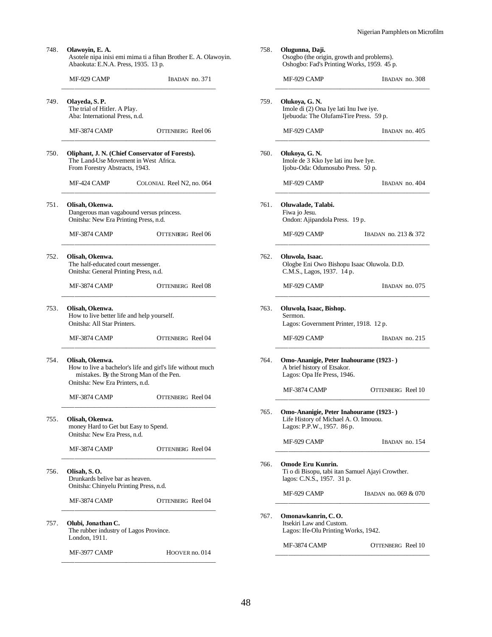| 748. | Olawoyin, E. A.<br>Asotele nipa inisi emi mima ti a fihan Brother E. A. Olawoyin.<br>Abaokuta: E.N.A. Press, 1935. 13 p. |                                                                                                       |  |  |
|------|--------------------------------------------------------------------------------------------------------------------------|-------------------------------------------------------------------------------------------------------|--|--|
|      | MF-929 CAMP                                                                                                              | IBADAN no. 371                                                                                        |  |  |
| 749. | Olayeda, S. P.<br>The trial of Hitler. A Play.<br>Aba: International Press, n.d.                                         |                                                                                                       |  |  |
|      | MF-3874 CAMP                                                                                                             | OTTENBERG Reel 06                                                                                     |  |  |
| 750. | The Land-Use Movement in West Africa.<br>From Forestry Abstracts, 1943.                                                  | Oliphant, J. N. (Chief Conservator of Forests).                                                       |  |  |
|      | MF-424 CAMP                                                                                                              | COLONIAL Reel N2, no. 064                                                                             |  |  |
| 751. | Olisah, Okenwa.<br>Onitsha: New Era Printing Press, n.d.                                                                 | Dangerous man vagabound versus princess.                                                              |  |  |
|      | MF-3874 CAMP                                                                                                             | OTTENBERG Reel 06                                                                                     |  |  |
| 752. | Olisah, Okenwa.<br>The half-educated court messenger.<br>Onitsha: General Printing Press, n.d.                           |                                                                                                       |  |  |
|      | MF-3874 CAMP                                                                                                             | OTTENBERG Reel 08                                                                                     |  |  |
| 753. | Olisah, Okenwa.<br>How to live better life and help yourself.<br>Onitsha: All Star Printers.                             |                                                                                                       |  |  |
|      | MF-3874 CAMP                                                                                                             | OTTENBERG Reel 04                                                                                     |  |  |
| 754. | Olisah, Okenwa.<br>Onitsha: New Era Printers, n.d.                                                                       | How to live a bachelor's life and girl's life without much<br>mistakes. By the Strong Man of the Pen. |  |  |
|      | MF-3874 CAMP                                                                                                             | OTTENBERG Reel 04                                                                                     |  |  |
| 755. | Olisah, Okenwa.<br>money Hard to Get but Easy to Spend.<br>Onitsha: New Era Press, n.d.                                  |                                                                                                       |  |  |
|      | MF-3874 CAMP                                                                                                             | OTTENBERG Reel 04                                                                                     |  |  |
| 756. | Olisah, S.O.<br>Drunkards belive bar as heaven.<br>Onitsha: Chinyelu Printing Press, n.d.                                |                                                                                                       |  |  |
|      | <b>MF-3874 CAMP</b>                                                                                                      | OTTENBERG Reel 04                                                                                     |  |  |
| 757. | Olubi, Jonathan C.<br>The rubber industry of Lagos Province.<br>London, 1911.                                            |                                                                                                       |  |  |
|      | MF-3977 CAMP                                                                                                             | HOOVER no. 014                                                                                        |  |  |

|      | MF-929 CAMP                                                                                                   | IBADAN no. 308       |  |  |
|------|---------------------------------------------------------------------------------------------------------------|----------------------|--|--|
|      |                                                                                                               |                      |  |  |
| 759. | Olukoya, G. N.<br>Imole di (2) Ona Iye lati Inu Iwe iye.<br>Ijebuoda: The Olufami-Tire Press. 59 p.           |                      |  |  |
|      | MF-929 CAMP                                                                                                   | IBADAN no. 405       |  |  |
| 760. | Olukoya, G. N.<br>Imole de 3 Kko Iye lati inu Iwe Iye.<br>Ijobu-Oda: Odumosubo Press. 50 p.                   |                      |  |  |
|      | MF-929 CAMP                                                                                                   | IBADAN no. 404       |  |  |
| 761. | Oluwalade, Talabi.<br>Fiwa jo Jesu.<br>Ondon: Ajipandola Press. 19 p.                                         |                      |  |  |
|      | MF-929 CAMP                                                                                                   | IBADAN no. 213 & 372 |  |  |
| 762. | Oluwola, Isaac.<br>Ologbe Eni Owo Bishopu Isaac Oluwola. D.D.<br>C.M.S., Lagos, 1937. 14 p.                   |                      |  |  |
|      | MF-929 CAMP                                                                                                   | IBADAN no. 075       |  |  |
| 763. | Oluwola, Isaac, Bishop.<br>Sermon.<br>Lagos: Government Printer, 1918. 12 p.                                  |                      |  |  |
|      | MF-929 CAMP                                                                                                   | IBADAN no. 215       |  |  |
| 764. | Omo-Ananigie, Peter Inahourame (1923-)<br>A brief history of Etsakor.<br>Lagos: Opa Ife Press, 1946.          |                      |  |  |
|      | <b>MF-3874 CAMP</b>                                                                                           | OTTENBERG Reel 10    |  |  |
| 765. | Omo-Ananigie, Peter Inahourame (1923-)<br>Life History of Michael A. O. Imouou.<br>Lagos: P.P.W., 1957. 86 p. |                      |  |  |
|      | MF-929 CAMP                                                                                                   | IBADAN no. 154       |  |  |
| 766. | Omode Eru Kunrin.<br>Ti o di Bisopu, tabi itan Samuel Ajayi Crowther.<br>lagos: C.N.S., 1957. 31 p.           |                      |  |  |
|      | MF-929 CAMP                                                                                                   | IBADAN no. 069 & 070 |  |  |
| 767. | Omonawkanrin, C.O.<br>Itsekiri Law and Custom.<br>Lagos: Ife-Olu Printing Works, 1942.                        |                      |  |  |
|      |                                                                                                               |                      |  |  |

758. **Olugunna, Daji.**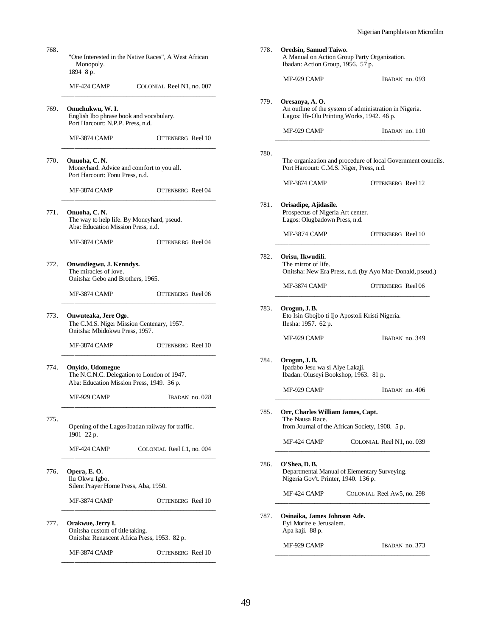| 768. | "One Interested in the Native Races", A West African<br>Monopoly.<br>1894 8 p.                              | 778. | Oredsin, Samuel Taiwo.<br>A Manual on Action Group Party Organization.<br>Ibadan: Action Group, 1956. 57 p.             |                                                              |
|------|-------------------------------------------------------------------------------------------------------------|------|-------------------------------------------------------------------------------------------------------------------------|--------------------------------------------------------------|
|      | MF-424 CAMP<br>COLONIAL Reel N1, no. 007                                                                    |      | MF-929 CAMP                                                                                                             | IBADAN no. 093                                               |
| 769. | Onuchukwu, W.I.<br>English Ibo phrase book and vocabulary.<br>Port Harcourt: N.P.P. Press, n.d.             | 779. | Oresanya, A. O.<br>An outline of the system of administration in Nigeria.<br>Lagos: Ife-Olu Printing Works, 1942. 46 p. |                                                              |
|      | <b>OTTENBERG</b> Reel 10<br>MF-3874 CAMP                                                                    |      | MF-929 CAMP                                                                                                             | IBADAN no. 110                                               |
|      |                                                                                                             | 780. |                                                                                                                         |                                                              |
| 770. | Onuoha, C.N.<br>Moneyhard. Advice and comfort to you all.<br>Port Harcourt: Fonu Press, n.d.                |      | Port Harcourt: C.M.S. Niger, Press, n.d.                                                                                | The organization and procedure of local Government councils. |
|      | MF-3874 CAMP<br>OTTENBERG Reel 04                                                                           |      | MF-3874 CAMP                                                                                                            | <b>OTTENBERG</b> Reel 12                                     |
| 771. | Onuoha, C.N.<br>The way to help life. By Moneyhard, pseud.<br>Aba: Education Mission Press, n.d.            | 781. | Orisadipe, Ajidasile.<br>Prospectus of Nigeria Art center.<br>Lagos: Olugbadown Press, n.d.                             |                                                              |
|      | OTTENBERG Reel 04<br>MF-3874 CAMP                                                                           |      | MF-3874 CAMP                                                                                                            | <b>OTTENBERG</b> Reel 10                                     |
| 772. | Onwudiegwu, J. Kenndys.<br>The miracles of love.<br>Onitsha: Gebo and Brothers, 1965.                       | 782. | Orisu, Ikwudili.<br>The mirror of life.                                                                                 | Onitsha: New Era Press, n.d. (by Ayo Mac-Donald, pseud.)     |
|      | OTTENBERG Reel 06<br>MF-3874 CAMP                                                                           |      | MF-3874 CAMP                                                                                                            | OTTENBERG Reel 06                                            |
| 773. | Onwuteaka, Jere Ogo.<br>The C.M.S. Niger Mission Centenary, 1957.<br>Onitsha: Mbidokwu Press, 1957.         | 783. | Orogun, J.B.<br>Eto Isin Gbojbo ti Ijo Apostoli Kristi Nigeria.<br>Ilesha: 1957. 62 p.                                  |                                                              |
|      | MF-3874 CAMP<br>OTTENBERG Reel 10                                                                           |      | MF-929 CAMP                                                                                                             | IBADAN no. 349                                               |
| 774. | Onyido, Udomegue<br>The N.C.N.C. Delegation to London of 1947.<br>Aba: Education Mission Press, 1949. 36 p. | 784. | Orogun, J.B.<br>Ipadabo Jesu wa si Aiye Lakaji.<br>Ibadan: Oluseyi Bookshop, 1963. 81 p.                                |                                                              |
|      | MF-929 CAMP<br>IBADAN no. 028                                                                               |      | MF-929 CAMP                                                                                                             | IBADAN no. 406                                               |
| 775. | Opening of the Lagos Ibadan railway for traffic.                                                            | 785. | Orr, Charles William James, Capt.<br>The Nausa Race.<br>from Journal of the African Society, 1908. 5 p.                 |                                                              |
|      | 1901 22 p.<br>MF-424 CAMP<br>COLONIAL Reel L1, no. 004                                                      |      | MF-424 CAMP                                                                                                             | COLONIAL Reel N1, no. 039                                    |
| 776. | Opera, E.O.<br>Ilu Okwu Igbo.<br>Silent Prayer Home Press, Aba, 1950.                                       | 786. | O'Shea, D.B.<br>Departmental Manual of Elementary Surveying.<br>Nigeria Gov't. Printer, 1940. 136 p.                    |                                                              |
|      | MF-3874 CAMP<br>OTTENBERG Reel 10                                                                           |      | MF-424 CAMP                                                                                                             | COLONIAL Reel Aw5, no. 298                                   |
| 777. | Orakwue, Jerry I.<br>Onitsha custom of title-taking.<br>Onitsha: Renascent Africa Press, 1953. 82 p.        | 787. | Osinaika, James Johnson Ade.<br>Eyi Morire e Jerusalem.<br>Apa kaji. 88 p.                                              |                                                              |
|      | MF-3874 CAMP<br>OTTENBERG Reel 10                                                                           |      | MF-929 CAMP                                                                                                             | IBADAN no. 373                                               |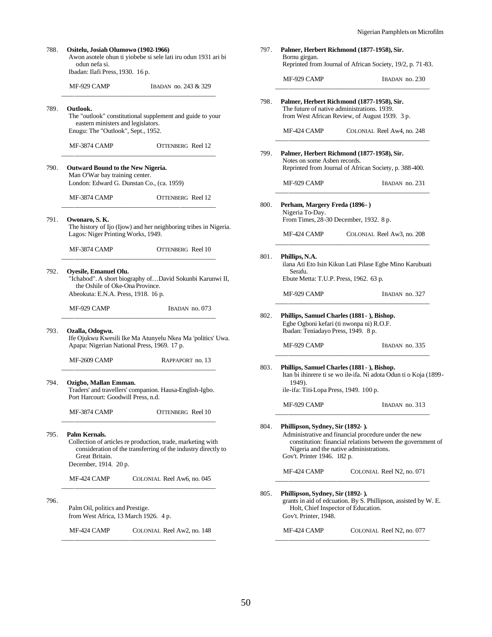| Ositelu, Josiah Olumowo (1902-1966)<br>odun nefa si.<br>Ibadan: Ilafi Press, 1930. 16 p.                         | Awon asotele ohun ti yiobebe si sele lati iru odun 1931 ari bi                                                               | 797. | Bornu girgan.                                                                                              | Palmer, Herbert Richmond (1877-1958), Sir.<br>Reprinted from Journal of African Society, 19/2, p. 71-83.                   |
|------------------------------------------------------------------------------------------------------------------|------------------------------------------------------------------------------------------------------------------------------|------|------------------------------------------------------------------------------------------------------------|----------------------------------------------------------------------------------------------------------------------------|
| MF-929 CAMP                                                                                                      | IBADAN no. 243 & 329                                                                                                         |      | MF-929 CAMP                                                                                                | IBADAN no. 230                                                                                                             |
| Outlook.<br>eastern ministers and legislators.<br>Enugu: The "Outlook", Sept., 1952.<br><b>MF-3874 CAMP</b>      | The "outlook" constitutional supplement and guide to your<br><b>OTTENBERG</b> Reel 12                                        | 798. | The future of native administrations. 1939.<br>MF-424 CAMP                                                 | Palmer, Herbert Richmond (1877-1958), Sir.<br>from West African Review, of August 1939. 3 p.<br>COLONIAL Reel Aw4, no. 248 |
|                                                                                                                  |                                                                                                                              | 799. | Notes on some Asben records.                                                                               | Palmer, Herbert Richmond (1877-1958), Sir.                                                                                 |
| Outward Bound to the New Nigeria.<br>Man O'War bay training center.<br>London: Edward G. Dunstan Co., (ca. 1959) |                                                                                                                              |      | MF-929 CAMP                                                                                                | Reprinted from Journal of African Society, p. 388-400.<br>IBADAN no. 231                                                   |
| MF-3874 CAMP                                                                                                     | OTTENBERG Reel 12                                                                                                            |      |                                                                                                            |                                                                                                                            |
| Owonaro, S. K.<br>Lagos: Niger Printing Works, 1949.                                                             | The history of Ijo (Ijow) and her neighboring tribes in Nigeria.                                                             | 800. | Perham, Margery Freda (1896-)<br>Nigeria To-Day.<br>From Times, 28-30 December, 1932. 8 p.<br>MF-424 CAMP  | COLONIAL Reel Aw3, no. 208                                                                                                 |
| MF-3874 CAMP                                                                                                     | OTTENBERG Reel 10                                                                                                            |      |                                                                                                            |                                                                                                                            |
| Oyesile, Emanuel Olu.<br>the Oshile of Oke-Ona Province.<br>Abeokuta: E.N.A. Press, 1918. 16 p.                  | "Ichabod". A short biography ofDavid Sokunbi Karunwi II,                                                                     | 801. | Phillips, N.A.<br>Serafu.<br>Ebute Metta: T.U.P. Press, 1962. 63 p.<br>MF-929 CAMP                         | ilana Ati Eto Isin Kikun Lati Pilase Egbe Mino Karubuati<br>IBADAN no. 327                                                 |
| MF-929 CAMP                                                                                                      | IBADAN no. 073                                                                                                               | 802. | Phillips, Samuel Charles (1881 - ), Bishop.                                                                |                                                                                                                            |
| Ozalla, Odogwu.<br>Apapa: Nigerian National Press, 1969. 17 p.                                                   | Ife Ojukwu Kwesili Ike Ma Atunyelu Nkea Ma 'politics' Uwa.                                                                   |      | Egbe Ogboni kefari (ti nwonpa ni) R.O.F.<br>Ibadan: Teniadayo Press, 1949. 8 p.<br>MF-929 CAMP             | IBADAN no. 335                                                                                                             |
| MF-2609 CAMP                                                                                                     | RAPPAPORT no. 13                                                                                                             |      |                                                                                                            |                                                                                                                            |
| Ozigbo, Mallan Emman.                                                                                            | Traders' and travellers' companion. Hausa-English-Igbo.<br>Port Harcourt: Goodwill Press, n.d.                               | 803. | Phillips, Samuel Charles (1881 - ), Bishop.<br>1949).<br>ile-ifa: Titi-Lopa Press, 1949. 100 p.            | Itan bi ihinrere ti se wo ile-ifa. Ni adota Odun ti o Koja (1899-                                                          |
| MF-3874 CAMP                                                                                                     | <b>OTTENBERG</b> Reel 10                                                                                                     |      | MF-929 CAMP                                                                                                | IBADAN no. 313                                                                                                             |
| Palm Kernals.<br>Great Britain.<br>December, 1914. 20 p.                                                         | Collection of articles re production, trade, marketing with<br>consideration of the transferring of the industry directly to | 804. | Phillipson, Sydney, Sir (1892-).<br>Nigeria and the native administrations.<br>Gov't. Printer 1946. 182 p. | Administrative and financial procedure under the new<br>constitution: financial relations between the government of        |
| MF-424 CAMP                                                                                                      | COLONIAL Reel Aw6, no. 045                                                                                                   |      | MF-424 CAMP                                                                                                | COLONIAL Reel N2, no. 071                                                                                                  |
| Palm Oil, politics and Prestige.<br>from West Africa, 13 March 1926. 4 p.                                        |                                                                                                                              | 805. | Phillipson, Sydney, Sir (1892-).<br>Holt, Chief Inspector of Education.<br>Gov't. Printer, 1948.           | grants in aid of edcuation. By S. Phillipson, assisted by W. E.                                                            |
| MF-424 CAMP                                                                                                      | COLONIAL Reel Aw2, no. 148                                                                                                   |      | MF-424 CAMP                                                                                                | COLONIAL Reel N2, no. 077                                                                                                  |
|                                                                                                                  |                                                                                                                              |      |                                                                                                            |                                                                                                                            |

| MF-929 CAMP                                                                                                             | IBADAN no. 243 & 329                                                           |
|-------------------------------------------------------------------------------------------------------------------------|--------------------------------------------------------------------------------|
| Outlook.<br>eastern ministers and legislators.<br>Enugu: The "Outlook", Sept., 1952.                                    | The "outlook" constitutional supplement and guide to your                      |
| MF-3874 CAMP                                                                                                            | OTTENBERG Reel 12                                                              |
| <b>Outward Bound to the New Nigeria.</b><br>Man O'War bay training center.<br>London: Edward G. Dunstan Co., (ca. 1959) |                                                                                |
|                                                                                                                         |                                                                                |
| MF-3874 CAMP                                                                                                            | OTTENBERG Reel 12                                                              |
| Owonaro, S. K.<br>Lagos: Niger Printing Works, 1949.                                                                    | The history of Ijo (Ijow) and her neighboring tribes in Nigeria.               |
| MF-3874 CAMP                                                                                                            | OTTENBERG Reel 10                                                              |
| Oyesile, Emanuel Olu.<br>the Oshile of Oke-Ona Province.<br>Abeokuta: E.N.A. Press, 1918. 16 p.                         | "Ichabod". A short biography ofDavid Sokunbi Karunwi II,                       |
|                                                                                                                         |                                                                                |
| MF-929 CAMP                                                                                                             | IBADAN no. 073                                                                 |
| Ozalla, Odogwu.<br>Apapa: Nigerian National Press, 1969. 17 p.                                                          |                                                                                |
| MF-2609 CAMP                                                                                                            | Ife Ojukwu Kwesili Ike Ma Atunyelu Nkea Ma 'politics' Uwa.<br>RAPPAPORT no. 13 |
| Ozigbo, Mallan Emman.<br>Port Harcourt: Goodwill Press, n.d.                                                            | Traders' and travellers' companion. Hausa-English-Igbo.                        |

788. **Ositelu, Josiah Olumowo (1902-1966)**

796.

50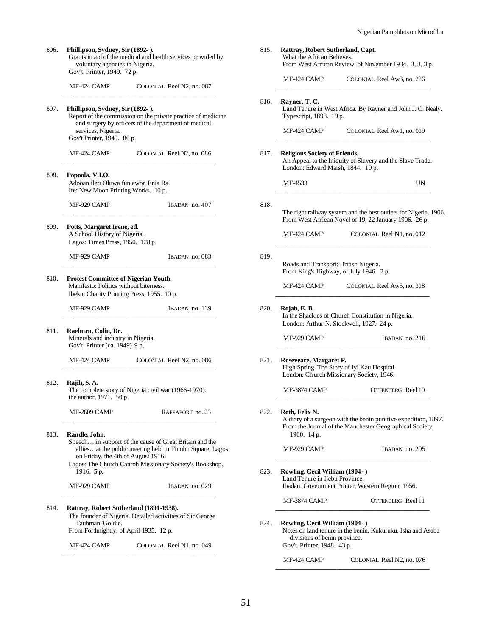| 806. | Phillipson, Sydney, Sir (1892-).<br>voluntary agencies in Nigeria.                             | Grants in aid of the medical and health services provided by                                                         | 815. | Rattray, Robert Sutherland, Capt.<br>What the African Believes.<br>From West African Review, of Nove             |                 |
|------|------------------------------------------------------------------------------------------------|----------------------------------------------------------------------------------------------------------------------|------|------------------------------------------------------------------------------------------------------------------|-----------------|
|      | Gov't. Printer, 1949. 72 p.<br>MF-424 CAMP                                                     | COLONIAL Reel N2, no. 087                                                                                            |      | MF-424 CAMP                                                                                                      | <b>COLONIAL</b> |
| 807. | Phillipson, Sydney, Sir (1892-).<br>services, Nigeria.                                         | Report of the commission on the private practice of medicine<br>and surgery by officers of the department of medical | 816. | Rayner, T. C.<br>Land Tenure in West Africa. By Ray<br>Typescript, 1898. 19 p.<br>MF-424 CAMP                    | <b>COLONIAL</b> |
|      | Gov't Printer, 1949. 80 p.                                                                     |                                                                                                                      |      |                                                                                                                  |                 |
|      | MF-424 CAMP                                                                                    | COLONIAL Reel N2, no. 086                                                                                            | 817. | <b>Religious Society of Friends.</b><br>An Appeal to the Iniquity of Slavery<br>London: Edward Marsh, 1844. 10 p |                 |
| 808. | Popoola, V.I.O.<br>Adooan ileri Oluwa fun awon Enia Ra.<br>Ife: New Moon Printing Works. 10 p. |                                                                                                                      |      | MF-4533                                                                                                          |                 |
|      | MF-929 CAMP                                                                                    | IBADAN no. 407                                                                                                       | 818. | The right railway system and the bes                                                                             |                 |
| 809. | Potts, Margaret Irene, ed.<br>A School History of Nigeria.<br>Lagos: Times Press, 1950. 128 p. |                                                                                                                      |      | From West African Novel of 19, 22.<br>MF-424 CAMP                                                                | <b>COLONIAI</b> |
|      | MF-929 CAMP                                                                                    | IBADAN no. 083                                                                                                       | 819. | Roads and Transport: British Nigeria<br>From King's Highway, of July 1946.                                       |                 |
| 810. | <b>Protest Committee of Nigerian Youth.</b><br>Manifesto: Politics without biterness.          | Ibeku: Charity Printing Press, 1955. 10 p.                                                                           |      | MF-424 CAMP                                                                                                      | <b>COLONIAL</b> |
|      | MF-929 CAMP                                                                                    | IBADAN no. 139                                                                                                       | 820. | Rojab, E. B.<br>In the Shackles of Church Constituti                                                             |                 |
| 811. | Raeburn, Colin, Dr.<br>Minerals and industry in Nigeria.<br>Gov't. Printer (ca. 1949) 9 p.     |                                                                                                                      |      | London: Arthur N. Stockwell, 1927.<br>MF-929 CAMP                                                                |                 |
|      | MF-424 CAMP                                                                                    | COLONIAL Reel N2, no. 086                                                                                            | 821. | Roseveare, Margaret P.<br>High Spring. The Story of Iyi Kau H<br>London: Ch urch Missionary Society              |                 |
| 812. | Rajih, S. A.<br>the author, 1971. 50 p.                                                        | The complete story of Nigeria civil war (1966-1970).                                                                 |      | MF-3874 CAMP                                                                                                     | O1              |
|      | MF-2609 CAMP                                                                                   | RAPPAPORT no. 23                                                                                                     | 822. | Roth, Felix N.<br>A diary of a surgeon with the benin p<br>From the Journal of the Manchester                    |                 |
| 813. | Randle, John.                                                                                  | Speechin support of the cause of Great Britain and the<br>alliesat the public meeting held in Tinubu Square, Lagos   |      | 1960. 14 p.<br>MF-929 CAMP                                                                                       |                 |
|      | on Friday, the 4th of August 1916.<br>1916. 5 p.                                               | Lagos: The Church Canroh Missionary Society's Bookshop.                                                              | 823. | Rowling, Cecil William (1904 - )                                                                                 |                 |
|      | MF-929 CAMP                                                                                    | IBADAN no. 029                                                                                                       |      | Land Tenure in Ijebu Province.<br>Ibadan: Government Printer, Western                                            |                 |
| 814. |                                                                                                | Rattray, Robert Sutherland (1891-1938).                                                                              |      | MF-3874 CAMP                                                                                                     | O1              |
|      | Taubman-Goldie.<br>From Forthnightly, of April 1935. 12 p.                                     | The founder of Nigeria. Detailed activities of Sir George                                                            | 824. | Rowling, Cecil William (1904 - )<br>Notes on land tenure in the benin, Ku                                        |                 |
|      | MF-424 CAMP                                                                                    | COLONIAL Reel N1, no. 049                                                                                            |      | divisions of benin province.<br>Gov't. Printer, 1948. 43 p.                                                      |                 |

|                                                  | What the African Believes.<br>From West African Review, of November 1934. 3, 3, 3 p.                                          |
|--------------------------------------------------|-------------------------------------------------------------------------------------------------------------------------------|
| MF-424 CAMP                                      | COLONIAL Reel Aw3, no. 226                                                                                                    |
| 816.<br>Rayner, T. C.<br>Typescript, 1898. 19 p. | Land Tenure in West Africa. By Rayner and John J. C. Nealy.                                                                   |
| MF-424 CAMP                                      | COLONIAL Reel Aw1, no. 019                                                                                                    |
| 817.<br><b>Religious Society of Friends.</b>     | An Appeal to the Iniquity of Slavery and the Slave Trade.<br>London: Edward Marsh, 1844. 10 p.                                |
| MF-4533                                          | UN                                                                                                                            |
| 818.                                             | The right railway system and the best outlets for Nigeria. 1906.<br>From West African Novel of 19, 22 January 1906. 26 p.     |
| MF-424 CAMP                                      | COLONIAL Reel N1, no. 012                                                                                                     |
| 819.                                             | Roads and Transport: British Nigeria.<br>From King's Highway, of July 1946. 2 p.                                              |
| MF-424 CAMP                                      | COLONIAL Reel Aw5, no. 318                                                                                                    |
| 820.<br>Rojab, E. B.                             | In the Shackles of Church Constitution in Nigeria.<br>London: Arthur N. Stockwell, 1927. 24 p.                                |
| MF-929 CAMP                                      | IBADAN no. 216                                                                                                                |
| 821.<br>Roseveare, Margaret P.                   | High Spring. The Story of Iyi Kau Hospital.<br>London: Ch urch Missionary Society, 1946.                                      |
| MF-3874 CAMP                                     | OTTENBERG Reel 10                                                                                                             |
| Roth, Felix N.<br>822.<br>1960. 14 p.            | A diary of a surgeon with the benin punitive expedition, 1897.<br>From the Journal of the Manchester Geographical Society,    |
| MF-929 CAMP                                      | IBADAN no. 295                                                                                                                |
| 823.                                             | Rowling, Cecil William (1904 - )<br>Land Tenure in Ijebu Province.<br>Ibadan: Government Printer, Western Region, 1956.       |
| MF-3874 CAMP                                     | OTTENBERG Reel 11                                                                                                             |
| 824.<br>Gov't. Printer, 1948. 43 p.              | Rowling, Cecil William (1904-)<br>Notes on land tenure in the benin, Kukuruku, Isha and Asaba<br>divisions of benin province. |

MF-424 CAMP COLONIAL Reel N2, no. 076 \_\_\_\_\_\_\_\_\_\_\_\_\_\_\_\_\_\_\_\_\_\_\_\_\_\_\_\_\_\_\_\_\_\_\_\_\_\_\_\_\_\_\_\_\_\_\_\_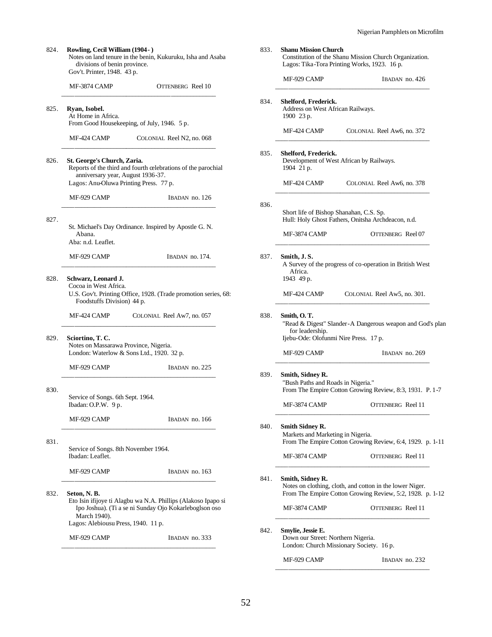| 824. | Rowling, Cecil William (1904-)<br>divisions of benin province.<br>Gov't. Printer, 1948. 43 p.              | Notes on land tenure in the benin, Kukuruku, Isha and Asaba                                                             |
|------|------------------------------------------------------------------------------------------------------------|-------------------------------------------------------------------------------------------------------------------------|
|      | <b>MF-3874 CAMP</b>                                                                                        | OTTENBERG Reel 10                                                                                                       |
| 825. | Ryan, Isobel.<br>At Home in Africa.<br>From Good Housekeeping, of July, 1946. 5 p.                         |                                                                                                                         |
|      | MF-424 CAMP                                                                                                | COLONIAL Reel N2, no. 068                                                                                               |
| 826. | St. George's Church, Zaria.<br>anniversary year, August 1936-37.<br>Lagos: Anu-Oluwa Printing Press. 77 p. | Reports of the third and fourth celebrations of the parochial                                                           |
|      | MF-929 CAMP                                                                                                | IBADAN no. 126                                                                                                          |
| 827. | Abana.<br>Aba: n.d. Leaflet.                                                                               | St. Michael's Day Ordinance. Inspired by Apostle G. N.                                                                  |
|      | MF-929 CAMP                                                                                                | IBADAN no. 174.                                                                                                         |
| 828. | Schwarz, Leonard J.<br>Cocoa in West Africa.<br>Foodstuffs Division) 44 p.                                 | U.S. Gov't. Printing Office, 1928. (Trade promotion series, 68:                                                         |
|      | MF-424 CAMP                                                                                                | COLONIAL Reel Aw7, no. 057                                                                                              |
| 829. | Sciortino, T.C.<br>Notes on Massarawa Province, Nigeria.<br>London: Waterlow & Sons Ltd., 1920. 32 p.      |                                                                                                                         |
|      | MF-929 CAMP                                                                                                | IBADAN no. 225                                                                                                          |
| 830. | Service of Songs. 6th Sept. 1964.<br>Ibadan: O.P.W. 9 p.                                                   |                                                                                                                         |
|      | MF-929 CAMP                                                                                                | IBADAN no. 166                                                                                                          |
| 831. | Service of Songs. 8th November 1964.<br>Ibadan: Leaflet.                                                   |                                                                                                                         |
|      | MF-929 CAMP                                                                                                | IBADAN no. 163                                                                                                          |
| 832. | Seton, N. B.<br>March 1940).<br>Lagos: Alebiousu Press, 1940. 11 p.                                        | Eto Isin ifijoye ti Alagbu wa N.A. Phillips (Alakoso Ipapo si<br>Ipo Joshua). (Ti a se ni Sunday Ojo Kokarleboglson oso |
|      | MF-929 CAMP                                                                                                | IBADAN no. 333                                                                                                          |

| 833. | <b>Shanu Mission Church</b><br>Constitution of the Shanu Mission Church Organization.<br>Lagos: Tika-Tora Printing Works, 1923. 16 p. |                                                                                                                       |
|------|---------------------------------------------------------------------------------------------------------------------------------------|-----------------------------------------------------------------------------------------------------------------------|
|      | MF-929 CAMP                                                                                                                           | IBADAN no. 426                                                                                                        |
| 834. | Shelford, Frederick.<br>Address on West African Railways.<br>1900 23 p.                                                               |                                                                                                                       |
|      | MF-424 CAMP                                                                                                                           | COLONIAL Reel Aw6, no. 372                                                                                            |
| 835. | Shelford, Frederick.<br>1904 21 p.                                                                                                    | Development of West African by Railways.                                                                              |
|      | MF-424 CAMP                                                                                                                           | COLONIAL Reel Aw6, no. 378                                                                                            |
| 836. |                                                                                                                                       | Short life of Bishop Shanahan, C.S. Sp.<br>Hull: Holy Ghost Fathers, Onitsha Archdeacon, n.d.                         |
|      | MF-3874 CAMP                                                                                                                          | OTTENBERG Reel 07                                                                                                     |
| 837. | Smith, J.S.<br>Africa.<br>1943 49 p.                                                                                                  | A Survey of the progress of co-operation in British West                                                              |
|      | MF-424 CAMP                                                                                                                           | COLONIAL Reel Aw5, no. 301.                                                                                           |
| 838. | Smith, O. T.<br>"Read & Digest" Slander-A Dangerous weapon and God's plan<br>for leadership.<br>Ijebu-Ode: Olofunmi Nire Press. 17 p. |                                                                                                                       |
|      | MF-929 CAMP                                                                                                                           | IBADAN no. 269                                                                                                        |
| 839. | Smith, Sidney R.<br>"Bush Paths and Roads in Nigeria."                                                                                | From The Empire Cotton Growing Review, 8:3, 1931. P. 1-7                                                              |
|      | MF-3874 CAMP                                                                                                                          | OTTENBERG Reel 11                                                                                                     |
| 840. | Smith Sidney R.<br>Markets and Marketing in Nigeria.                                                                                  | From The Empire Cotton Growing Review, 6:4, 1929. p. 1-11                                                             |
|      | MF-3874 CAMP                                                                                                                          | <b>OTTENBERG</b> Reel 11                                                                                              |
| 841. | Smith, Sidney R.                                                                                                                      | Notes on clothing, cloth, and cotton in the lower Niger.<br>From The Empire Cotton Growing Review, 5:2, 1928. p. 1-12 |
|      | MF-3874 CAMP                                                                                                                          | OTTENBERG Reel 11                                                                                                     |
| 842. | Smylie, Jessie E.<br>Down our Street: Northern Nigeria.                                                                               | London: Church Missionary Society. 16 p.                                                                              |
|      | MF-929 CAMP                                                                                                                           | IBADAN no. 232                                                                                                        |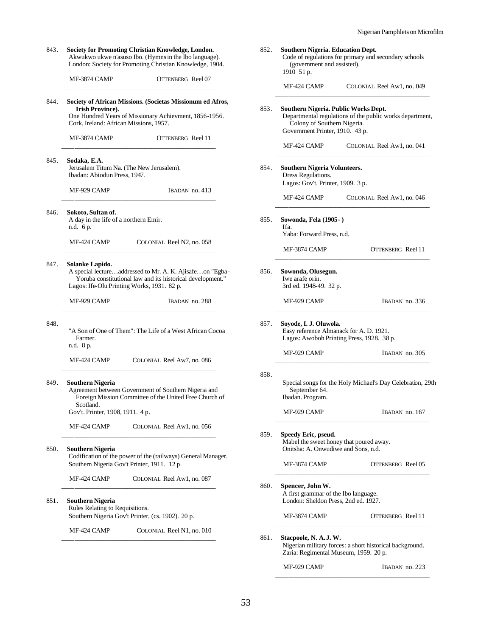| 843. | Society for Promoting Christian Knowledge, London.<br>Akwukwo ukwe n'asuso Ibo. (Hymns in the Ibo language).<br>London: Society for Promoting Christian Knowledge, 1904.                  |                                                            | 8 |
|------|-------------------------------------------------------------------------------------------------------------------------------------------------------------------------------------------|------------------------------------------------------------|---|
|      | MF-3874 CAMP                                                                                                                                                                              | OTTENBERG Reel 07                                          |   |
| 844. | Society of African Missions. (Societas Missionum ed Afros,<br><b>Irish Province).</b><br>One Hundred Years of Missionary Achievment, 1856-1956.<br>Cork, Ireland: African Missions, 1957. |                                                            | 8 |
|      | MF-3874 CAMP                                                                                                                                                                              | OTTENBERG Reel 11                                          |   |
| 845. | Sodaka, E.A.<br>Jerusalem Titum Na. (The New Jerusalem).<br>Ibadan: Abiodun Press, 1947.                                                                                                  |                                                            | 8 |
|      | MF-929 CAMP                                                                                                                                                                               | IBADAN no. 413                                             |   |
| 846. | Sokoto, Sultan of.<br>A day in the life of a northern Emir.<br>n.d. 6 p.                                                                                                                  |                                                            | 8 |
|      | MF-424 CAMP                                                                                                                                                                               | COLONIAL Reel N2, no. 058                                  |   |
| 847. | Solanke Lapido.<br>A special lectureaddressed to Mr. A. K. Ajisafeon "Egba-<br>Lagos: Ife-Olu Printing Works, 1931. 82 p.                                                                 | Yoruba constitutional law and its historical development." | 8 |
|      | MF-929 CAMP                                                                                                                                                                               | IBADAN no. 288                                             |   |
| 848. | "A Son of One of Them": The Life of a West African Cocoa<br>Farmer.<br>n.d. 8 p.                                                                                                          |                                                            | 8 |
|      | MF-424 CAMP                                                                                                                                                                               | COLONIAL Reel Aw7, no. 086                                 |   |
| 849. | Southern Nigeria<br>Agreement between Government of Southern Nigeria and<br>Scotland.<br>Gov't. Printer, 1908, 1911. 4 p.                                                                 | Foreign Mission Committee of the United Free Church of     | 8 |
|      | MF-424 CAMP                                                                                                                                                                               | COLONIAL Reel Aw1, no. 056                                 | 8 |
| 850. | Southern Nigeria<br>Codification of the power of the (railways) General Manager.<br>Southern Nigeria Gov't Printer, 1911. 12 p.                                                           |                                                            |   |
|      | MF-424 CAMP                                                                                                                                                                               | COLONIAL Reel Aw1, no. 087                                 | 8 |
| 851. | Southern Nigeria<br>Rules Relating to Requisitions.<br>Southern Nigeria Gov't Printer, (cs. 1902). 20 p.                                                                                  |                                                            |   |
|      | MF-424 CAMP                                                                                                                                                                               | COLONIAL Reel N1, no. 010                                  | 8 |
|      |                                                                                                                                                                                           |                                                            |   |

| 852. | Southern Nigeria. Education Dept.<br>(government and assisted).<br>1910 51 p.                          | Code of regulations for primary and secondary schools                                                          |  |  |  |
|------|--------------------------------------------------------------------------------------------------------|----------------------------------------------------------------------------------------------------------------|--|--|--|
|      | MF-424 CAMP                                                                                            | COLONIAL Reel Aw1, no. 049                                                                                     |  |  |  |
| 853. | Southern Nigeria. Public Works Dept.<br>Colony of Southern Nigeria.<br>Government Printer, 1910. 43 p. | Departmental regulations of the public works department,                                                       |  |  |  |
|      | MF-424 CAMP                                                                                            | COLONIAL Reel Aw1, no. 041                                                                                     |  |  |  |
| 854. | <b>Southern Nigeria Volunteers.</b><br>Dress Regulations.<br>Lagos: Gov't. Printer, 1909. 3 p.         |                                                                                                                |  |  |  |
|      | MF-424 CAMP                                                                                            | COLONIAL Reel Aw1, no. 046                                                                                     |  |  |  |
| 855. | Sowonda, Fela (1905 - )<br>Ifa.<br>Yaba: Forward Press, n.d.                                           |                                                                                                                |  |  |  |
|      | MF-3874 CAMP                                                                                           | OTTENBERG Reel 11                                                                                              |  |  |  |
| 856. | Sowonda, Olusegun.<br>Iwe arafe orin.<br>3rd ed. 1948-49. 32 p.                                        |                                                                                                                |  |  |  |
|      | MF-929 CAMP                                                                                            | IBADAN no. 336                                                                                                 |  |  |  |
| 857. |                                                                                                        | Soyode, I. J. Oluwola.<br>Easy reference Almanack for A. D. 1921.<br>Lagos: Awoboh Printing Press, 1928. 38 p. |  |  |  |
|      | MF-929 CAMP                                                                                            | IBADAN no. 305                                                                                                 |  |  |  |
| 858. | September 64.<br>Ibadan. Program.                                                                      | Special songs for the Holy Michael's Day Celebration, 29th                                                     |  |  |  |
|      | MF-929 CAMP                                                                                            | IBADAN no. 167                                                                                                 |  |  |  |
| 859. | Speedy Eric, pseud.<br>Mabel the sweet honey that poured away.<br>Onitsha: A. Onwudiwe and Sons, n.d.  |                                                                                                                |  |  |  |
|      | MF-3874 CAMP                                                                                           | OTTENBERG Reel 05                                                                                              |  |  |  |
| 860. | Spencer, John W.<br>A first grammar of the Ibo language.<br>London: Sheldon Press, 2nd ed. 1927.       |                                                                                                                |  |  |  |
|      | MF-3874 CAMP                                                                                           | <b>OTTENBERG</b> Reel 11                                                                                       |  |  |  |
| 861. | Stacpoole, N. A.J. W.<br>Zaria: Regimental Museum, 1959. 20 p.                                         | Nigerian military forces: a short historical background.                                                       |  |  |  |

MF-929 CAMP IBADAN no. 223 \_\_\_\_\_\_\_\_\_\_\_\_\_\_\_\_\_\_\_\_\_\_\_\_\_\_\_\_\_\_\_\_\_\_\_\_\_\_\_\_\_\_\_\_\_\_\_\_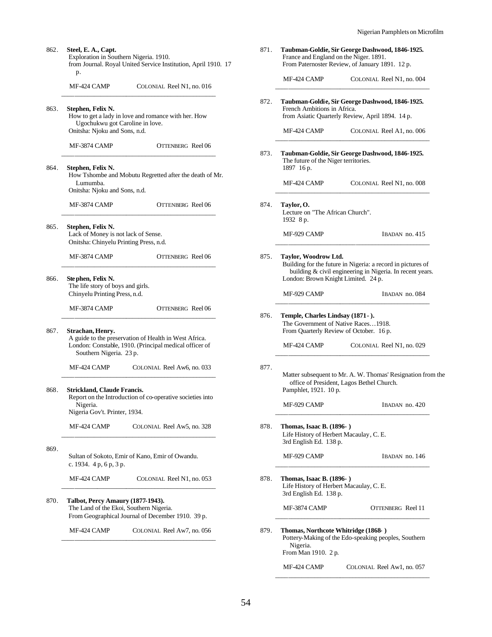| 862. | Steel, E. A., Capt.<br>Exploration in Southern Nigeria. 1910.<br>from Journal. Royal United Service Institution, April 1910. 17<br>p. |                                                                                                                 |      |
|------|---------------------------------------------------------------------------------------------------------------------------------------|-----------------------------------------------------------------------------------------------------------------|------|
|      | MF-424 CAMP                                                                                                                           | COLONIAL Reel N1, no. 016                                                                                       |      |
| 863. | Stephen, Felix N.<br>Ugochukwu got Caroline in love.<br>Onitsha: Njoku and Sons, n.d.                                                 | How to get a lady in love and romance with her. How                                                             | 872. |
|      | MF-3874 CAMP                                                                                                                          | OTTENBERG Reel 06                                                                                               | 873. |
| 864. | Stephen, Felix N.<br>Lumumba.<br>Onitsha: Njoku and Sons, n.d.                                                                        | How Tshombe and Mobutu Regretted after the death of Mr.                                                         |      |
|      | <b>MF-3874 CAMP</b>                                                                                                                   | OTTENBERG Reel 06                                                                                               | 874. |
| 865. | Stephen, Felix N.<br>Lack of Money is not lack of Sense.<br>Onitsha: Chinyelu Printing Press, n.d.                                    |                                                                                                                 |      |
|      | <b>MF-3874 CAMP</b>                                                                                                                   | OTTENBERG Reel 06                                                                                               | 875. |
| 866. | Ste phen, Felix N.<br>The life story of boys and girls.<br>Chinyelu Printing Press, n.d.                                              |                                                                                                                 |      |
|      | MF-3874 CAMP                                                                                                                          | OTTENBERG Reel 06                                                                                               | 876. |
| 867. | Strachan, Henry.<br>Southern Nigeria. 23 p.                                                                                           | A guide to the preservation of Health in West Africa.<br>London: Constable, 1910. (Principal medical officer of |      |
|      | MF-424 CAMP                                                                                                                           | COLONIAL Reel Aw6, no. 033                                                                                      | 877. |
| 868. | Strickland, Claude Francis.<br>Report on the Introduction of co-operative societies into<br>Nigeria.<br>Nigeria Gov't. Printer, 1934. |                                                                                                                 |      |
|      | MF-424 CAMP                                                                                                                           | COLONIAL Reel Aw5, no. 328                                                                                      | 878. |
| 869. | c. 1934. $4 p, 6 p, 3 p.$                                                                                                             | Sultan of Sokoto, Emir of Kano, Emir of Owandu.                                                                 |      |
|      | MF-424 CAMP                                                                                                                           | COLONIAL Reel N1, no. 053                                                                                       | 878. |
| 870. | <b>Talbot, Percy Amaury (1877-1943).</b><br>The Land of the Ekoi, Southern Nigeria.                                                   | From Geographical Journal of December 1910. 39 p.                                                               |      |
|      | MF-424 CAMP                                                                                                                           | COLONIAL Reel Aw7, no. 056                                                                                      | 879. |
|      |                                                                                                                                       |                                                                                                                 |      |

|                                                             | France and England on the Niger. 1891.<br>From Paternoster Review, of January 1891. 12 p.                                                                       |
|-------------------------------------------------------------|-----------------------------------------------------------------------------------------------------------------------------------------------------------------|
| MF-424 CAMP                                                 | COLONIAL Reel N1, no. 004                                                                                                                                       |
| French Ambitions in Africa.                                 | Taubman-Goldie, Sir George Dashwood, 1846-1925.<br>from Asiatic Quarterly Review, April 1894. 14 p.                                                             |
| MF-424 CAMP                                                 | COLONIAL Reel A1, no. 006                                                                                                                                       |
| The future of the Niger territories.<br>1897 16 p.          | Taubman-Goldie, Sir George Dashwood, 1846-1925.                                                                                                                 |
| MF-424 CAMP                                                 | COLONIAL Reel N1, no. 008                                                                                                                                       |
| Taylor, O.<br>Lecture on "The African Church".<br>1932 8 p. |                                                                                                                                                                 |
| MF-929 CAMP                                                 | IBADAN no. 415                                                                                                                                                  |
| Taylor, Woodrow Ltd.                                        | Building for the future in Nigeria: a record in pictures of<br>building & civil engineering in Nigeria. In recent years.<br>London: Brown Knight Limited. 24 p. |
| MF-929 CAMP                                                 | IBADAN no. 084                                                                                                                                                  |
|                                                             |                                                                                                                                                                 |
| Temple, Charles Lindsay (1871 - ).                          | The Government of Native Races1918.<br>From Quarterly Review of October. 16 p.                                                                                  |
| MF-424 CAMP                                                 | COLONIAL Reel N1, no. 029                                                                                                                                       |
| Pamphlet, 1921. 10 p.                                       | office of President, Lagos Bethel Church.                                                                                                                       |
| MF-929 CAMP                                                 | IBADAN no. 420                                                                                                                                                  |
| Thomas, Isaac B. (1896-)<br>3rd English Ed. 138 p.          | Life History of Herbert Macaulay, C. E.                                                                                                                         |
| MF-929 CAMP                                                 | IBADAN no. 146                                                                                                                                                  |
| Thomas, Isaac B. (1896-)<br>3rd English Ed. 138 p.          | Matter subsequent to Mr. A. W. Thomas' Resignation from the<br>Life History of Herbert Macaulay, C. E.                                                          |
| MF-3874 CAMP                                                | OTTENBERG Reel 11                                                                                                                                               |
| Nigeria.<br>From Man 1910. 2 p.                             | Thomas, Northcote Whitridge (1868-)<br>Pottery-Making of the Edo-speaking peoples, Southern                                                                     |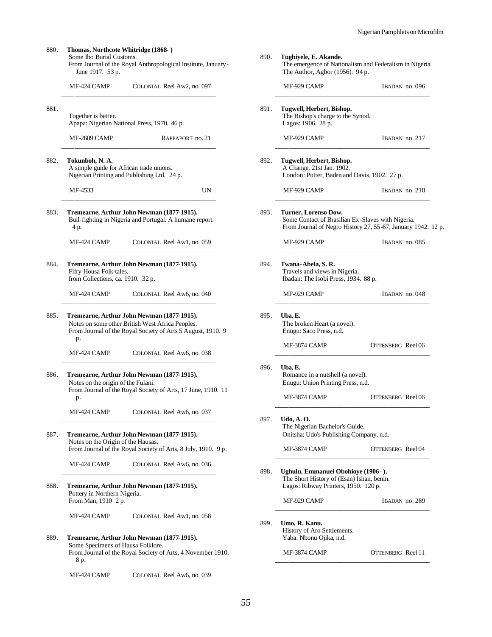Some Ibo Burial Customs. From Journal of the Royal Anthropological Institute, January-June 1917. 53 p. MF-424 CAMP COLONIAL Reel Aw2, no. 097 \_\_\_\_\_\_\_\_\_\_\_\_\_\_\_\_\_\_\_\_\_\_\_\_\_\_\_\_\_\_\_\_\_\_\_\_\_\_\_\_\_\_\_\_\_\_\_\_ 881. Together is better. Apapa: Nigerian National Press, 1970. 46 p. MF-2609 CAMP RAPPAPORT no. 21 \_\_\_\_\_\_\_\_\_\_\_\_\_\_\_\_\_\_\_\_\_\_\_\_\_\_\_\_\_\_\_\_\_\_\_\_\_\_\_\_\_\_\_\_\_\_\_\_ 882. **Tokunboh, N. A.** A simple guide for African trade unions. Nigerian Printing and Publishing Ltd. 24 p. MF-4533 UN \_\_\_\_\_\_\_\_\_\_\_\_\_\_\_\_\_\_\_\_\_\_\_\_\_\_\_\_\_\_\_\_\_\_\_\_\_\_\_\_\_\_\_\_\_\_\_\_ 883. **Tremearne, Arthur John Newman (1877-1915).** Bull-fighting in Nigeria and Portugal. A humane report. 4 p. MF-424 CAMP COLONIAL Reel Aw1, no. 059 \_\_\_\_\_\_\_\_\_\_\_\_\_\_\_\_\_\_\_\_\_\_\_\_\_\_\_\_\_\_\_\_\_\_\_\_\_\_\_\_\_\_\_\_\_\_\_\_ 884. **Tremearne, Arthur John Newman (1877-1915).** Fifry Housa Folk-tales. from Collections, ca. 1910. 32 p. MF-424 CAMP COLONIAL Reel Aw6, no. 040 \_\_\_\_\_\_\_\_\_\_\_\_\_\_\_\_\_\_\_\_\_\_\_\_\_\_\_\_\_\_\_\_\_\_\_\_\_\_\_\_\_\_\_\_\_\_\_\_ 885. **Tremearne, Arthur John Newman (1877-1915).** Notes on some other British West Africa Peoples. From Journal of the Royal Society of Arts 5 August, 1910. 9 p. MF-424 CAMP COLONIAL Reel Aw6, no. 038 \_\_\_\_\_\_\_\_\_\_\_\_\_\_\_\_\_\_\_\_\_\_\_\_\_\_\_\_\_\_\_\_\_\_\_\_\_\_\_\_\_\_\_\_\_\_\_\_ 886. **Tremearne, Arthur John Newman (1877-1915).** Notes on the origin of the Fulani. From Journal of the Royal Society of Arts, 17 June, 1910. 11 p. MF-424 CAMP COLONIAL Reel Aw6, no. 037 \_\_\_\_\_\_\_\_\_\_\_\_\_\_\_\_\_\_\_\_\_\_\_\_\_\_\_\_\_\_\_\_\_\_\_\_\_\_\_\_\_\_\_\_\_\_\_\_ 887. **Tremearne, Arthur John Newman (1877-1915).** Notes on the Origin of the Hausas. From Journal of the Royal Society of Arts, 8 July, 1910. 9 p. MF-424 CAMP COLONIAL Reel Aw6, no. 036 \_\_\_\_\_\_\_\_\_\_\_\_\_\_\_\_\_\_\_\_\_\_\_\_\_\_\_\_\_\_\_\_\_\_\_\_\_\_\_\_\_\_\_\_\_\_\_\_ 888. **Tremearne, Arthur John Newman (1877-1915).** Pottery in Northern Nigeria. From Man, 1910 2 p. MF-424 CAMP COLONIAL Reel Aw1, no. 058 \_\_\_\_\_\_\_\_\_\_\_\_\_\_\_\_\_\_\_\_\_\_\_\_\_\_\_\_\_\_\_\_\_\_\_\_\_\_\_\_\_\_\_\_\_\_\_\_ 889. **Tremearne, Arthur John Newman (1877-1915).** Some Specimens of Hausa Folklore. From Journal of the Royal Society of Arts, 4 November 1910. 8 p. MF-424 CAMP COLONIAL Reel Aw6, no. 039 \_\_\_\_\_\_\_\_\_\_\_\_\_\_\_\_\_\_\_\_\_\_\_\_\_\_\_\_\_\_\_\_\_\_\_\_\_\_\_\_\_\_\_\_\_\_\_\_

880. **Thomas, Northcote Whitridge (1868- )**

890. **Tugbiyele, E. Akande.** The emergence of Nationalism and Federalism in Nigeria. The Author, Agbor (1956). 94 p. MF-929 CAMP IBADAN no. 096 \_\_\_\_\_\_\_\_\_\_\_\_\_\_\_\_\_\_\_\_\_\_\_\_\_\_\_\_\_\_\_\_\_\_\_\_\_\_\_\_\_\_\_\_\_\_\_\_ 891. **Tugwell, Herbert, Bishop.** The Bishop's charge to the Synod. Lagos: 1906. 28 p. MF-929 CAMP IBADAN no. 217 \_\_\_\_\_\_\_\_\_\_\_\_\_\_\_\_\_\_\_\_\_\_\_\_\_\_\_\_\_\_\_\_\_\_\_\_\_\_\_\_\_\_\_\_\_\_\_\_ 892. **Tugwell, Herbert, Bishop.** A Change, 21st Jan. 1902. London: Potter, Baden and Davis, 1902. 27 p. MF-929 CAMP IBADAN no. 218 \_\_\_\_\_\_\_\_\_\_\_\_\_\_\_\_\_\_\_\_\_\_\_\_\_\_\_\_\_\_\_\_\_\_\_\_\_\_\_\_\_\_\_\_\_\_\_\_ 893. **Turner, Lorenso Dow.** Some Contact of Brasilian Ex-Slaves with Nigeria. From Journal of Negro History 27, 55-67, January 1942. 12 p. MF-929 CAMP IBADAN no. 085 \_\_\_\_\_\_\_\_\_\_\_\_\_\_\_\_\_\_\_\_\_\_\_\_\_\_\_\_\_\_\_\_\_\_\_\_\_\_\_\_\_\_\_\_\_\_\_\_ 894. **Twana-Abela, S. R.** Travels and views in Nigeria. Ibadan: The Isobi Press, 1934. 88 p. MF-929 CAMP IBADAN no. 048 \_\_\_\_\_\_\_\_\_\_\_\_\_\_\_\_\_\_\_\_\_\_\_\_\_\_\_\_\_\_\_\_\_\_\_\_\_\_\_\_\_\_\_\_\_\_\_\_ 895. **Uba, E.** The broken Heart (a novel). Enugu: Saco Press, n.d. MF-3874 CAMP OTTENBERG Reel 06 \_\_\_\_\_\_\_\_\_\_\_\_\_\_\_\_\_\_\_\_\_\_\_\_\_\_\_\_\_\_\_\_\_\_\_\_\_\_\_\_\_\_\_\_\_\_\_\_ 896. **Uba, E.** Romance in a nutshell (a novel). Enugu: Union Printing Press, n.d. MF-3874 CAMP OTTENBERG Reel 06 \_\_\_\_\_\_\_\_\_\_\_\_\_\_\_\_\_\_\_\_\_\_\_\_\_\_\_\_\_\_\_\_\_\_\_\_\_\_\_\_\_\_\_\_\_\_\_\_ 897. **Udo, A. O.** The Nigerian Bachelor's Guide. Onitsha: Udo's Publishing Company, n.d. MF-3874 CAMP OTTENBERG Reel 04 \_\_\_\_\_\_\_\_\_\_\_\_\_\_\_\_\_\_\_\_\_\_\_\_\_\_\_\_\_\_\_\_\_\_\_\_\_\_\_\_\_\_\_\_\_\_\_\_ 898. **Ughulu, Emmanuel Obohioye (1906- ).** The Short History of (Esan) Ishan, benin. Lagos: Ribway Printers, 1950. 120 p. MF-929 CAMP IBADAN no. 289 \_\_\_\_\_\_\_\_\_\_\_\_\_\_\_\_\_\_\_\_\_\_\_\_\_\_\_\_\_\_\_\_\_\_\_\_\_\_\_\_\_\_\_\_\_\_\_\_ 899. **Umo, R. Kanu.** History of Aro Settlements. Yaba: Nbonu Ojika, n.d. MF-3874 CAMP OTTENBERG Reel 11 \_\_\_\_\_\_\_\_\_\_\_\_\_\_\_\_\_\_\_\_\_\_\_\_\_\_\_\_\_\_\_\_\_\_\_\_\_\_\_\_\_\_\_\_\_\_\_\_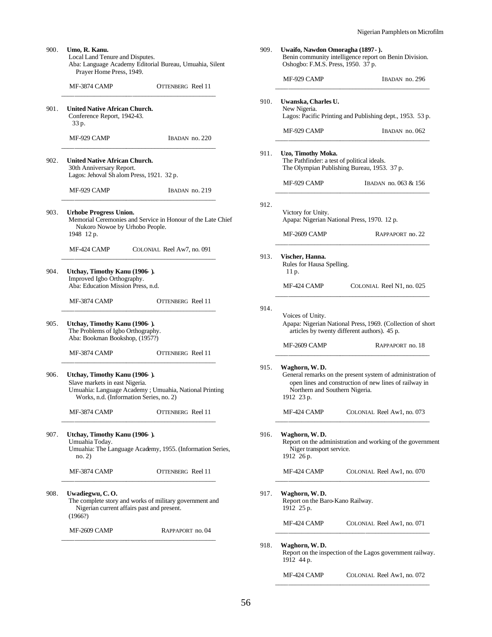| Prayer Home Press, 1949.                                                                                                                                            |                                                                                                       |  |  |
|---------------------------------------------------------------------------------------------------------------------------------------------------------------------|-------------------------------------------------------------------------------------------------------|--|--|
| MF-3874 CAMP                                                                                                                                                        | OTTENBERG Reel 11                                                                                     |  |  |
| <b>United Native African Church.</b><br>Conference Report, 1942-43.<br>33 p.                                                                                        |                                                                                                       |  |  |
| MF-929 CAMP                                                                                                                                                         | IBADAN no. 220                                                                                        |  |  |
| <b>United Native African Church.</b><br>30th Anniversary Report.<br>Lagos: Jehoval Sh alom Press, 1921. 32 p.                                                       |                                                                                                       |  |  |
| MF-929 CAMP                                                                                                                                                         | IBADAN no. 219                                                                                        |  |  |
| <b>Urhobe Progress Union.</b><br>Memorial Ceremonies and Service in Honour of the Late Chief<br>Nukoro Nowoe by Urhobo People.<br>1948 12 p.                        |                                                                                                       |  |  |
| MF-424 CAMP                                                                                                                                                         | COLONIAL Reel Aw7, no. 091                                                                            |  |  |
| Utchay, Timothy Kanu (1906).<br>Improved Igbo Orthography.<br>Aba: Education Mission Press, n.d.                                                                    |                                                                                                       |  |  |
| MF-3874 CAMP                                                                                                                                                        | OTTENBERG Reel 11                                                                                     |  |  |
| Utchay, Timothy Kanu (1906).<br>The Problems of Igbo Orthography.<br>Aba: Bookman Bookshop, (1957?)                                                                 |                                                                                                       |  |  |
| MF-3874 CAMP                                                                                                                                                        | OTTENBERG Reel 11                                                                                     |  |  |
| Utchay, Timothy Kanu (1906).<br>Slave markets in east Nigeria.<br>Umuahia: Language Academy ; Umuahia, National Printing<br>Works, n.d. (Information Series, no. 2) |                                                                                                       |  |  |
| MF-3874 CAMP                                                                                                                                                        | OTTENBERG Reel 11                                                                                     |  |  |
| Utchay, Timothy Kanu (1906).<br>Umuahia Today.<br>Umuahia: The Language Academy, 1955. (Information Series,<br>no. 2)                                               |                                                                                                       |  |  |
| MF-3874 CAMP                                                                                                                                                        | OTTENBERG Reel 11                                                                                     |  |  |
| Uwadiegwu, C.O.<br>(1966?)                                                                                                                                          | The complete story and works of military government and<br>Nigerian current affairs past and present. |  |  |
|                                                                                                                                                                     |                                                                                                       |  |  |

| 909. | Uwaifo, Nawdon Omoragha (1897 - ).<br>Benin community intelligence report on Benin Division.<br>Oshogbo: F.M.S. Press, 1950. 37 p.                                                    |                                                           |  |  |
|------|---------------------------------------------------------------------------------------------------------------------------------------------------------------------------------------|-----------------------------------------------------------|--|--|
|      | MF-929 CAMP                                                                                                                                                                           | IBADAN no. 296                                            |  |  |
| 910. | Uwanska, Charles U.<br>New Nigeria.                                                                                                                                                   | Lagos: Pacific Printing and Publishing dept., 1953. 53 p. |  |  |
|      | MF-929 CAMP                                                                                                                                                                           | IBADAN no. 062                                            |  |  |
| 911. | Uzo, Timothy Moka.<br>The Pathfinder: a test of political ideals.<br>The Olympian Publishing Bureau, 1953. 37 p.                                                                      |                                                           |  |  |
|      | MF-929 CAMP                                                                                                                                                                           | IBADAN no. 063 & 156                                      |  |  |
| 912. | Victory for Unity.                                                                                                                                                                    | Apapa: Nigerian National Press, 1970. 12 p.               |  |  |
|      | MF-2609 CAMP                                                                                                                                                                          | RAPPAPORT no. 22                                          |  |  |
| 913. | Vischer, Hanna.<br>Rules for Hausa Spelling.<br>11 p.                                                                                                                                 |                                                           |  |  |
|      | MF-424 CAMP                                                                                                                                                                           | COLONIAL Reel N1, no. 025                                 |  |  |
| 914. | Voices of Unity.<br>Apapa: Nigerian National Press, 1969. (Collection of short<br>articles by twenty different authors). 45 p.                                                        |                                                           |  |  |
|      | MF-2609 CAMP                                                                                                                                                                          | RAPPAPORT no. 18                                          |  |  |
| 915. | Waghorn, W.D.<br>General remarks on the present system of administration of<br>open lines and construction of new lines of railway in<br>Northern and Southern Nigeria.<br>1912 23 p. |                                                           |  |  |
|      | MF-424 CAMP                                                                                                                                                                           | COLONIAL Reel Aw1, no. 073                                |  |  |
| 916. | Waghorn, W.D.<br>Report on the administration and working of the government<br>Niger transport service.<br>1912 26 p.                                                                 |                                                           |  |  |
|      | MF-424 CAMP                                                                                                                                                                           | COLONIAL Reel Aw1, no. 070                                |  |  |
| 917. | Waghorn, W.D.<br>Report on the Baro-Kano Railway.<br>1912 25 p.                                                                                                                       |                                                           |  |  |
|      | MF-424 CAMP                                                                                                                                                                           | COLONIAL Reel Aw1, no. 071                                |  |  |
| 918. | Waghorn, W. D.<br>1912 44 p.                                                                                                                                                          | Report on the inspection of the Lagos government railway. |  |  |
|      | MF-424 CAMP                                                                                                                                                                           | COLONIAL Reel Aw1, no. 072                                |  |  |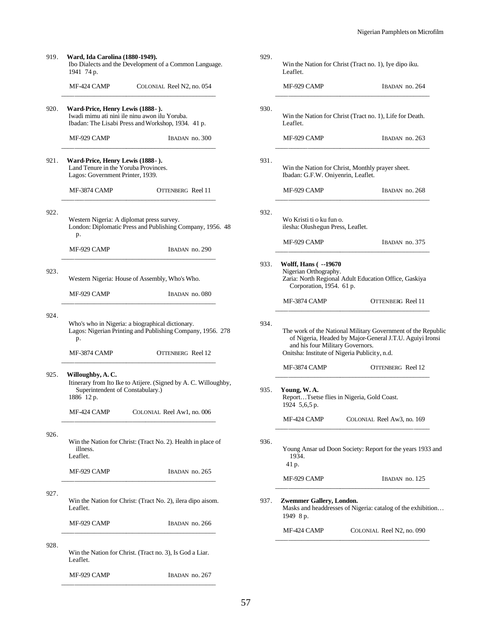| 919. | Ward, Ida Carolina (1880-1949).<br>Ibo Dialects and the Development of a Common Language.<br>1941 74 p.                                 |                                                                                                        |  |  |
|------|-----------------------------------------------------------------------------------------------------------------------------------------|--------------------------------------------------------------------------------------------------------|--|--|
|      | MF-424 CAMP                                                                                                                             | COLONIAL Reel N2, no. 054                                                                              |  |  |
| 920. | Ward-Price, Henry Lewis (1888-).<br>Iwadi mimu ati nini ile ninu awon ilu Yoruba.<br>Ibadan: The Lisabi Press and Workshop, 1934. 41 p. |                                                                                                        |  |  |
|      | MF-929 CAMP                                                                                                                             | IBADAN no. 300                                                                                         |  |  |
| 921. | Ward-Price, Henry Lewis (1888-).<br>Land Tenure in the Yoruba Provinces.<br>Lagos: Government Printer, 1939.                            |                                                                                                        |  |  |
|      | MF-3874 CAMP                                                                                                                            | OTTENBERG Reel 11                                                                                      |  |  |
| 922. | p.                                                                                                                                      | Western Nigeria: A diplomat press survey.<br>London: Diplomatic Press and Publishing Company, 1956. 48 |  |  |
|      | MF-929 CAMP                                                                                                                             | IBADAN no. 290                                                                                         |  |  |
| 923. |                                                                                                                                         | Western Nigeria: House of Assembly, Who's Who.                                                         |  |  |
|      | MF-929 CAMP                                                                                                                             | IBADAN no. 080                                                                                         |  |  |
| 924. | Who's who in Nigeria: a biographical dictionary.<br>Lagos: Nigerian Printing and Publishing Company, 1956. 278<br>p.                    |                                                                                                        |  |  |
|      | MF-3874 CAMP                                                                                                                            | OTTENBERG Reel 12                                                                                      |  |  |
| 925. | Willoughby, A.C.<br>Itinerary from Ito Ike to Atijere. (Signed by A. C. Willoughby,<br>Superintendent of Constabulary.)<br>1886 12 p.   |                                                                                                        |  |  |
|      | MF-424 CAMP                                                                                                                             | COLONIAL Reel Aw1, no. 006                                                                             |  |  |
| 926. | illness.<br>Leaflet.                                                                                                                    | Win the Nation for Christ: (Tract No. 2). Health in place of                                           |  |  |
|      | MF-929 CAMP                                                                                                                             | IBADAN no. 265                                                                                         |  |  |
| 927. | Leaflet.                                                                                                                                | Win the Nation for Christ: (Tract No. 2), ilera dipo aisom.                                            |  |  |
|      | MF-929 CAMP                                                                                                                             | IBADAN no. 266                                                                                         |  |  |
| 928. | Leaflet.                                                                                                                                | Win the Nation for Christ. (Tract no. 3), Is God a Liar.                                               |  |  |
|      | MF-929 CAMP                                                                                                                             | IBADAN no. 267                                                                                         |  |  |

|      | Win the Nation for Christ (Tract no. 1), Iye dipo iku.<br>Leaflet.                                                                                                                                            |                                                             |  |  |  |
|------|---------------------------------------------------------------------------------------------------------------------------------------------------------------------------------------------------------------|-------------------------------------------------------------|--|--|--|
|      | MF-929 CAMP                                                                                                                                                                                                   | IBADAN no. 264                                              |  |  |  |
| 930. | Win the Nation for Christ (Tract no. 1), Life for Death.<br>Leaflet.                                                                                                                                          |                                                             |  |  |  |
|      | MF-929 CAMP                                                                                                                                                                                                   | IBADAN no. 263                                              |  |  |  |
| 931. | Win the Nation for Christ, Monthly prayer sheet.<br>Ibadan: G.F.W. Oniyenrin, Leaflet.                                                                                                                        |                                                             |  |  |  |
|      | MF-929 CAMP                                                                                                                                                                                                   | IBADAN no. 268                                              |  |  |  |
| 932. | Wo Kristi ti o ku fun o.<br>ilesha: Olushegun Press, Leaflet.                                                                                                                                                 |                                                             |  |  |  |
|      | MF-929 CAMP                                                                                                                                                                                                   | IBADAN no. 375                                              |  |  |  |
| 933. | Wolff, Hans ( --19670<br>Nigerian Orthography.<br>Corporation, 1954. 61 p.                                                                                                                                    | Zaria: North Regional Adult Education Office, Gaskiya       |  |  |  |
|      | MF-3874 CAMP                                                                                                                                                                                                  | OTTENBERG Reel 11                                           |  |  |  |
| 934. | The work of the National Military Government of the Republic<br>of Nigeria, Headed by Major-General J.T.U. Aguiyi Ironsi<br>and his four Military Governors.<br>Onitsha: Institute of Nigeria Publicity, n.d. |                                                             |  |  |  |
|      | MF-3874 CAMP                                                                                                                                                                                                  | <b>OTTENBERG</b> Reel 12                                    |  |  |  |
| 935. | Young, W.A.<br>ReportTsetse flies in Nigeria, Gold Coast.<br>1924 5,6,5 p.                                                                                                                                    |                                                             |  |  |  |
|      | MF-424 CAMP                                                                                                                                                                                                   | COLONIAL Reel Aw3, no. 169                                  |  |  |  |
| 936. | 1934.<br>41 p.                                                                                                                                                                                                | Young Ansar ud Doon Society: Report for the years 1933 and  |  |  |  |
|      | MF-929 CAMP                                                                                                                                                                                                   | IBADAN no. 125                                              |  |  |  |
| 937. | Zwemmer Gallery, London.<br>1949 8 p.                                                                                                                                                                         | Masks and headdresses of Nigeria: catalog of the exhibition |  |  |  |
|      | MF-424 CAMP                                                                                                                                                                                                   | COLONIAL Reel N2, no. 090                                   |  |  |  |

929.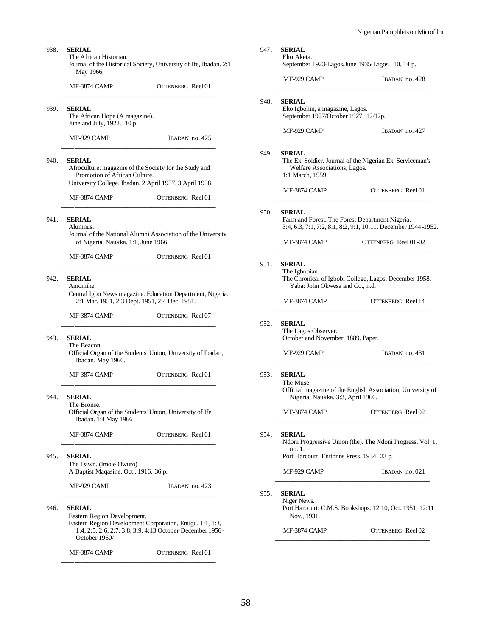| <b>SERIAL</b><br>The African Historian.<br>May 1966.                          | Journal of the Historical Society, University of Ife, Ibadan. 2:1                                                     | 947.                                                              | <b>SERIAL</b><br>Eko Aketa.                                                              | September 1923-Lagos/June 1935-Lagos. 10, 14 p.                                                                  |
|-------------------------------------------------------------------------------|-----------------------------------------------------------------------------------------------------------------------|-------------------------------------------------------------------|------------------------------------------------------------------------------------------|------------------------------------------------------------------------------------------------------------------|
| MF-3874 CAMP                                                                  | <b>OTTENBERG</b> Reel 01                                                                                              |                                                                   | MF-929 CAMP                                                                              | IBADAN no. 428                                                                                                   |
| <b>SERIAL</b><br>The African Hope (A magazine).<br>June and July, 1922. 10 p. |                                                                                                                       | 948.                                                              | <b>SERIAL</b><br>Eko Igbohin, a magazine, Lagos.<br>September 1927/October 1927. 12/12p. |                                                                                                                  |
| MF-929 CAMP                                                                   | IBADAN no. 425                                                                                                        |                                                                   | MF-929 CAMP                                                                              | IBADAN no. 427                                                                                                   |
| <b>SERIAL</b><br>Promotion of African Culture.                                | Afroculture. magazine of the Society for the Study and                                                                | 949.                                                              | <b>SERIAL</b><br>Welfare Associations, Lagos.<br>1:1 March, 1959.                        | The Ex-Soldier, Journal of the Nigerian Ex-Serviceman's                                                          |
| MF-3874 CAMP                                                                  | University College, Ibadan. 2 April 1957, 3 April 1958.<br>OTTENBERG Reel 01                                          |                                                                   | MF-3874 CAMP                                                                             | OTTENBERG Reel 01                                                                                                |
| <b>SERIAL</b><br>Alumnus.                                                     | Journal of the National Alumni Association of the University                                                          | 950.                                                              | <b>SERIAL</b>                                                                            | Farm and Forest. The Forest Department Nigeria.<br>3:4, 6:3, 7:1, 7:2, 8:1, 8:2, 9:1, 10:11. December 1944-1952. |
| of Nigeria, Naukka. 1:1, June 1966.                                           |                                                                                                                       |                                                                   | MF-3874 CAMP                                                                             | OTTENBERG Reel 01-02                                                                                             |
| MF-3874 CAMP<br><b>SERIAL</b><br>Amomihe.                                     | 951.                                                                                                                  | <b>SERIAL</b><br>The Igbobian.<br>Yaba: John Okwesa and Co., n.d. | The Chronical of Igbobi College, Lagos, December 1958.                                   |                                                                                                                  |
| 2:1 Mar. 1951, 2:3 Dept. 1951, 2:4 Dec. 1951.                                 | Central Igbo News magazine. Education Department, Nigeria.                                                            |                                                                   | MF-3874 CAMP                                                                             | <b>OTTENBERG</b> Reel 14                                                                                         |
| MF-3874 CAMP                                                                  | OTTENBERG Reel 07                                                                                                     | 952.                                                              | <b>SERIAL</b>                                                                            |                                                                                                                  |
| <b>SERIAL</b>                                                                 |                                                                                                                       |                                                                   | The Lagos Observer.<br>October and November, 1889. Paper.                                |                                                                                                                  |
| The Beacon.<br>Ibadan. May 1966.                                              | Official Organ of the Students' Union, University of Ibadan,                                                          |                                                                   | MF-929 CAMP                                                                              | IBADAN no. 431                                                                                                   |
| MF-3874 CAMP                                                                  | OTTENBERG Reel 01                                                                                                     | 953.                                                              | <b>SERIAL</b><br>The Muse.                                                               | Official magazine of the English Association, University of                                                      |
| <b>SERIAL</b><br>The Bronse.<br>Ibadan. 1:4 May 1966                          | Official Organ of the Students' Union, University of Ife,                                                             |                                                                   | Nigeria, Naukka. 3:3, April 1966.<br>MF-3874 CAMP                                        | OTTENBERG Reel 02                                                                                                |
| MF-3874 CAMP                                                                  | OTTENBERG Reel 01                                                                                                     | 954.                                                              | <b>SERIAL</b>                                                                            | Ndoni Progressive Union (the). The Ndoni Progress, Vol. 1,                                                       |
| <b>SERIAL</b>                                                                 |                                                                                                                       |                                                                   | no. 1.<br>Port Harcourt: Enitonns Press, 1934. 23 p.                                     |                                                                                                                  |
| The Dawn. (Imole Owuro)<br>A Baptist Maqasine. Oct., 1916. 36 p.              |                                                                                                                       |                                                                   | MF-929 CAMP                                                                              | IBADAN no. 021                                                                                                   |
| MF-929 CAMP                                                                   | IBADAN no. 423                                                                                                        | 955.                                                              | <b>SERIAL</b>                                                                            |                                                                                                                  |
| <b>SERIAL</b><br>Eastern Region Development.                                  |                                                                                                                       |                                                                   | Niger News.<br>Nov., 1931.                                                               | Port Harcourt: C.M.S. Bookshops. 12:10, Oct. 1951; 12:11                                                         |
| October 1960/                                                                 | Eastern Region Development Corporation, Enugu. 1:1, 1:3,<br>1:4, 2:5, 2:6, 2:7, 3:8, 3:9, 4:13 October-December 1956- |                                                                   | MF-3874 CAMP                                                                             | OTTENBERG Reel 02                                                                                                |

938.

939.

 $940.$ 

941. **SERIAL**

942. **SERIAL**

943.

944. **SERIAL**

945. **SERIAL**

946.

MF-3874 CAMP OTTENBERG Reel 01 \_\_\_\_\_\_\_\_\_\_\_\_\_\_\_\_\_\_\_\_\_\_\_\_\_\_\_\_\_\_\_\_\_\_\_\_\_\_\_\_\_\_\_\_\_\_\_\_

58